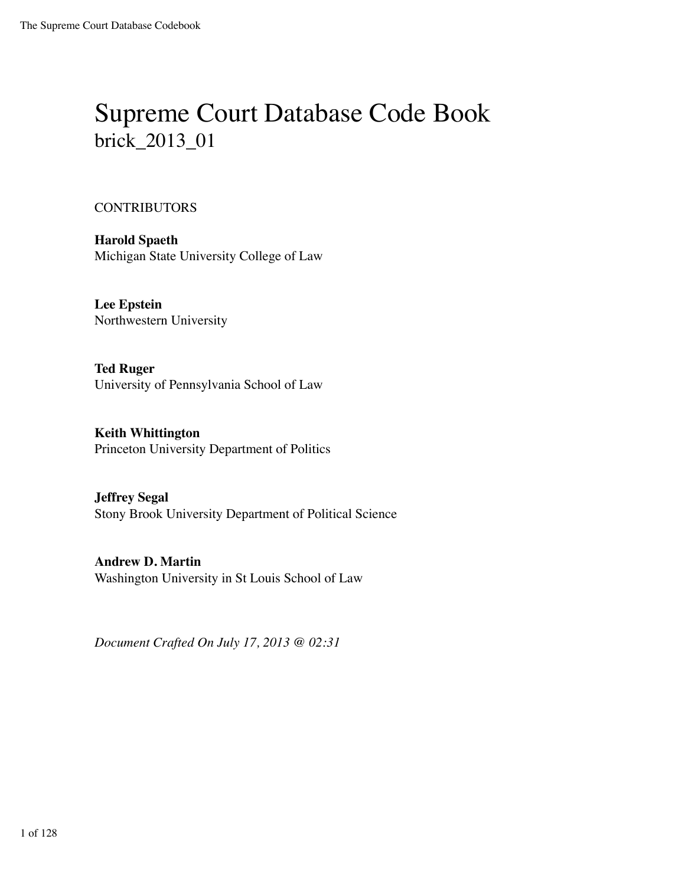# Supreme Court Database Code Book brick\_2013\_01

#### **CONTRIBUTORS**

**Harold Spaeth** Michigan State University College of Law

**Lee Epstein** Northwestern University

**Ted Ruger** University of Pennsylvania School of Law

**Keith Whittington** Princeton University Department of Politics

**Jeffrey Segal** Stony Brook University Department of Political Science

**Andrew D. Martin** Washington University in St Louis School of Law

*Document Crafted On July 17, 2013 @ 02:31*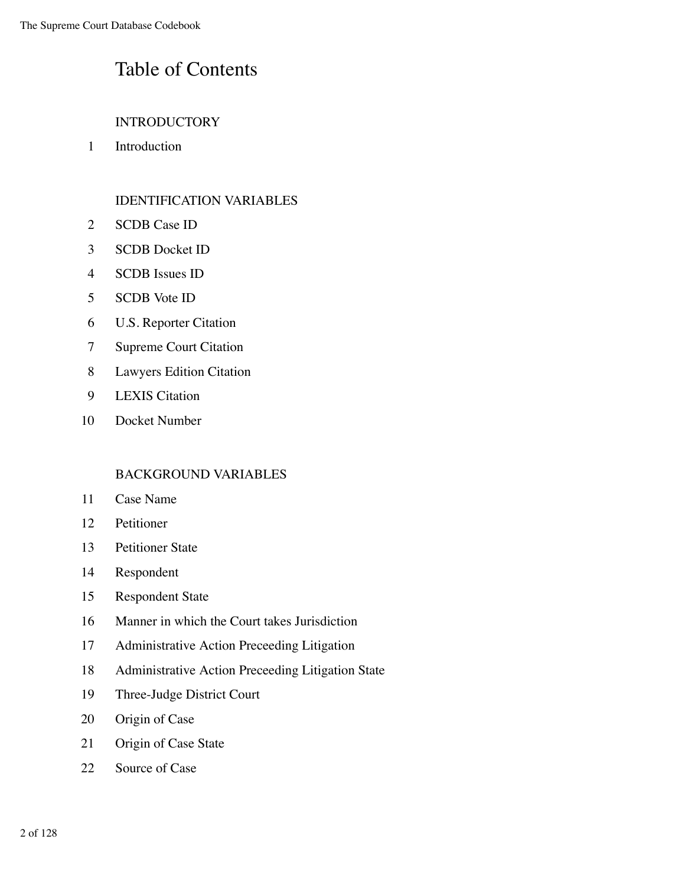#### Table of Contents

#### INTRODUCTORY

Introduction

#### IDENTIFICATION VARIABLES

- SCDB Case ID
- SCDB Docket ID
- SCDB Issues ID
- SCDB Vote ID
- U.S. Reporter Citation
- Supreme Court Citation
- Lawyers Edition Citation
- LEXIS Citation
- Docket Number

#### BACKGROUND VARIABLES

- Case Name
- Petitioner
- Petitioner State
- Respondent
- Respondent State
- Manner in which the Court takes Jurisdiction
- Administrative Action Preceeding Litigation
- Administrative Action Preceeding Litigation State
- Three-Judge District Court
- Origin of Case
- Origin of Case State
- Source of Case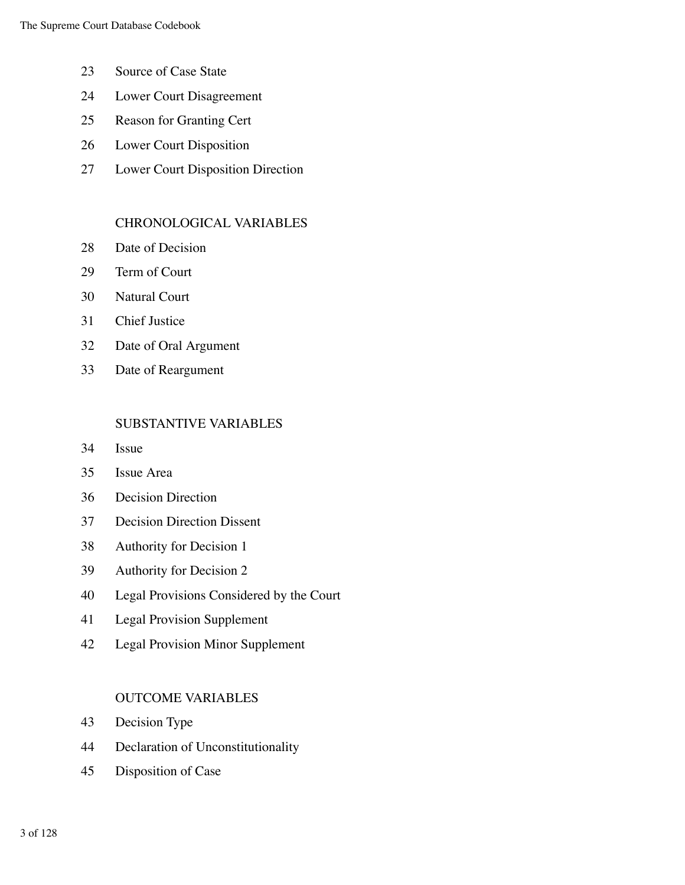- Source of Case State
- Lower Court Disagreement
- Reason for Granting Cert
- Lower Court Disposition
- Lower Court Disposition Direction

#### CHRONOLOGICAL VARIABLES

- 28 Date of Decision
- Term of Court
- Natural Court
- Chief Justice
- Date of Oral Argument
- Date of Reargument

#### SUBSTANTIVE VARIABLES

- Issue
- Issue Area
- Decision Direction
- Decision Direction Dissent
- Authority for Decision 1
- Authority for Decision 2
- Legal Provisions Considered by the Court
- Legal Provision Supplement
- Legal Provision Minor Supplement

#### OUTCOME VARIABLES

- Decision Type
- Declaration of Unconstitutionality
- Disposition of Case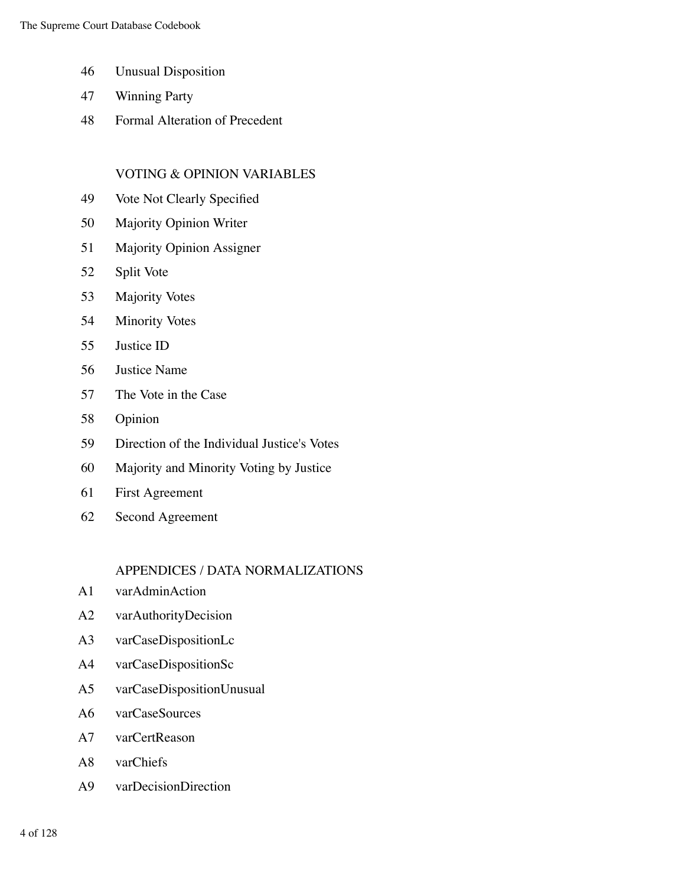- 46 Unusual Disposition
- 47 Winning Party
- 48 Formal Alteration of Precedent

#### VOTING & OPINION VARIABLES

- 49 Vote Not Clearly Specified
- 50 Majority Opinion Writer
- 51 Majority Opinion Assigner
- 52 Split Vote
- 53 Majority Votes
- 54 Minority Votes
- 55 Justice ID
- 56 Justice Name
- 57 The Vote in the Case
- 58 Opinion
- 59 Direction of the Individual Justice's Votes
- 60 Majority and Minority Voting by Justice
- 61 First Agreement
- 62 Second Agreement

#### APPENDICES / DATA NORMALIZATIONS

- A1 varAdminAction
- A2 varAuthorityDecision
- A3 varCaseDispositionLc
- A4 varCaseDispositionSc
- A5 varCaseDispositionUnusual
- A6 varCaseSources
- A7 varCertReason
- A8 varChiefs
- A9 varDecisionDirection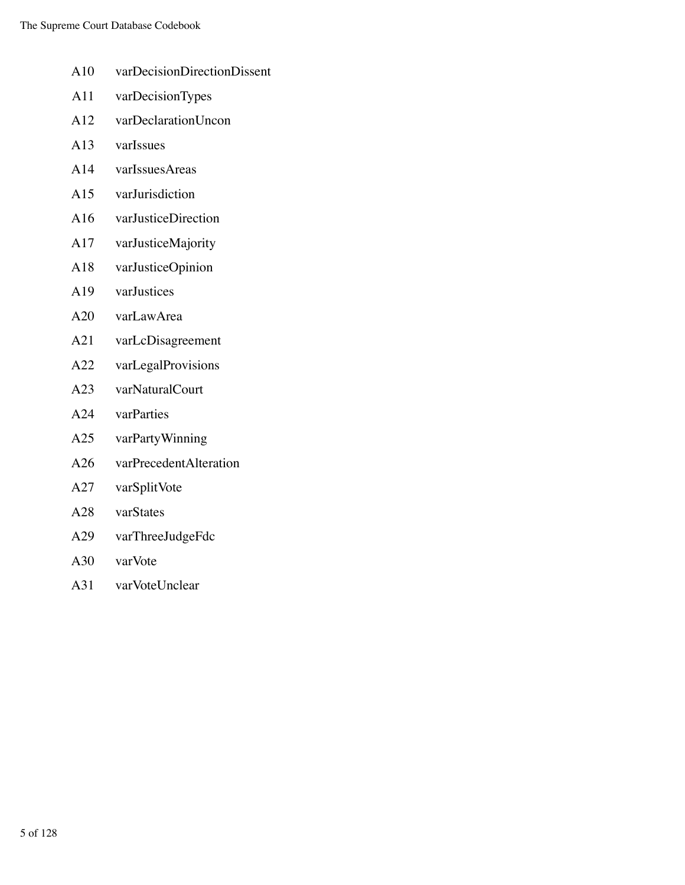- A10 varDecisionDirectionDissent
- A11 varDecisionTypes
- A12 varDeclarationUncon
- A13 varIssues
- A14 varIssuesAreas
- A15 varJurisdiction
- A16 varJusticeDirection
- A17 varJusticeMajority
- A18 varJusticeOpinion
- A19 varJustices
- A20 varLawArea
- A21 varLcDisagreement
- A22 varLegalProvisions
- A23 varNaturalCourt
- A24 varParties
- A25 varPartyWinning
- A26 varPrecedentAlteration
- A27 varSplitVote
- A28 varStates
- A29 varThreeJudgeFdc
- A30 varVote
- A31 varVoteUnclear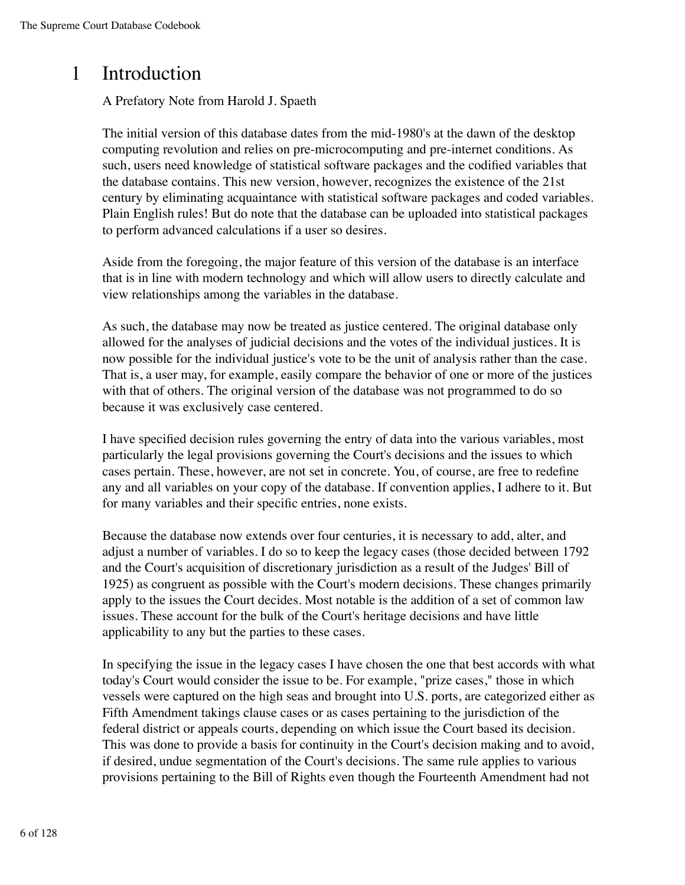### 1 Introduction

#### A Prefatory Note from Harold J. Spaeth

The initial version of this database dates from the mid-1980's at the dawn of the desktop computing revolution and relies on pre-microcomputing and pre-internet conditions. As such, users need knowledge of statistical software packages and the codified variables that the database contains. This new version, however, recognizes the existence of the 21st century by eliminating acquaintance with statistical software packages and coded variables. Plain English rules! But do note that the database can be uploaded into statistical packages to perform advanced calculations if a user so desires.

Aside from the foregoing, the major feature of this version of the database is an interface that is in line with modern technology and which will allow users to directly calculate and view relationships among the variables in the database.

As such, the database may now be treated as justice centered. The original database only allowed for the analyses of judicial decisions and the votes of the individual justices. It is now possible for the individual justice's vote to be the unit of analysis rather than the case. That is, a user may, for example, easily compare the behavior of one or more of the justices with that of others. The original version of the database was not programmed to do so because it was exclusively case centered.

I have specified decision rules governing the entry of data into the various variables, most particularly the legal provisions governing the Court's decisions and the issues to which cases pertain. These, however, are not set in concrete. You, of course, are free to redefine any and all variables on your copy of the database. If convention applies, I adhere to it. But for many variables and their specific entries, none exists.

Because the database now extends over four centuries, it is necessary to add, alter, and adjust a number of variables. I do so to keep the legacy cases (those decided between 1792 and the Court's acquisition of discretionary jurisdiction as a result of the Judges' Bill of 1925) as congruent as possible with the Court's modern decisions. These changes primarily apply to the issues the Court decides. Most notable is the addition of a set of common law issues. These account for the bulk of the Court's heritage decisions and have little applicability to any but the parties to these cases.

In specifying the issue in the legacy cases I have chosen the one that best accords with what today's Court would consider the issue to be. For example, "prize cases," those in which vessels were captured on the high seas and brought into U.S. ports, are categorized either as Fifth Amendment takings clause cases or as cases pertaining to the jurisdiction of the federal district or appeals courts, depending on which issue the Court based its decision. This was done to provide a basis for continuity in the Court's decision making and to avoid, if desired, undue segmentation of the Court's decisions. The same rule applies to various provisions pertaining to the Bill of Rights even though the Fourteenth Amendment had not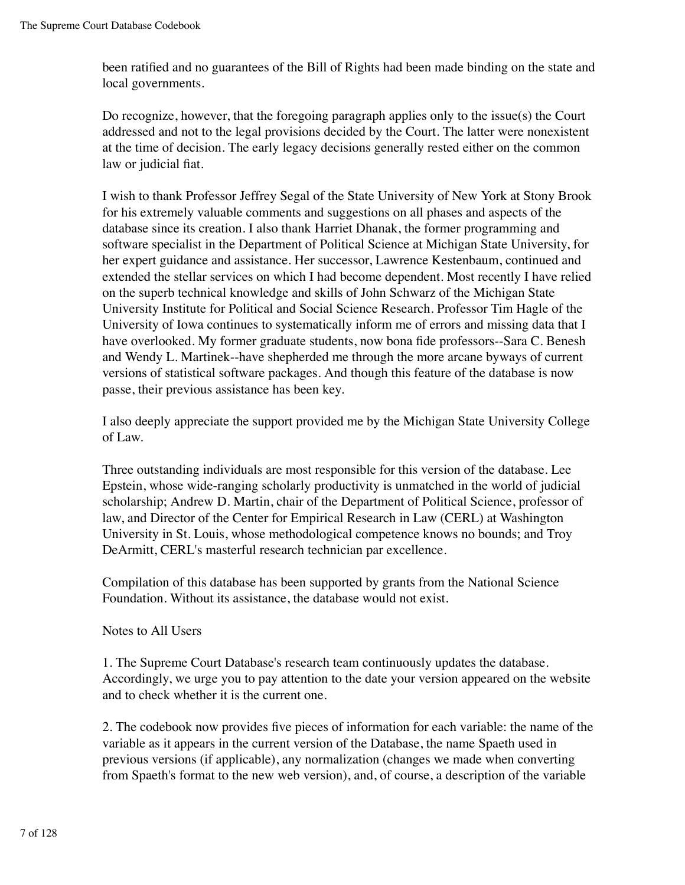been ratified and no guarantees of the Bill of Rights had been made binding on the state and local governments.

Do recognize, however, that the foregoing paragraph applies only to the issue(s) the Court addressed and not to the legal provisions decided by the Court. The latter were nonexistent at the time of decision. The early legacy decisions generally rested either on the common law or judicial fiat.

I wish to thank Professor Jeffrey Segal of the State University of New York at Stony Brook for his extremely valuable comments and suggestions on all phases and aspects of the database since its creation. I also thank Harriet Dhanak, the former programming and software specialist in the Department of Political Science at Michigan State University, for her expert guidance and assistance. Her successor, Lawrence Kestenbaum, continued and extended the stellar services on which I had become dependent. Most recently I have relied on the superb technical knowledge and skills of John Schwarz of the Michigan State University Institute for Political and Social Science Research. Professor Tim Hagle of the University of Iowa continues to systematically inform me of errors and missing data that I have overlooked. My former graduate students, now bona fide professors--Sara C. Benesh and Wendy L. Martinek--have shepherded me through the more arcane byways of current versions of statistical software packages. And though this feature of the database is now passe, their previous assistance has been key.

I also deeply appreciate the support provided me by the Michigan State University College of Law.

Three outstanding individuals are most responsible for this version of the database. Lee Epstein, whose wide-ranging scholarly productivity is unmatched in the world of judicial scholarship; Andrew D. Martin, chair of the Department of Political Science, professor of law, and Director of the Center for Empirical Research in Law (CERL) at Washington University in St. Louis, whose methodological competence knows no bounds; and Troy DeArmitt, CERL's masterful research technician par excellence.

Compilation of this database has been supported by grants from the National Science Foundation. Without its assistance, the database would not exist.

Notes to All Users

1. The Supreme Court Database's research team continuously updates the database. Accordingly, we urge you to pay attention to the date your version appeared on the website and to check whether it is the current one.

2. The codebook now provides five pieces of information for each variable: the name of the variable as it appears in the current version of the Database, the name Spaeth used in previous versions (if applicable), any normalization (changes we made when converting from Spaeth's format to the new web version), and, of course, a description of the variable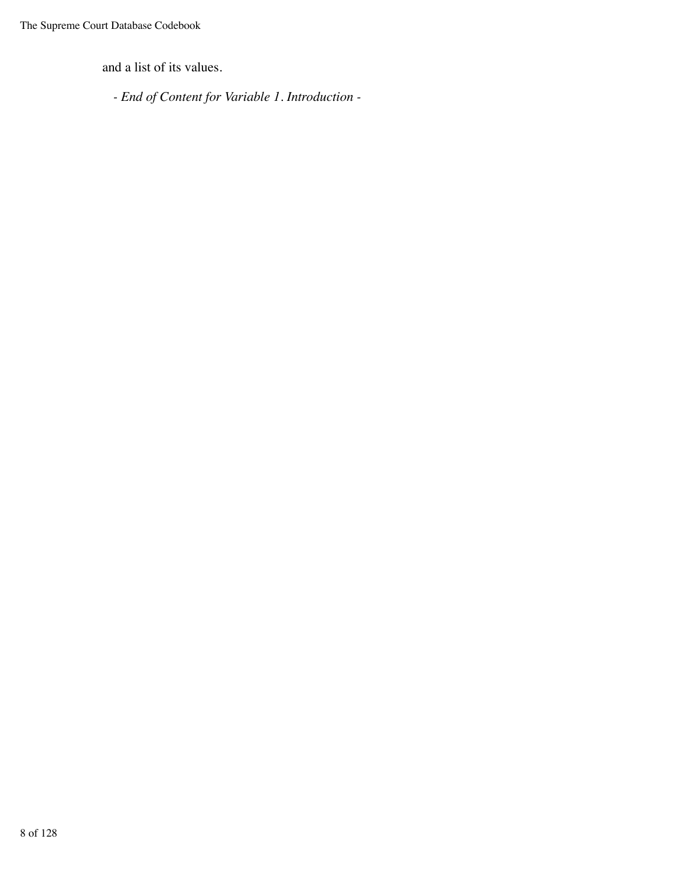and a list of its values.

*- End of Content for Variable 1. Introduction -*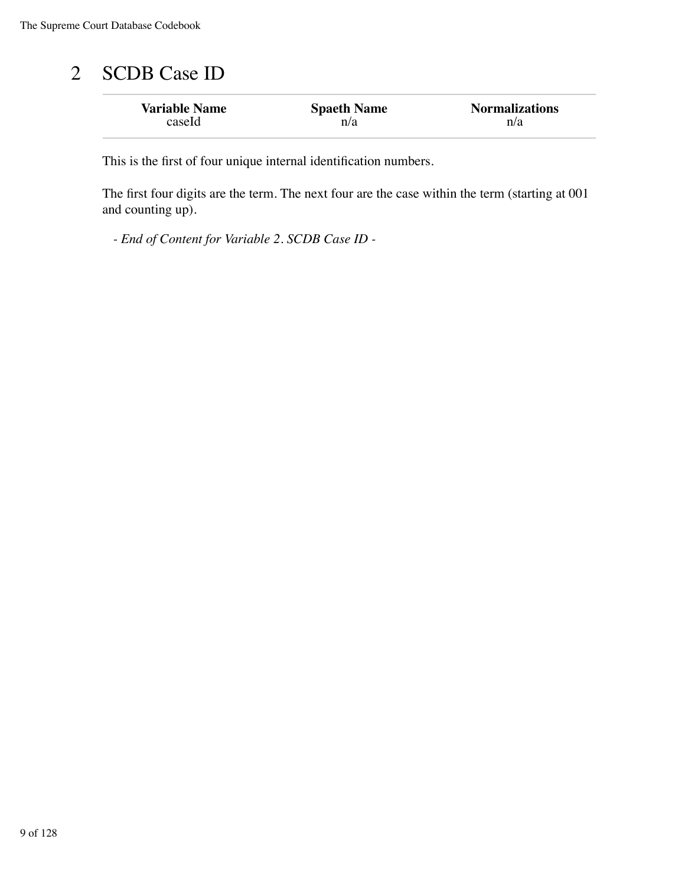## 2 SCDB Case ID

| <b>Variable Name</b> | <b>Spaeth Name</b> | <b>Normalizations</b> |
|----------------------|--------------------|-----------------------|
| caseId               | n/a                | n/a                   |

This is the first of four unique internal identification numbers.

The first four digits are the term. The next four are the case within the term (starting at 001 and counting up).

*- End of Content for Variable 2. SCDB Case ID -*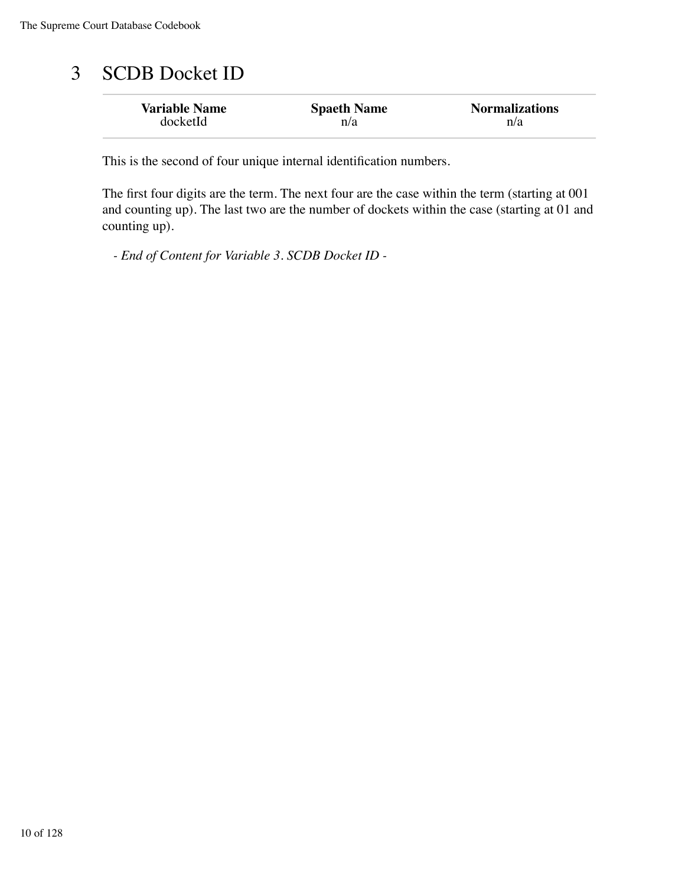## 3 SCDB Docket ID

| <b>Variable Name</b> | <b>Spaeth Name</b> | <b>Normalizations</b> |
|----------------------|--------------------|-----------------------|
| docketId             | n/a                | n/a                   |

This is the second of four unique internal identification numbers.

The first four digits are the term. The next four are the case within the term (starting at 001 and counting up). The last two are the number of dockets within the case (starting at 01 and counting up).

*- End of Content for Variable 3. SCDB Docket ID -*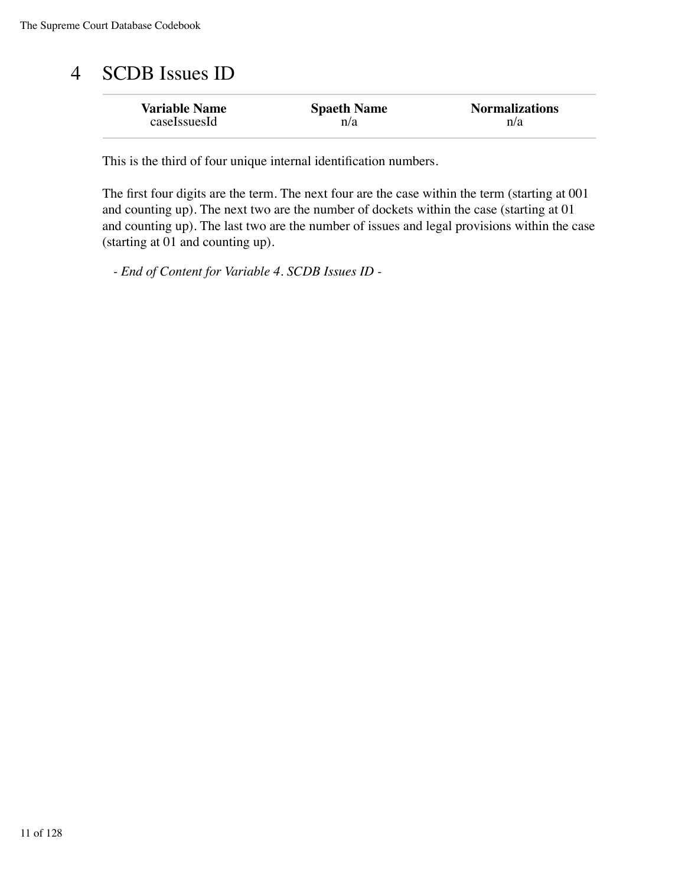## 4 SCDB Issues ID

| <b>Variable Name</b> | <b>Spaeth Name</b> | <b>Normalizations</b> |
|----------------------|--------------------|-----------------------|
| caseIssuesId         | n/a                | n/a                   |

This is the third of four unique internal identification numbers.

The first four digits are the term. The next four are the case within the term (starting at 001 and counting up). The next two are the number of dockets within the case (starting at 01 and counting up). The last two are the number of issues and legal provisions within the case (starting at 01 and counting up).

*- End of Content for Variable 4. SCDB Issues ID -*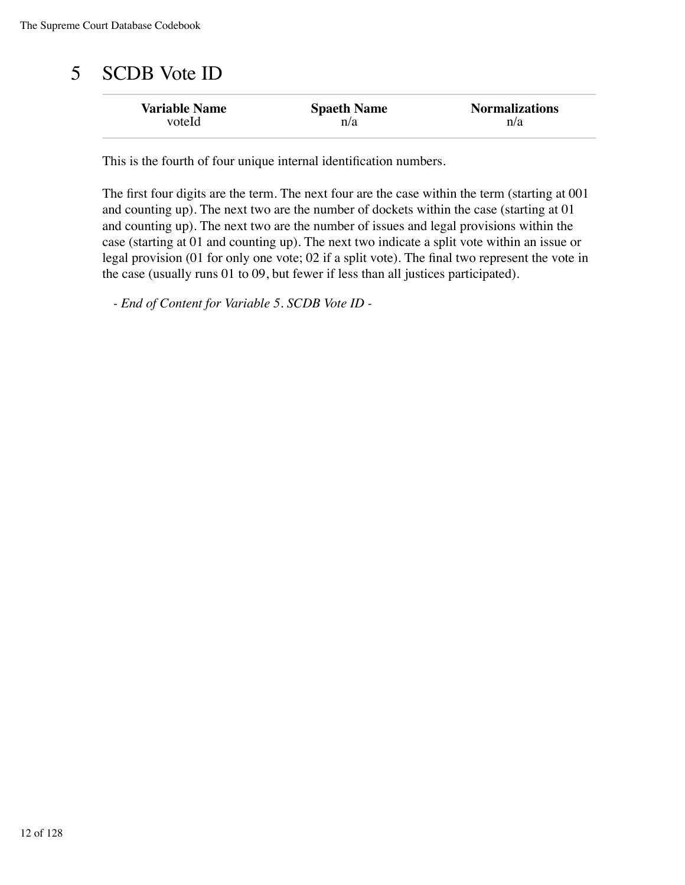## 5 SCDB Vote ID

| <b>Variable Name</b> | <b>Spaeth Name</b> | <b>Normalizations</b> |
|----------------------|--------------------|-----------------------|
| voteId               | n/a                | n/a                   |

This is the fourth of four unique internal identification numbers.

The first four digits are the term. The next four are the case within the term (starting at 001 and counting up). The next two are the number of dockets within the case (starting at 01 and counting up). The next two are the number of issues and legal provisions within the case (starting at 01 and counting up). The next two indicate a split vote within an issue or legal provision (01 for only one vote; 02 if a split vote). The final two represent the vote in the case (usually runs 01 to 09, but fewer if less than all justices participated).

*- End of Content for Variable 5. SCDB Vote ID -*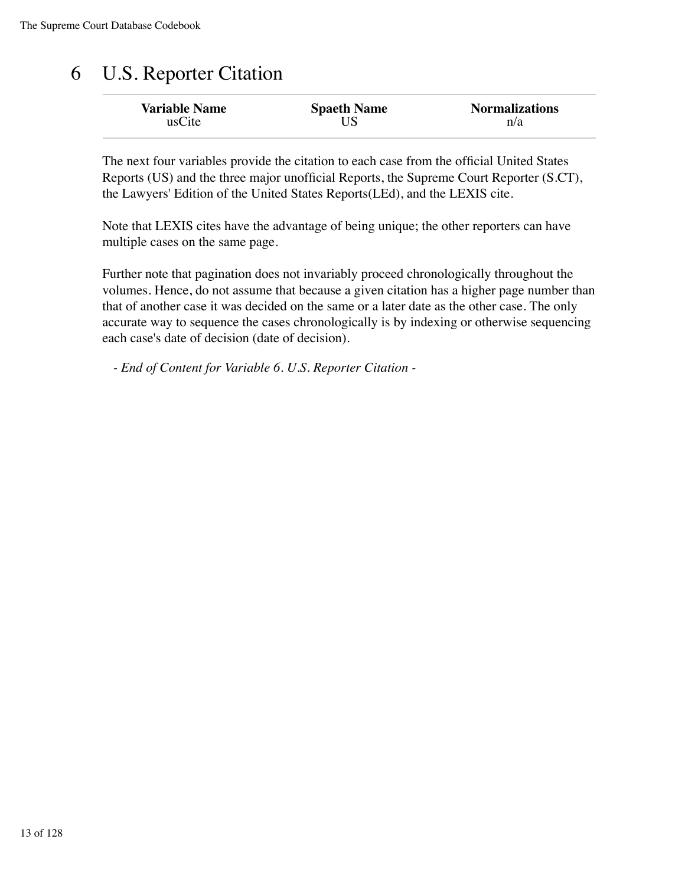# 6 U.S. Reporter Citation

| <b>Variable Name</b> | <b>Spaeth Name</b> | <b>Normalizations</b> |
|----------------------|--------------------|-----------------------|
| usCite               |                    | n/a                   |

The next four variables provide the citation to each case from the official United States Reports (US) and the three major unofficial Reports, the Supreme Court Reporter (S.CT), the Lawyers' Edition of the United States Reports(LEd), and the LEXIS cite.

Note that LEXIS cites have the advantage of being unique; the other reporters can have multiple cases on the same page.

Further note that pagination does not invariably proceed chronologically throughout the volumes. Hence, do not assume that because a given citation has a higher page number than that of another case it was decided on the same or a later date as the other case. The only accurate way to sequence the cases chronologically is by indexing or otherwise sequencing each case's date of decision (date of decision).

*- End of Content for Variable 6. U.S. Reporter Citation -*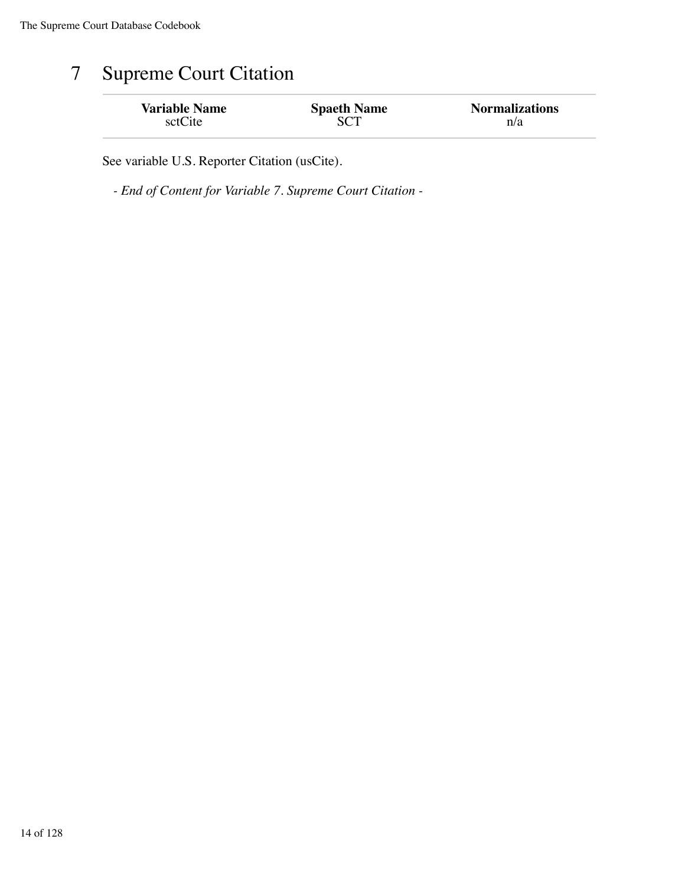## 7 Supreme Court Citation

| <b>Variable Name</b> | <b>Spaeth Name</b> | <b>Normalizations</b> |
|----------------------|--------------------|-----------------------|
| sctCite              |                    | n/a                   |

See variable U.S. Reporter Citation (usCite).

*- End of Content for Variable 7. Supreme Court Citation -*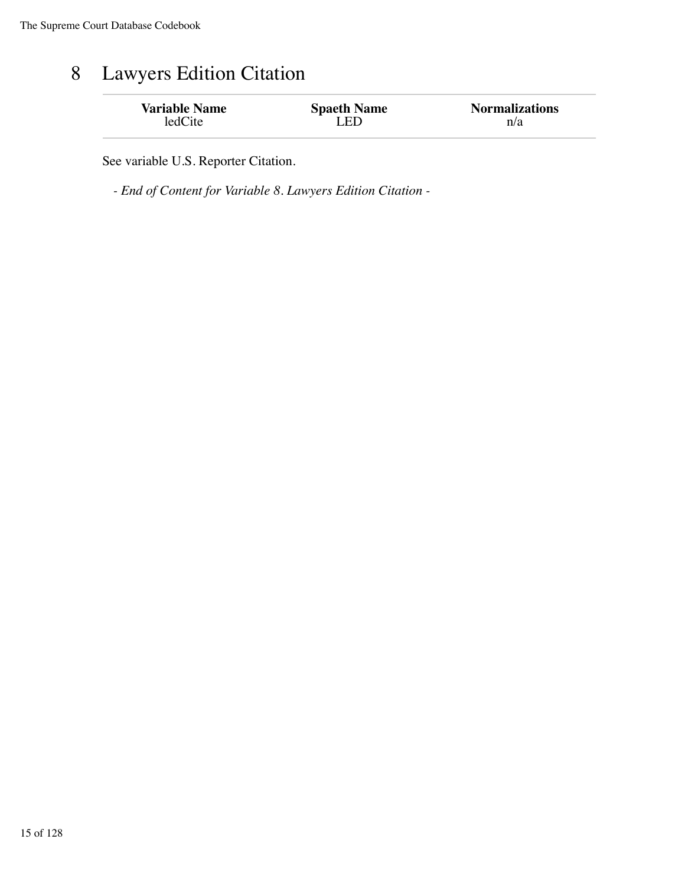### 8 Lawyers Edition Citation

| <b>Variable Name</b> | <b>Spaeth Name</b> | <b>Normalizations</b> |
|----------------------|--------------------|-----------------------|
| ledCite              | I ED               | n/a                   |

See variable U.S. Reporter Citation.

*- End of Content for Variable 8. Lawyers Edition Citation -*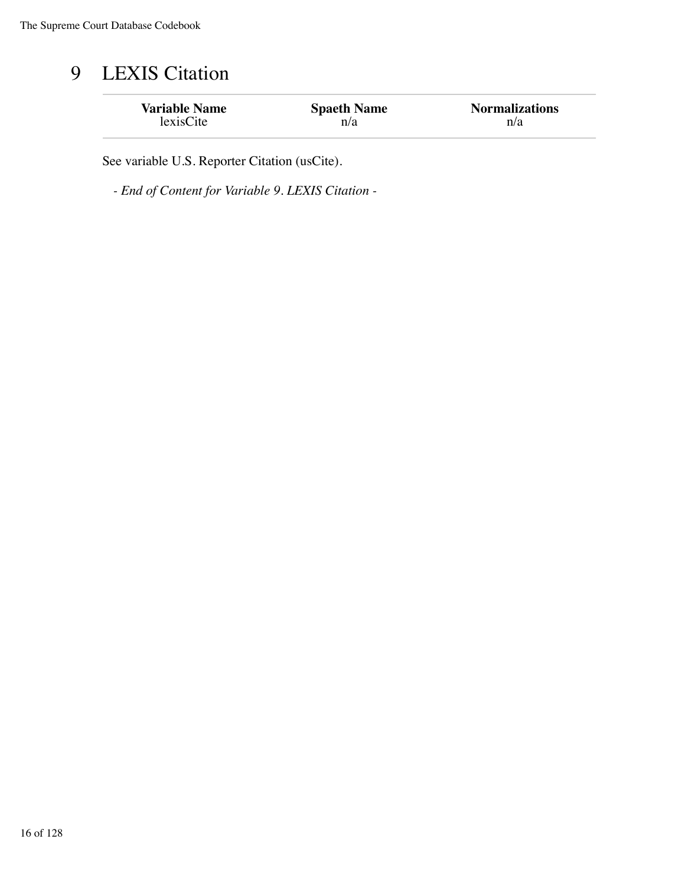## 9 LEXIS Citation

| <b>Variable Name</b> | <b>Spaeth Name</b> | <b>Normalizations</b> |
|----------------------|--------------------|-----------------------|
| lexisCite            | n/a                | n/a                   |

See variable U.S. Reporter Citation (usCite).

*- End of Content for Variable 9. LEXIS Citation -*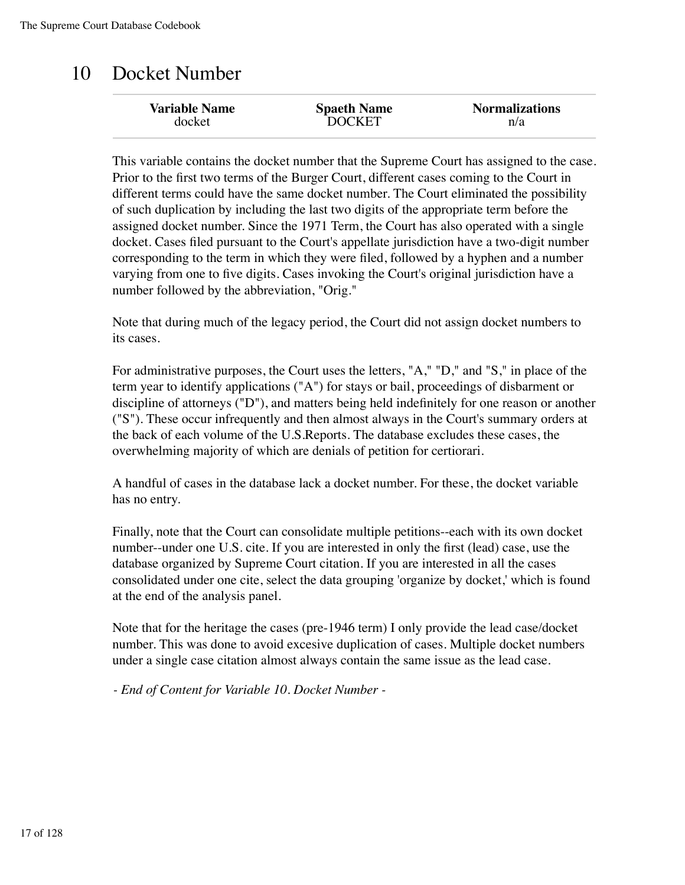## 10 Docket Number

| <b>Variable Name</b><br><b>Normalizations</b><br><b>Spaeth Name</b><br><b>DOCKET</b><br>docket<br>n/a |  |
|-------------------------------------------------------------------------------------------------------|--|
|-------------------------------------------------------------------------------------------------------|--|

This variable contains the docket number that the Supreme Court has assigned to the case. Prior to the first two terms of the Burger Court, different cases coming to the Court in different terms could have the same docket number. The Court eliminated the possibility of such duplication by including the last two digits of the appropriate term before the assigned docket number. Since the 1971 Term, the Court has also operated with a single docket. Cases filed pursuant to the Court's appellate jurisdiction have a two-digit number corresponding to the term in which they were filed, followed by a hyphen and a number varying from one to five digits. Cases invoking the Court's original jurisdiction have a number followed by the abbreviation, "Orig."

Note that during much of the legacy period, the Court did not assign docket numbers to its cases.

For administrative purposes, the Court uses the letters, "A," "D," and "S," in place of the term year to identify applications ("A") for stays or bail, proceedings of disbarment or discipline of attorneys ("D"), and matters being held indefinitely for one reason or another ("S"). These occur infrequently and then almost always in the Court's summary orders at the back of each volume of the U.S.Reports. The database excludes these cases, the overwhelming majority of which are denials of petition for certiorari.

A handful of cases in the database lack a docket number. For these, the docket variable has no entry.

Finally, note that the Court can consolidate multiple petitions--each with its own docket number--under one U.S. cite. If you are interested in only the first (lead) case, use the database organized by Supreme Court citation. If you are interested in all the cases consolidated under one cite, select the data grouping 'organize by docket,' which is found at the end of the analysis panel.

Note that for the heritage the cases (pre-1946 term) I only provide the lead case/docket number. This was done to avoid excesive duplication of cases. Multiple docket numbers under a single case citation almost always contain the same issue as the lead case.

*- End of Content for Variable 10. Docket Number -*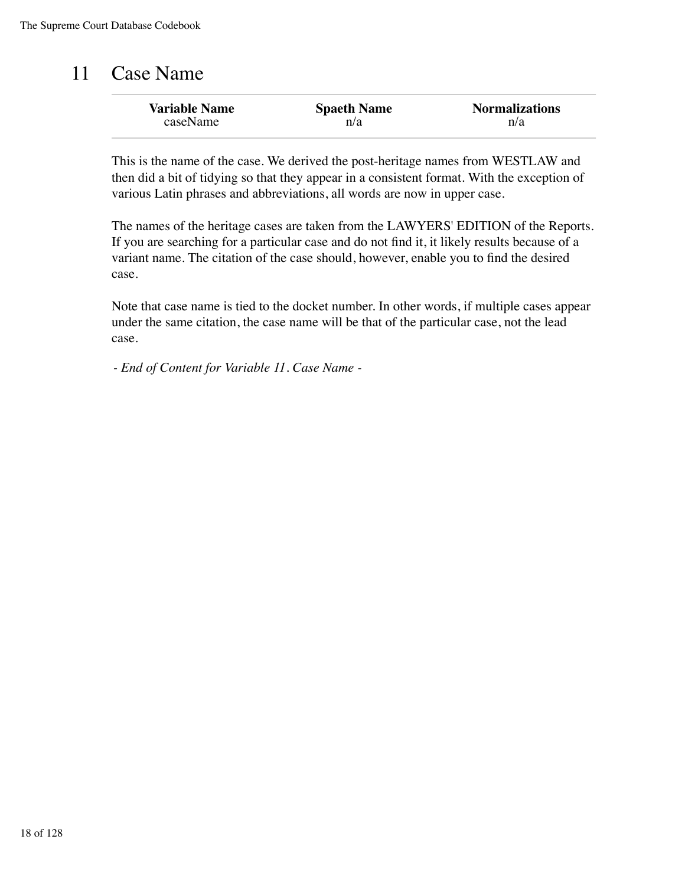### 11 Case Name

| <b>Variable Name</b> | <b>Spaeth Name</b> | <b>Normalizations</b> |
|----------------------|--------------------|-----------------------|
| caseName             | n/a                | n/a                   |

This is the name of the case. We derived the post-heritage names from WESTLAW and then did a bit of tidying so that they appear in a consistent format. With the exception of various Latin phrases and abbreviations, all words are now in upper case.

The names of the heritage cases are taken from the LAWYERS' EDITION of the Reports. If you are searching for a particular case and do not find it, it likely results because of a variant name. The citation of the case should, however, enable you to find the desired case.

Note that case name is tied to the docket number. In other words, if multiple cases appear under the same citation, the case name will be that of the particular case, not the lead case.

*- End of Content for Variable 11. Case Name -*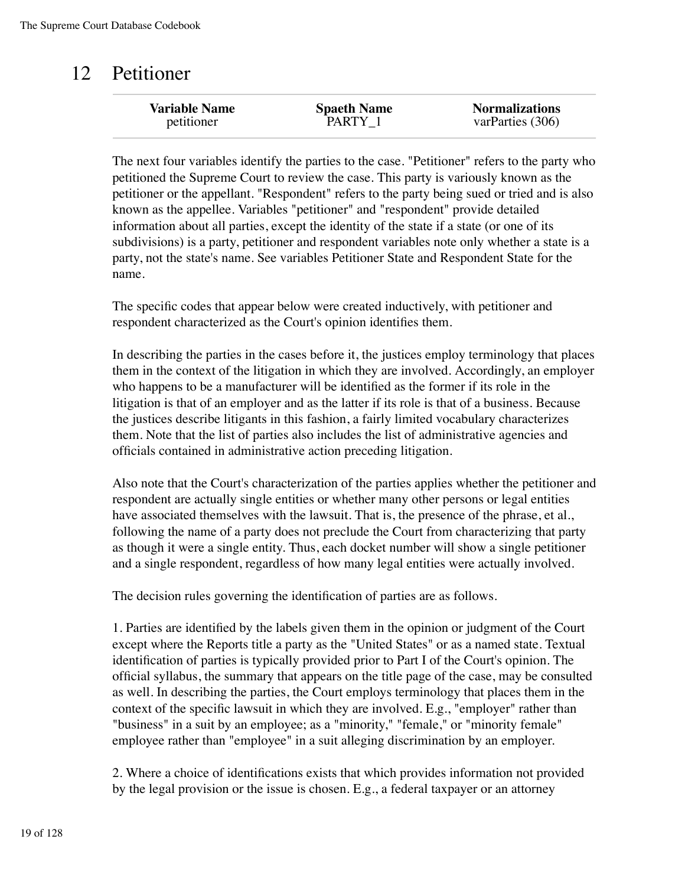### 12 Petitioner

| <b>Variable Name</b> | <b>Spaeth Name</b> | <b>Normalizations</b> |
|----------------------|--------------------|-----------------------|
| petitioner           | PARTY 1            | varParties (306)      |
|                      |                    |                       |

The next four variables identify the parties to the case. "Petitioner" refers to the party who petitioned the Supreme Court to review the case. This party is variously known as the petitioner or the appellant. "Respondent" refers to the party being sued or tried and is also known as the appellee. Variables "petitioner" and "respondent" provide detailed information about all parties, except the identity of the state if a state (or one of its subdivisions) is a party, petitioner and respondent variables note only whether a state is a party, not the state's name. See variables Petitioner State and Respondent State for the name.

The specific codes that appear below were created inductively, with petitioner and respondent characterized as the Court's opinion identifies them.

In describing the parties in the cases before it, the justices employ terminology that places them in the context of the litigation in which they are involved. Accordingly, an employer who happens to be a manufacturer will be identified as the former if its role in the litigation is that of an employer and as the latter if its role is that of a business. Because the justices describe litigants in this fashion, a fairly limited vocabulary characterizes them. Note that the list of parties also includes the list of administrative agencies and officials contained in administrative action preceding litigation.

Also note that the Court's characterization of the parties applies whether the petitioner and respondent are actually single entities or whether many other persons or legal entities have associated themselves with the lawsuit. That is, the presence of the phrase, et al., following the name of a party does not preclude the Court from characterizing that party as though it were a single entity. Thus, each docket number will show a single petitioner and a single respondent, regardless of how many legal entities were actually involved.

The decision rules governing the identification of parties are as follows.

1. Parties are identified by the labels given them in the opinion or judgment of the Court except where the Reports title a party as the "United States" or as a named state. Textual identification of parties is typically provided prior to Part I of the Court's opinion. The official syllabus, the summary that appears on the title page of the case, may be consulted as well. In describing the parties, the Court employs terminology that places them in the context of the specific lawsuit in which they are involved. E.g., "employer" rather than "business" in a suit by an employee; as a "minority," "female," or "minority female" employee rather than "employee" in a suit alleging discrimination by an employer.

2. Where a choice of identifications exists that which provides information not provided by the legal provision or the issue is chosen. E.g., a federal taxpayer or an attorney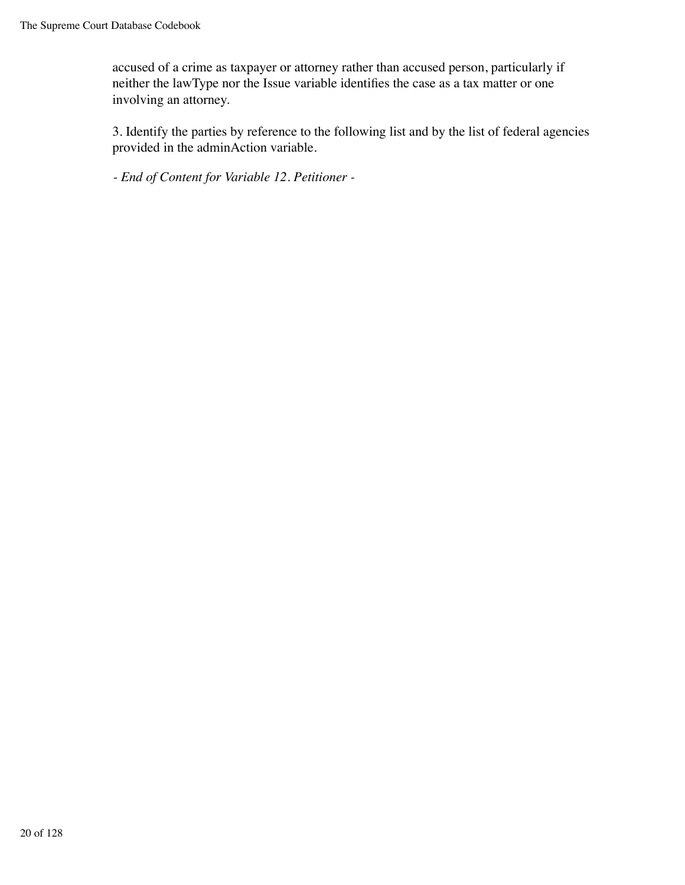accused of a crime as taxpayer or attorney rather than accused person, particularly if neither the lawType nor the Issue variable identifies the case as a tax matter or one involving an attorney.

3. Identify the parties by reference to the following list and by the list of federal agencies provided in the adminAction variable.

*- End of Content for Variable 12. Petitioner -*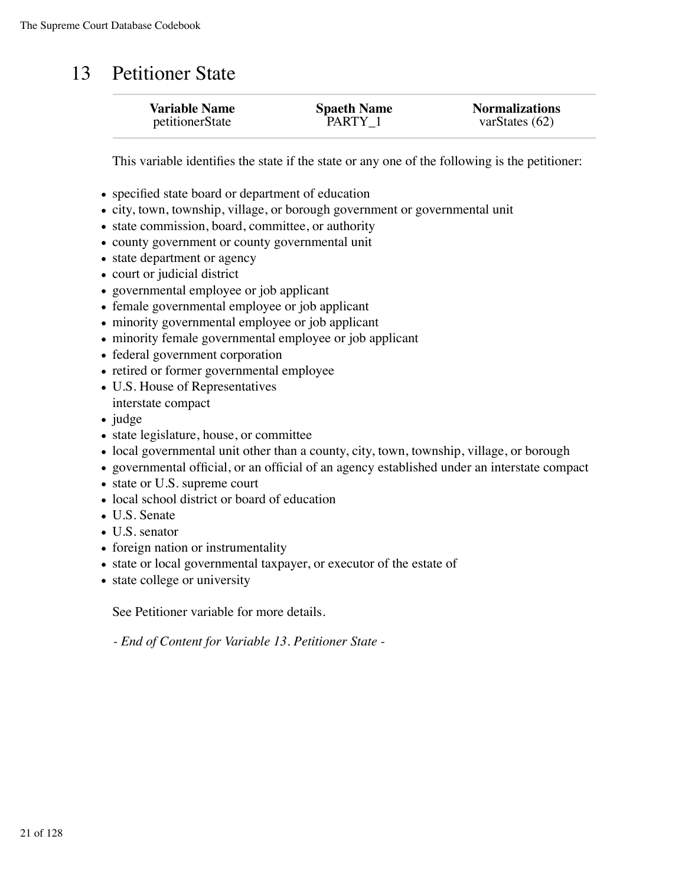### 13 Petitioner State

| <b>Variable Name</b> | <b>Spaeth Name</b> | <b>Normalizations</b> |
|----------------------|--------------------|-----------------------|
| petitionerState      | PARTY 1            | varStates $(62)$      |
|                      |                    |                       |

This variable identifies the state if the state or any one of the following is the petitioner:

- specified state board or department of education
- city, town, township, village, or borough government or governmental unit
- state commission, board, committee, or authority
- county government or county governmental unit
- state department or agency
- court or judicial district
- governmental employee or job applicant
- female governmental employee or job applicant
- minority governmental employee or job applicant
- minority female governmental employee or job applicant
- federal government corporation
- retired or former governmental employee
- U.S. House of Representatives
- interstate compact
- $\bullet$  judge
- state legislature, house, or committee
- local governmental unit other than a county, city, town, township, village, or borough
- governmental official, or an official of an agency established under an interstate compact
- state or U.S. supreme court
- local school district or board of education
- U.S. Senate
- U.S. senator
- foreign nation or instrumentality
- state or local governmental taxpayer, or executor of the estate of
- state college or university

See Petitioner variable for more details.

*- End of Content for Variable 13. Petitioner State -*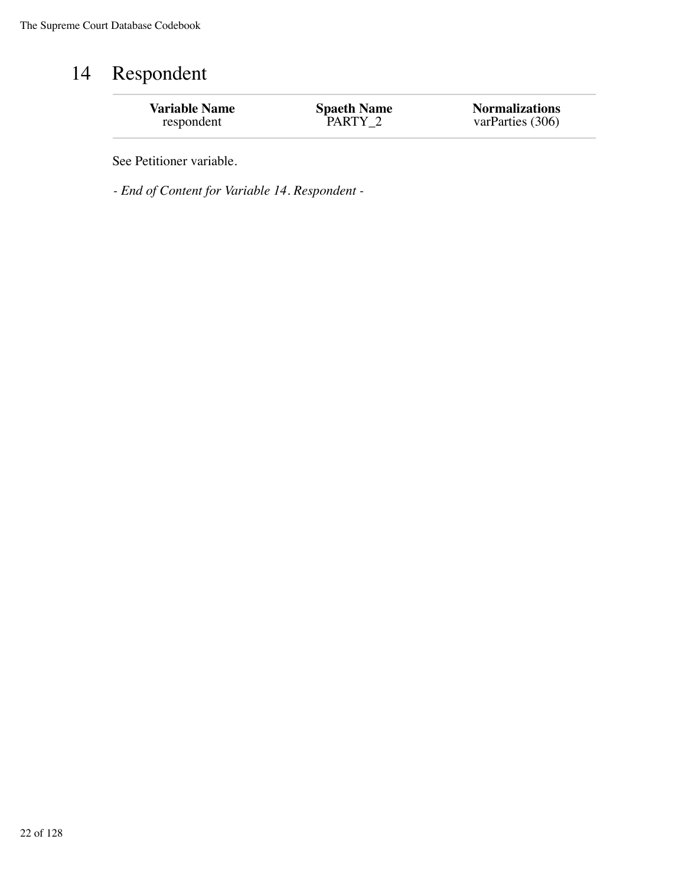## 14 Respondent

See Petitioner variable.

*- End of Content for Variable 14. Respondent -*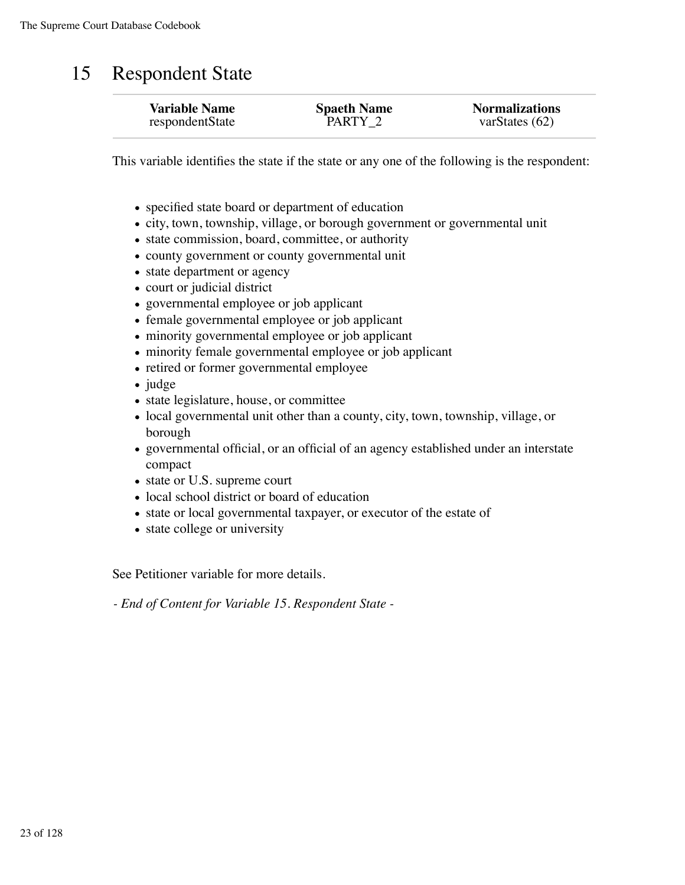#### 15 Respondent State

| <b>Variable Name</b> | <b>Spaeth Name</b><br>PARTY 2 | <b>Normalizations</b> |
|----------------------|-------------------------------|-----------------------|
| respondentState      |                               | varStates $(62)$      |

This variable identifies the state if the state or any one of the following is the respondent:

- specified state board or department of education
- city, town, township, village, or borough government or governmental unit
- state commission, board, committee, or authority
- county government or county governmental unit
- state department or agency
- court or judicial district
- governmental employee or job applicant
- female governmental employee or job applicant
- minority governmental employee or job applicant
- minority female governmental employee or job applicant
- retired or former governmental employee
- judge
- state legislature, house, or committee
- local governmental unit other than a county, city, town, township, village, or borough
- governmental official, or an official of an agency established under an interstate compact
- state or U.S. supreme court
- local school district or board of education
- state or local governmental taxpayer, or executor of the estate of
- state college or university

See Petitioner variable for more details.

*- End of Content for Variable 15. Respondent State -*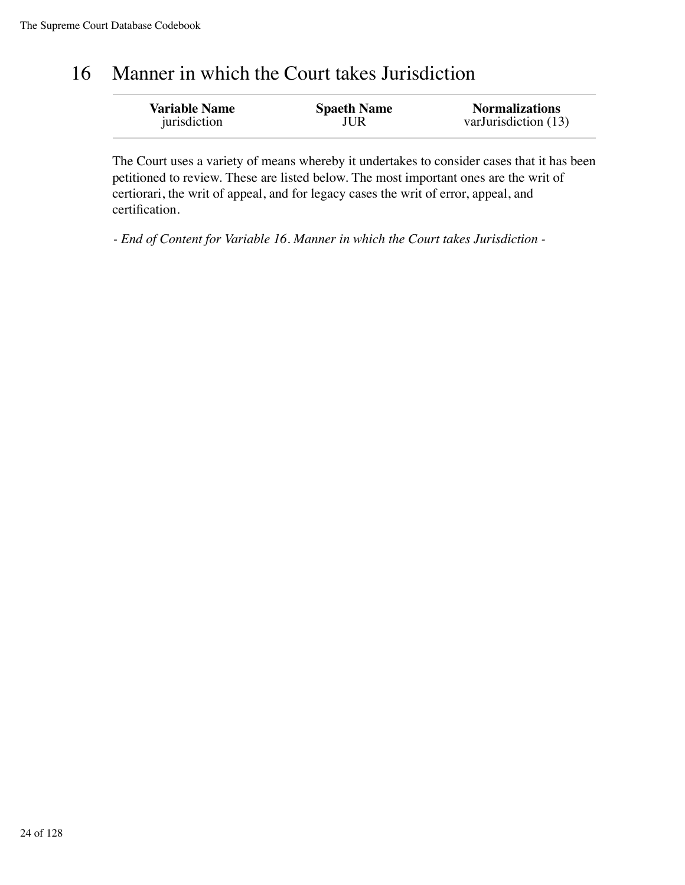#### 16 Manner in which the Court takes Jurisdiction

| <b>Variable Name</b> | <b>Spaeth Name</b> | <b>Normalizations</b> |
|----------------------|--------------------|-----------------------|
| jurisdiction         | JUR                | varJurisdiction (13)  |

The Court uses a variety of means whereby it undertakes to consider cases that it has been petitioned to review. These are listed below. The most important ones are the writ of certiorari, the writ of appeal, and for legacy cases the writ of error, appeal, and certification.

*- End of Content for Variable 16. Manner in which the Court takes Jurisdiction -*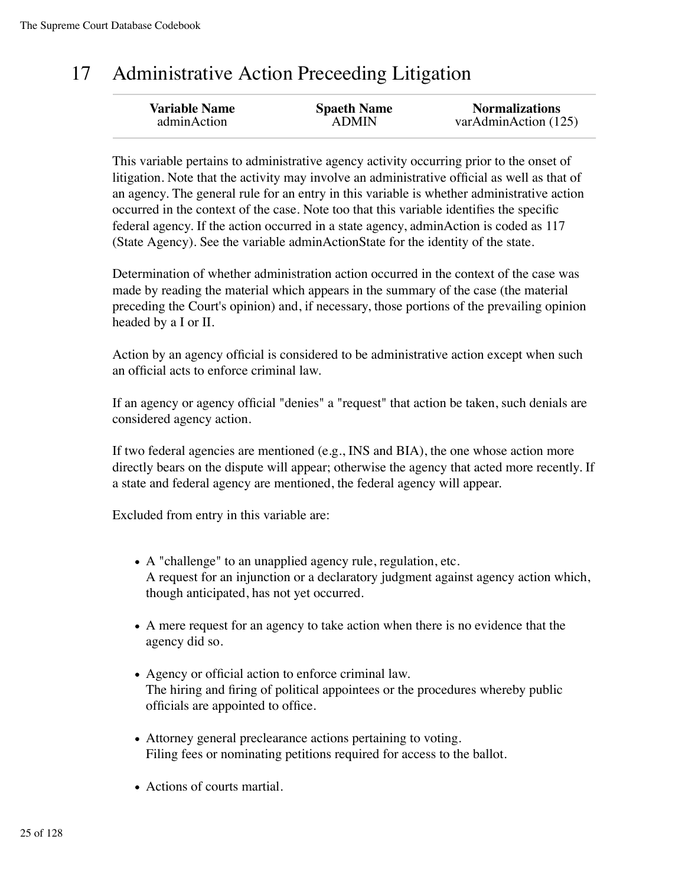#### 17 Administrative Action Preceeding Litigation

| <b>Variable Name</b> | <b>Spaeth Name</b> | <b>Normalizations</b> |
|----------------------|--------------------|-----------------------|
| adminAction          | <b>ADMIN</b>       | varAdminAction (125)  |
|                      |                    |                       |

This variable pertains to administrative agency activity occurring prior to the onset of litigation. Note that the activity may involve an administrative official as well as that of an agency. The general rule for an entry in this variable is whether administrative action occurred in the context of the case. Note too that this variable identifies the specific federal agency. If the action occurred in a state agency, adminAction is coded as 117 (State Agency). See the variable adminActionState for the identity of the state.

Determination of whether administration action occurred in the context of the case was made by reading the material which appears in the summary of the case (the material preceding the Court's opinion) and, if necessary, those portions of the prevailing opinion headed by a I or II.

Action by an agency official is considered to be administrative action except when such an official acts to enforce criminal law.

If an agency or agency official "denies" a "request" that action be taken, such denials are considered agency action.

If two federal agencies are mentioned (e.g., INS and BIA), the one whose action more directly bears on the dispute will appear; otherwise the agency that acted more recently. If a state and federal agency are mentioned, the federal agency will appear.

Excluded from entry in this variable are:

- A "challenge" to an unapplied agency rule, regulation, etc. A request for an injunction or a declaratory judgment against agency action which, though anticipated, has not yet occurred.
- A mere request for an agency to take action when there is no evidence that the agency did so.
- Agency or official action to enforce criminal law. The hiring and firing of political appointees or the procedures whereby public officials are appointed to office.
- Attorney general preclearance actions pertaining to voting. Filing fees or nominating petitions required for access to the ballot.
- Actions of courts martial.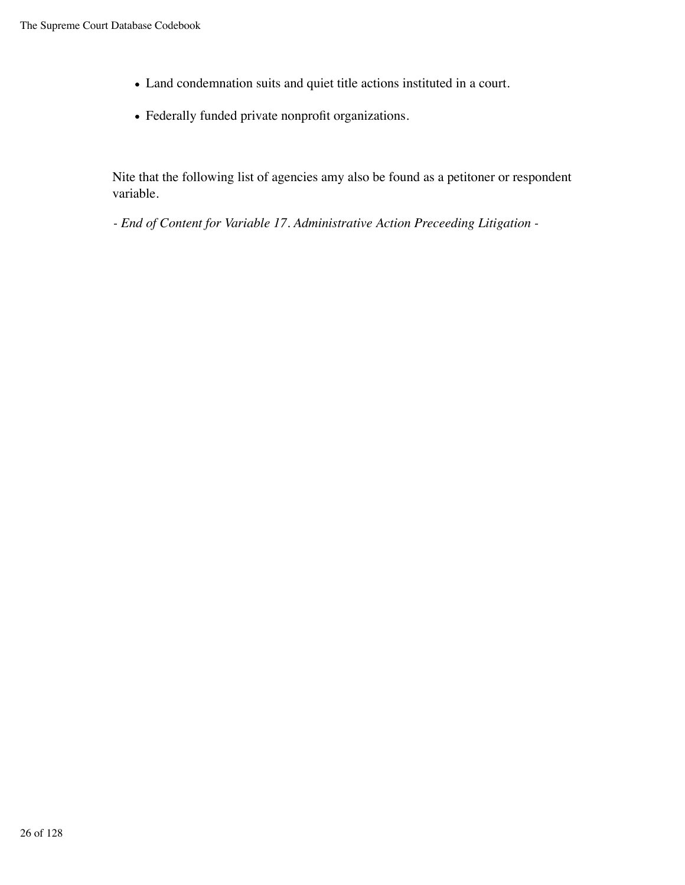- Land condemnation suits and quiet title actions instituted in a court.
- Federally funded private nonprofit organizations.

Nite that the following list of agencies amy also be found as a petitoner or respondent variable.

*- End of Content for Variable 17. Administrative Action Preceeding Litigation -*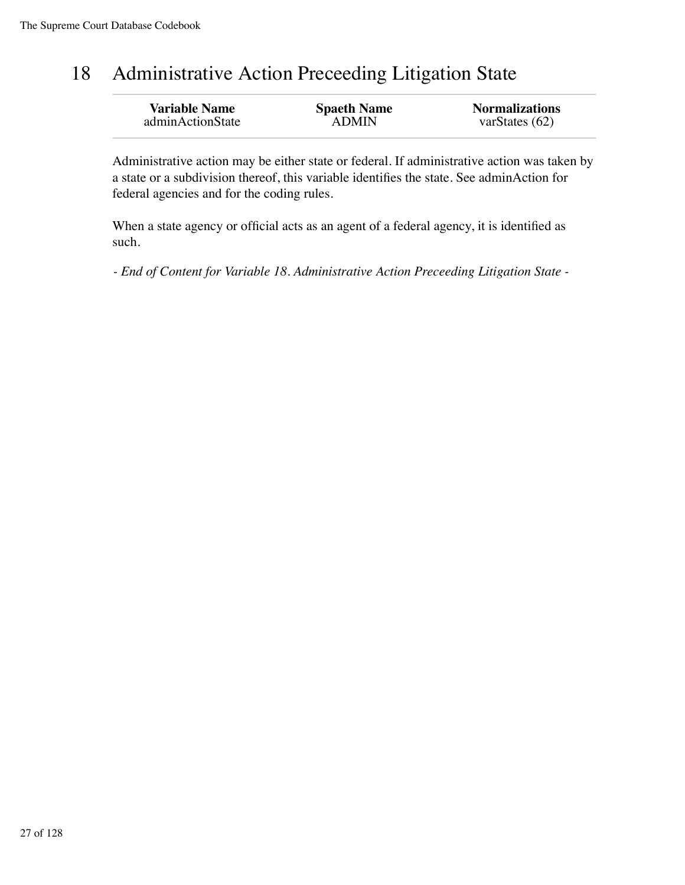#### 18 Administrative Action Preceeding Litigation State

| <b>Variable Name</b> | <b>Spaeth Name</b> | <b>Normalizations</b> |
|----------------------|--------------------|-----------------------|
| adminActionState     | <b>ADMIN</b>       | varStates $(62)$      |
|                      |                    |                       |

Administrative action may be either state or federal. If administrative action was taken by a state or a subdivision thereof, this variable identifies the state. See adminAction for federal agencies and for the coding rules.

When a state agency or official acts as an agent of a federal agency, it is identified as such.

*- End of Content for Variable 18. Administrative Action Preceeding Litigation State -*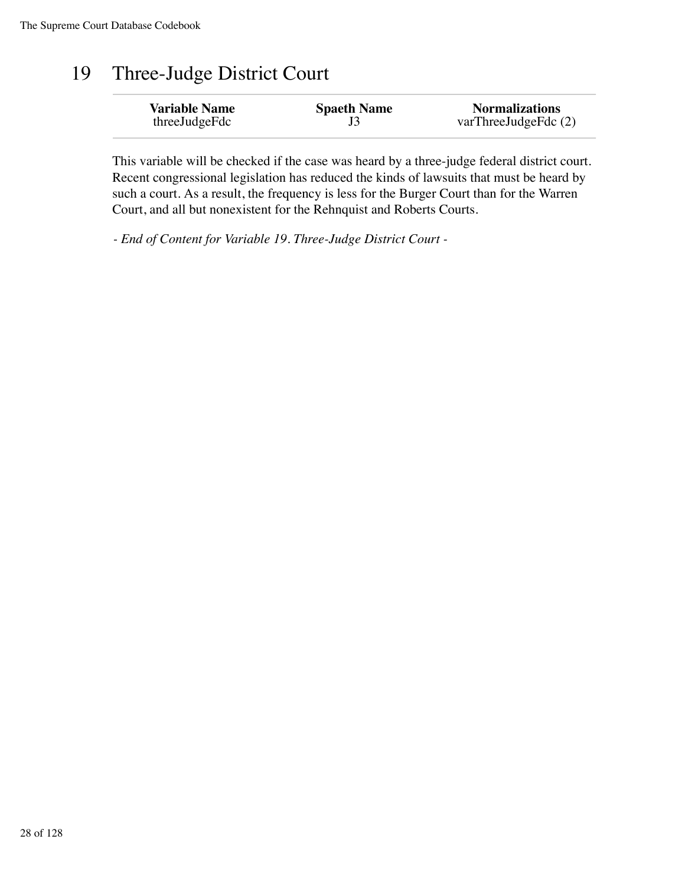#### 19 Three-Judge District Court

| <b>Variable Name</b> | <b>Spaeth Name</b> | <b>Normalizations</b> |
|----------------------|--------------------|-----------------------|
| threeJudgeFdc        |                    | varThreeJudgeFdc (2)  |

This variable will be checked if the case was heard by a three-judge federal district court. Recent congressional legislation has reduced the kinds of lawsuits that must be heard by such a court. As a result, the frequency is less for the Burger Court than for the Warren Court, and all but nonexistent for the Rehnquist and Roberts Courts.

*- End of Content for Variable 19. Three-Judge District Court -*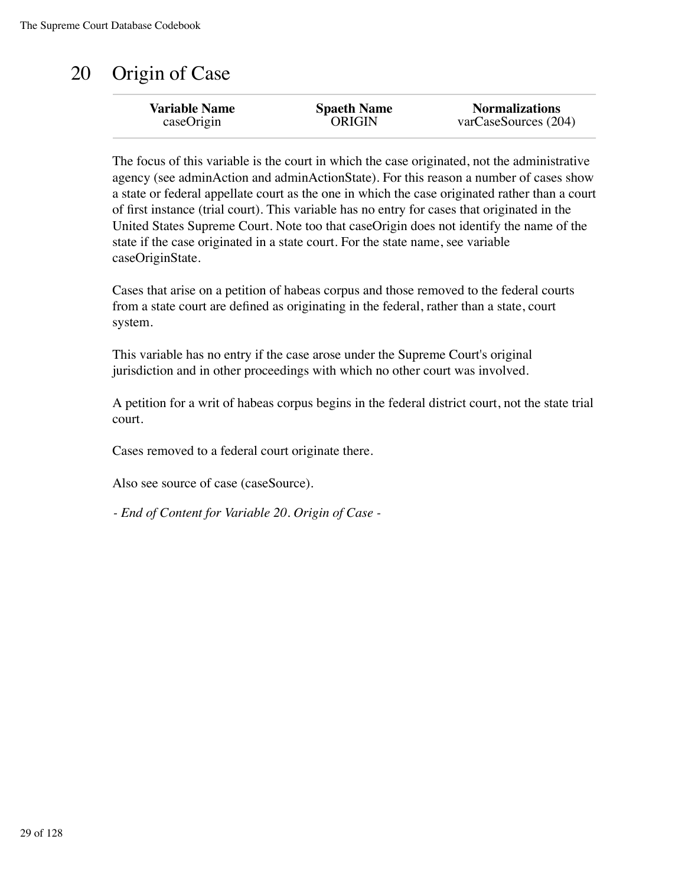## 20 Origin of Case

| <b>Variable Name</b> | <b>Spaeth Name</b> | <b>Normalizations</b> |
|----------------------|--------------------|-----------------------|
| caseOrigin           | <b>ORIGIN</b>      | varCaseSources (204)  |
|                      |                    |                       |

The focus of this variable is the court in which the case originated, not the administrative agency (see adminAction and adminActionState). For this reason a number of cases show a state or federal appellate court as the one in which the case originated rather than a court of first instance (trial court). This variable has no entry for cases that originated in the United States Supreme Court. Note too that caseOrigin does not identify the name of the state if the case originated in a state court. For the state name, see variable caseOriginState.

Cases that arise on a petition of habeas corpus and those removed to the federal courts from a state court are defined as originating in the federal, rather than a state, court system.

This variable has no entry if the case arose under the Supreme Court's original jurisdiction and in other proceedings with which no other court was involved.

A petition for a writ of habeas corpus begins in the federal district court, not the state trial court.

Cases removed to a federal court originate there.

Also see source of case (caseSource).

*- End of Content for Variable 20. Origin of Case -*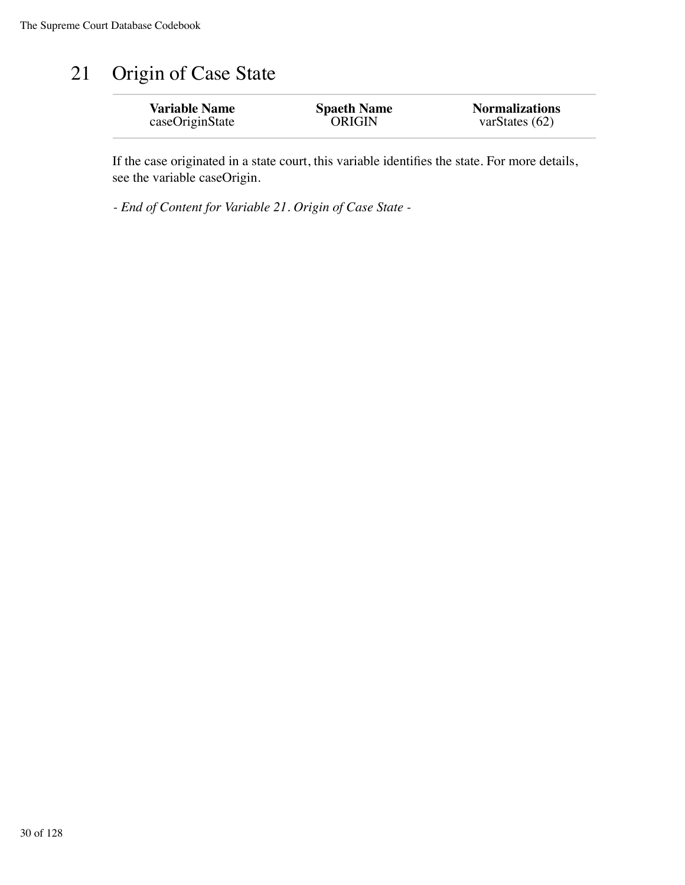### 21 Origin of Case State

| <b>Variable Name</b> | <b>Spaeth Name</b> | <b>Normalizations</b> |
|----------------------|--------------------|-----------------------|
| caseOriginState      | <b>ORIGIN</b>      | varStates $(62)$      |
|                      |                    |                       |

If the case originated in a state court, this variable identifies the state. For more details, see the variable caseOrigin.

*- End of Content for Variable 21. Origin of Case State -*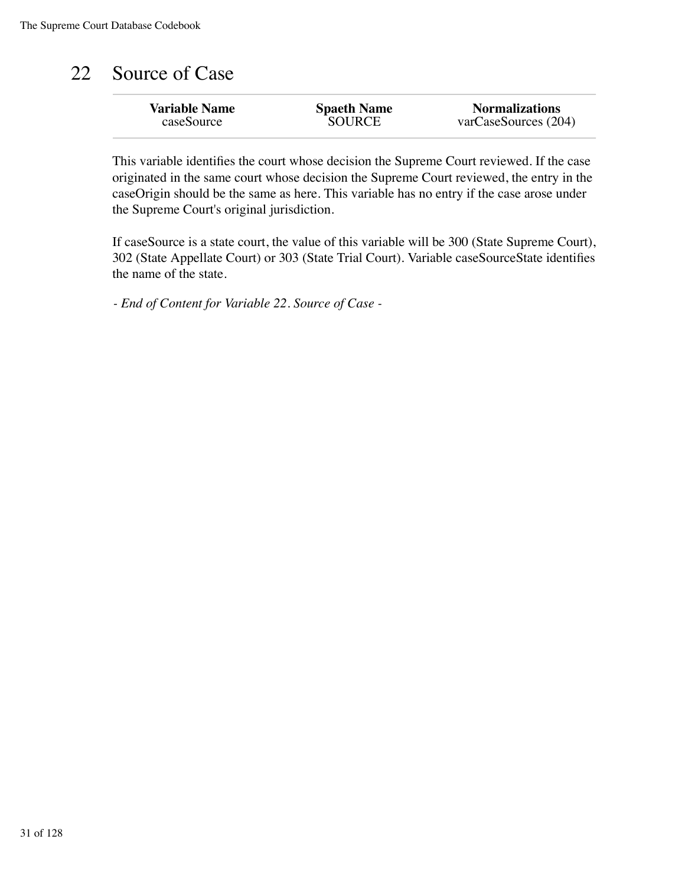## 22 Source of Case

| <b>Variable Name</b> | <b>Spaeth Name</b> | <b>Normalizations</b> |
|----------------------|--------------------|-----------------------|
| caseSource           | <b>SOURCE</b>      | varCaseSource(204)    |
|                      |                    |                       |

This variable identifies the court whose decision the Supreme Court reviewed. If the case originated in the same court whose decision the Supreme Court reviewed, the entry in the caseOrigin should be the same as here. This variable has no entry if the case arose under the Supreme Court's original jurisdiction.

If caseSource is a state court, the value of this variable will be 300 (State Supreme Court), 302 (State Appellate Court) or 303 (State Trial Court). Variable caseSourceState identifies the name of the state.

*- End of Content for Variable 22. Source of Case -*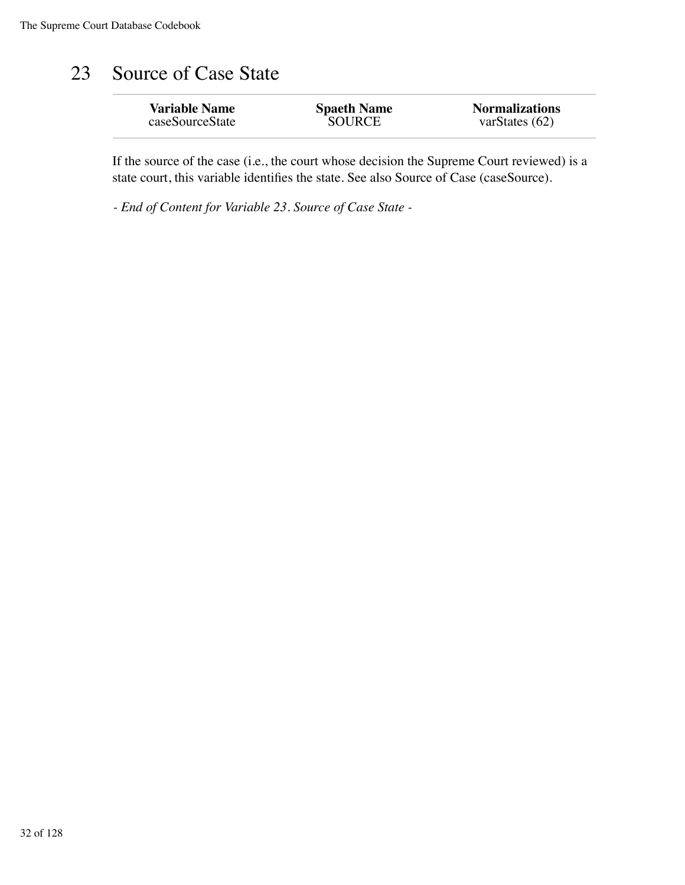### 23 Source of Case State

| <b>Variable Name</b> | <b>Spaeth Name</b> | <b>Normalizations</b> |
|----------------------|--------------------|-----------------------|
| caseSourceState      | <b>SOURCE</b>      | varStates $(62)$      |
|                      |                    |                       |

If the source of the case (i.e., the court whose decision the Supreme Court reviewed) is a state court, this variable identifies the state. See also Source of Case (caseSource).

*- End of Content for Variable 23. Source of Case State -*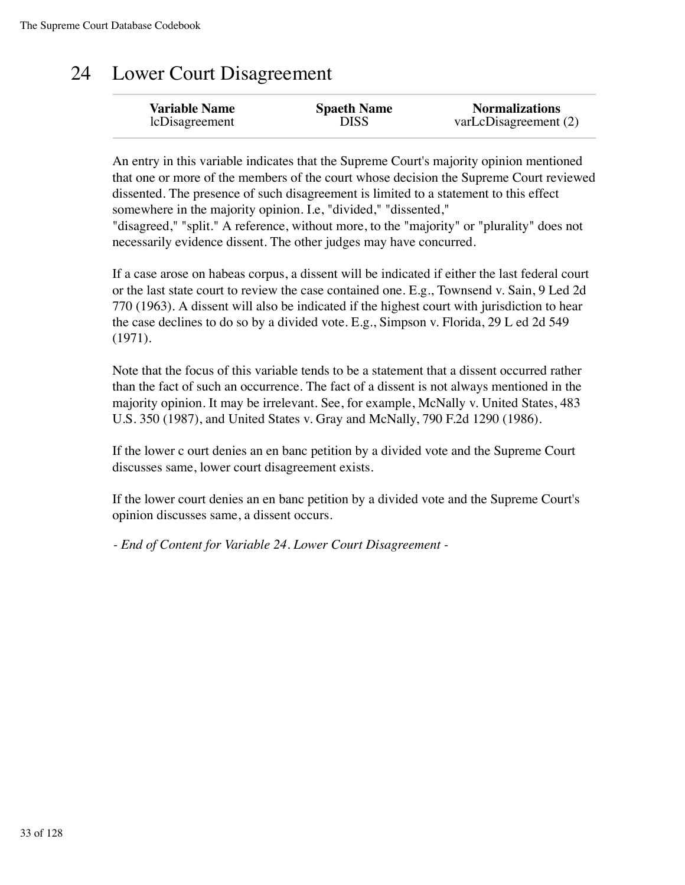### 24 Lower Court Disagreement

| <b>Variable Name</b> | <b>Spaeth Name</b> | <b>Normalizations</b> |
|----------------------|--------------------|-----------------------|
| lcDisagreement       | DISS               | varLcDisagreement (2) |

An entry in this variable indicates that the Supreme Court's majority opinion mentioned that one or more of the members of the court whose decision the Supreme Court reviewed dissented. The presence of such disagreement is limited to a statement to this effect somewhere in the majority opinion. I.e, "divided," "dissented," "disagreed," "split." A reference, without more, to the "majority" or "plurality" does not necessarily evidence dissent. The other judges may have concurred.

If a case arose on habeas corpus, a dissent will be indicated if either the last federal court or the last state court to review the case contained one. E.g., Townsend v. Sain, 9 Led 2d 770 (1963). A dissent will also be indicated if the highest court with jurisdiction to hear the case declines to do so by a divided vote. E.g., Simpson v. Florida, 29 L ed 2d 549 (1971).

Note that the focus of this variable tends to be a statement that a dissent occurred rather than the fact of such an occurrence. The fact of a dissent is not always mentioned in the majority opinion. It may be irrelevant. See, for example, McNally v. United States, 483 U.S. 350 (1987), and United States v. Gray and McNally, 790 F.2d 1290 (1986).

If the lower c ourt denies an en banc petition by a divided vote and the Supreme Court discusses same, lower court disagreement exists.

If the lower court denies an en banc petition by a divided vote and the Supreme Court's opinion discusses same, a dissent occurs.

*- End of Content for Variable 24. Lower Court Disagreement -*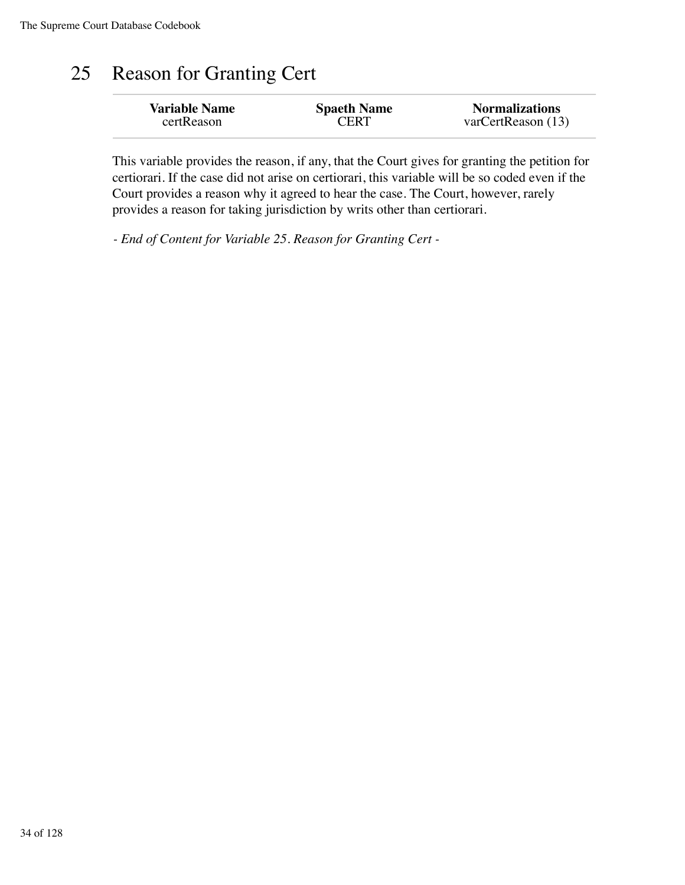### 25 Reason for Granting Cert

| <b>Variable Name</b> | <b>Spaeth Name</b> | <b>Normalizations</b> |
|----------------------|--------------------|-----------------------|
| certReason           | <b>CERT</b>        | varCertReason (13)    |
|                      |                    |                       |

This variable provides the reason, if any, that the Court gives for granting the petition for certiorari. If the case did not arise on certiorari, this variable will be so coded even if the Court provides a reason why it agreed to hear the case. The Court, however, rarely provides a reason for taking jurisdiction by writs other than certiorari.

*- End of Content for Variable 25. Reason for Granting Cert -*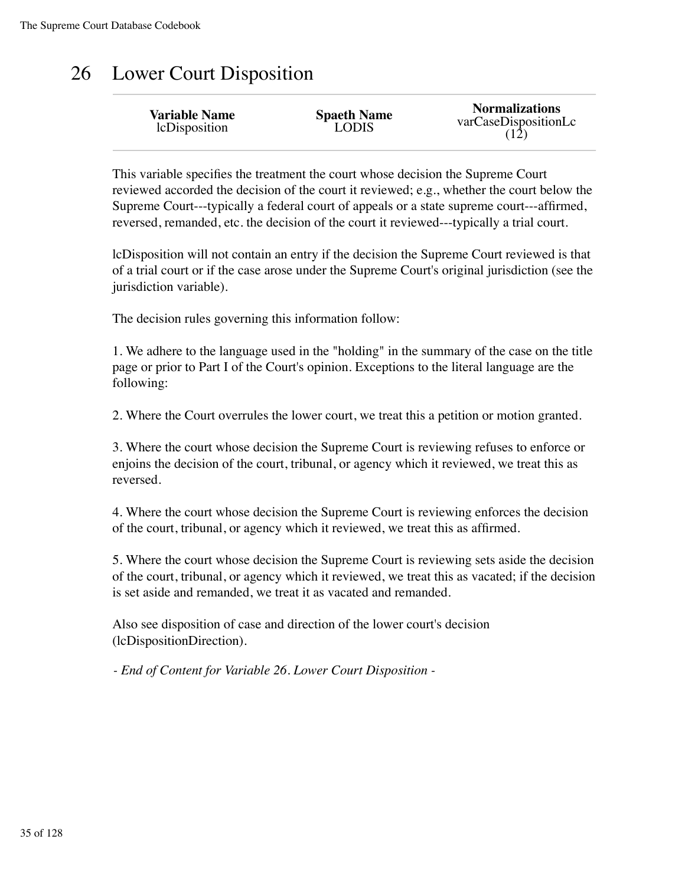### 26 Lower Court Disposition

| <b>Variable Name</b><br>lcDisposition | <b>Spaeth Name</b><br>LODIS | <b>Normalizations</b><br>varCaseDispositionLc<br>(12) |
|---------------------------------------|-----------------------------|-------------------------------------------------------|
|---------------------------------------|-----------------------------|-------------------------------------------------------|

This variable specifies the treatment the court whose decision the Supreme Court reviewed accorded the decision of the court it reviewed; e.g., whether the court below the Supreme Court---typically a federal court of appeals or a state supreme court---affirmed, reversed, remanded, etc. the decision of the court it reviewed---typically a trial court.

lcDisposition will not contain an entry if the decision the Supreme Court reviewed is that of a trial court or if the case arose under the Supreme Court's original jurisdiction (see the jurisdiction variable).

The decision rules governing this information follow:

1. We adhere to the language used in the "holding" in the summary of the case on the title page or prior to Part I of the Court's opinion. Exceptions to the literal language are the following:

2. Where the Court overrules the lower court, we treat this a petition or motion granted.

3. Where the court whose decision the Supreme Court is reviewing refuses to enforce or enjoins the decision of the court, tribunal, or agency which it reviewed, we treat this as reversed.

4. Where the court whose decision the Supreme Court is reviewing enforces the decision of the court, tribunal, or agency which it reviewed, we treat this as affirmed.

5. Where the court whose decision the Supreme Court is reviewing sets aside the decision of the court, tribunal, or agency which it reviewed, we treat this as vacated; if the decision is set aside and remanded, we treat it as vacated and remanded.

Also see disposition of case and direction of the lower court's decision (lcDispositionDirection).

*- End of Content for Variable 26. Lower Court Disposition -*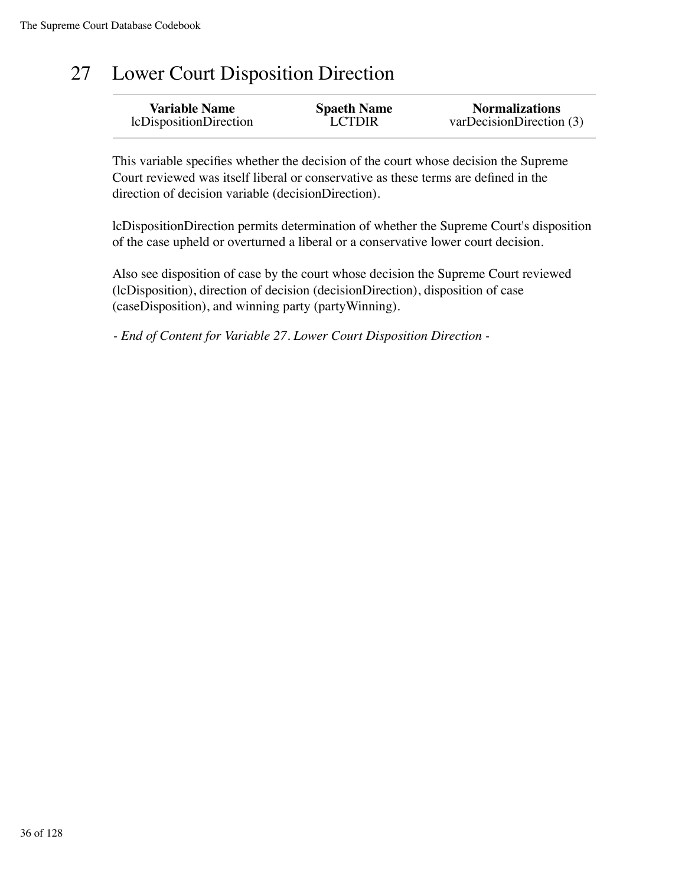# 27 Lower Court Disposition Direction

| <b>Variable Name</b>   | <b>Spaeth Name</b> | <b>Normalizations</b>    |
|------------------------|--------------------|--------------------------|
| lcDispositionDirection | <b>LCTDIR</b>      | varDecisionDirection (3) |

This variable specifies whether the decision of the court whose decision the Supreme Court reviewed was itself liberal or conservative as these terms are defined in the direction of decision variable (decisionDirection).

lcDispositionDirection permits determination of whether the Supreme Court's disposition of the case upheld or overturned a liberal or a conservative lower court decision.

Also see disposition of case by the court whose decision the Supreme Court reviewed (lcDisposition), direction of decision (decisionDirection), disposition of case (caseDisposition), and winning party (partyWinning).

*- End of Content for Variable 27. Lower Court Disposition Direction -*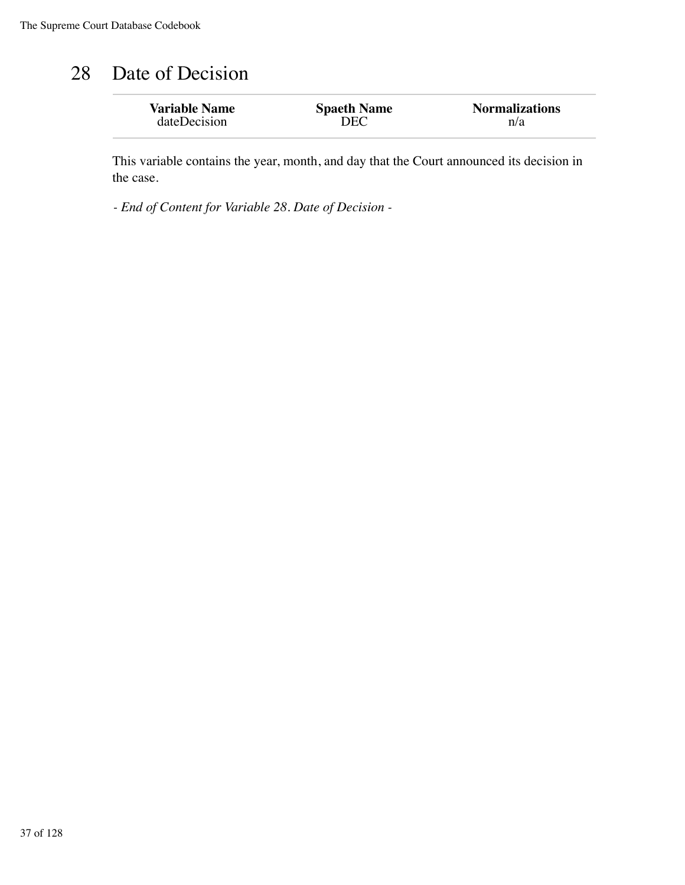#### 28 Date of Decision

| <b>Variable Name</b> | <b>Spaeth Name</b> | <b>Normalizations</b> |
|----------------------|--------------------|-----------------------|
| dateDecision         | DEC                | n/a                   |
|                      |                    |                       |

This variable contains the year, month, and day that the Court announced its decision in the case.

*- End of Content for Variable 28. Date of Decision -*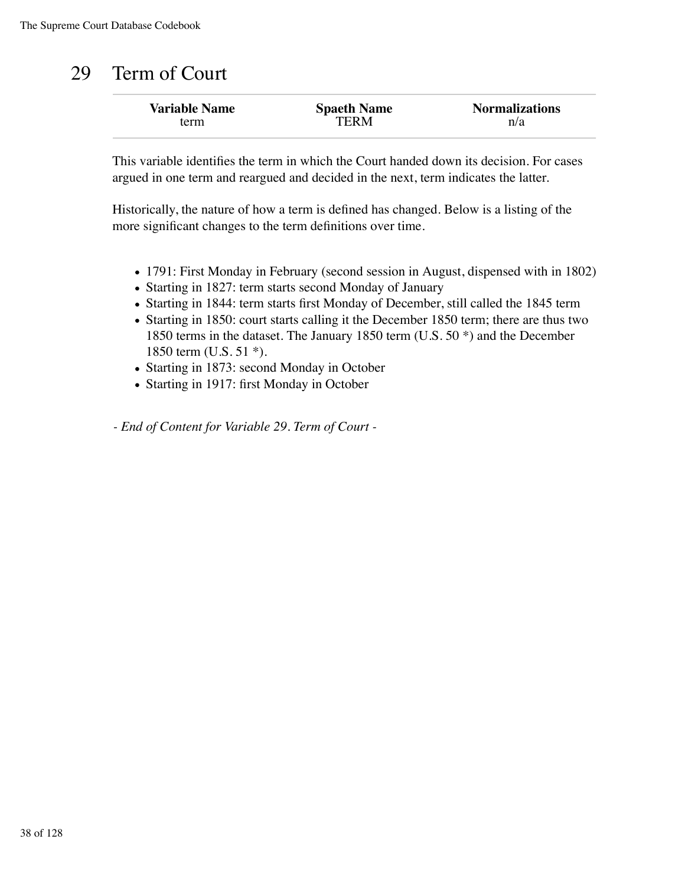### 29 Term of Court

| <b>Variable Name</b> | <b>Spaeth Name</b> | <b>Normalizations</b> |
|----------------------|--------------------|-----------------------|
| term                 | TERM               | n/a                   |

This variable identifies the term in which the Court handed down its decision. For cases argued in one term and reargued and decided in the next, term indicates the latter.

Historically, the nature of how a term is defined has changed. Below is a listing of the more significant changes to the term definitions over time.

- 1791: First Monday in February (second session in August, dispensed with in 1802)
- Starting in 1827: term starts second Monday of January
- Starting in 1844: term starts first Monday of December, still called the 1845 term
- Starting in 1850: court starts calling it the December 1850 term; there are thus two 1850 terms in the dataset. The January 1850 term (U.S. 50 \*) and the December 1850 term (U.S. 51 \*).
- Starting in 1873: second Monday in October
- Starting in 1917: first Monday in October

*- End of Content for Variable 29. Term of Court -*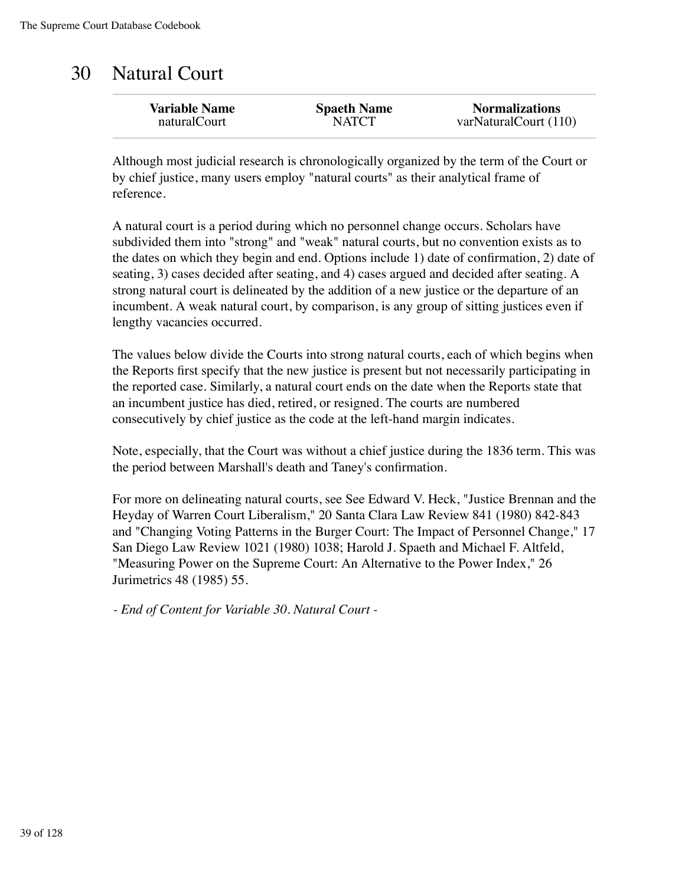#### 30 Natural Court

| <b>Variable Name</b> | <b>Spaeth Name</b> | <b>Normalizations</b> |
|----------------------|--------------------|-----------------------|
| naturalCourt         | <b>NATCT</b>       | varNaturalCourt (110) |
|                      |                    |                       |

Although most judicial research is chronologically organized by the term of the Court or by chief justice, many users employ "natural courts" as their analytical frame of reference.

A natural court is a period during which no personnel change occurs. Scholars have subdivided them into "strong" and "weak" natural courts, but no convention exists as to the dates on which they begin and end. Options include 1) date of confirmation, 2) date of seating, 3) cases decided after seating, and 4) cases argued and decided after seating. A strong natural court is delineated by the addition of a new justice or the departure of an incumbent. A weak natural court, by comparison, is any group of sitting justices even if lengthy vacancies occurred.

The values below divide the Courts into strong natural courts, each of which begins when the Reports first specify that the new justice is present but not necessarily participating in the reported case. Similarly, a natural court ends on the date when the Reports state that an incumbent justice has died, retired, or resigned. The courts are numbered consecutively by chief justice as the code at the left-hand margin indicates.

Note, especially, that the Court was without a chief justice during the 1836 term. This was the period between Marshall's death and Taney's confirmation.

For more on delineating natural courts, see See Edward V. Heck, "Justice Brennan and the Heyday of Warren Court Liberalism," 20 Santa Clara Law Review 841 (1980) 842-843 and "Changing Voting Patterns in the Burger Court: The Impact of Personnel Change," 17 San Diego Law Review 1021 (1980) 1038; Harold J. Spaeth and Michael F. Altfeld, "Measuring Power on the Supreme Court: An Alternative to the Power Index," 26 Jurimetrics 48 (1985) 55.

*- End of Content for Variable 30. Natural Court -*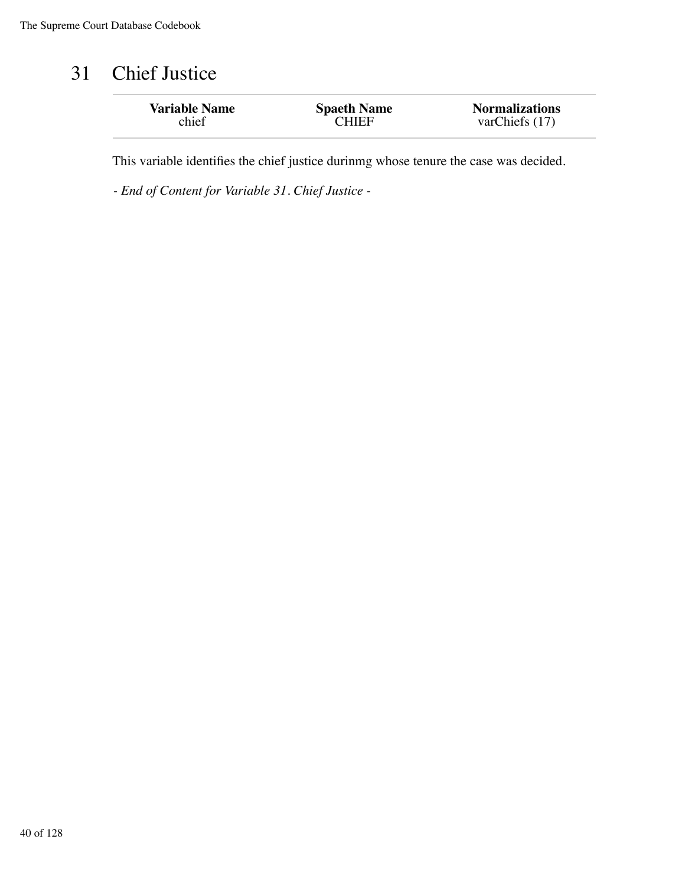### 31 Chief Justice

| <b>Variable Name</b> | <b>Spaeth Name</b> | <b>Normalizations</b> |
|----------------------|--------------------|-----------------------|
| chief                | <b>CHIEF</b>       | varChiefs $(17)$      |
|                      |                    |                       |

This variable identifies the chief justice durinmg whose tenure the case was decided.

*- End of Content for Variable 31. Chief Justice -*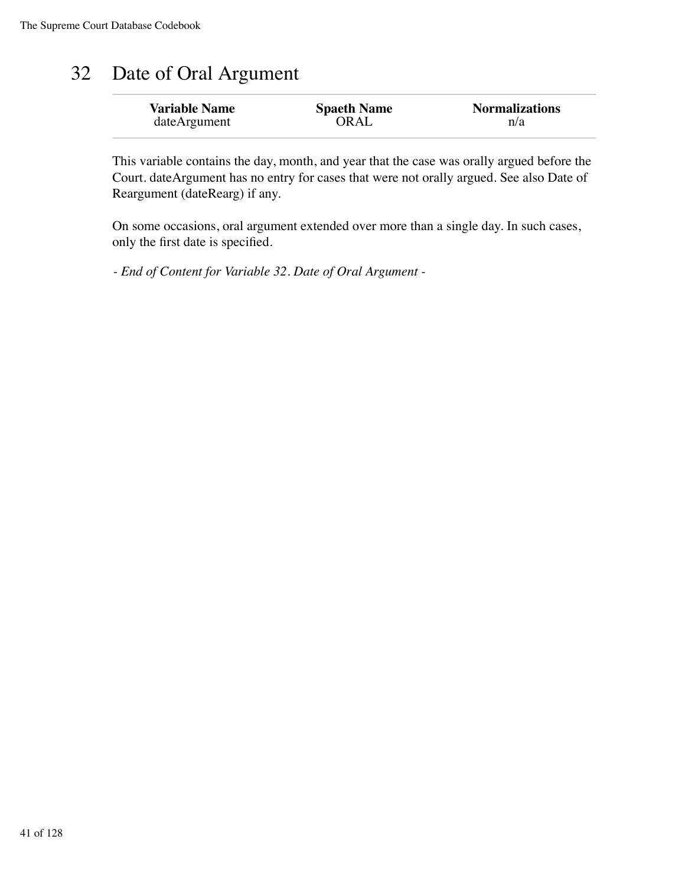## 32 Date of Oral Argument

| <b>Variable Name</b> | <b>Spaeth Name</b> | <b>Normalizations</b> |
|----------------------|--------------------|-----------------------|
| dateArgument         | ORAL               | n/a                   |

This variable contains the day, month, and year that the case was orally argued before the Court. dateArgument has no entry for cases that were not orally argued. See also Date of Reargument (dateRearg) if any.

On some occasions, oral argument extended over more than a single day. In such cases, only the first date is specified.

*- End of Content for Variable 32. Date of Oral Argument -*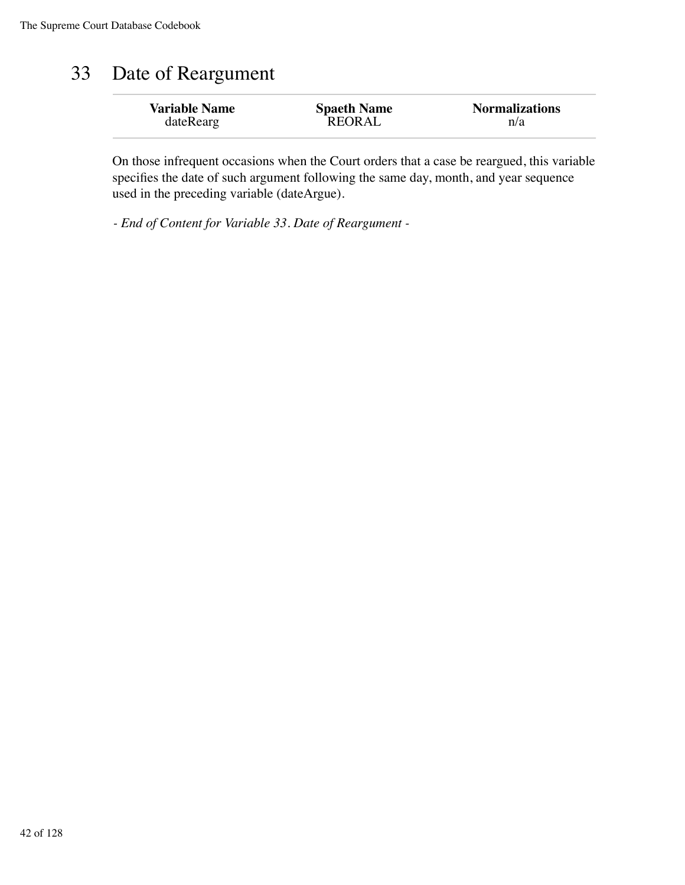## 33 Date of Reargument

| <b>Variable Name</b> | <b>Spaeth Name</b> | <b>Normalizations</b> |
|----------------------|--------------------|-----------------------|
| dateRearg            | <b>REORAL</b>      | n/a                   |

On those infrequent occasions when the Court orders that a case be reargued, this variable specifies the date of such argument following the same day, month, and year sequence used in the preceding variable (dateArgue).

*- End of Content for Variable 33. Date of Reargument -*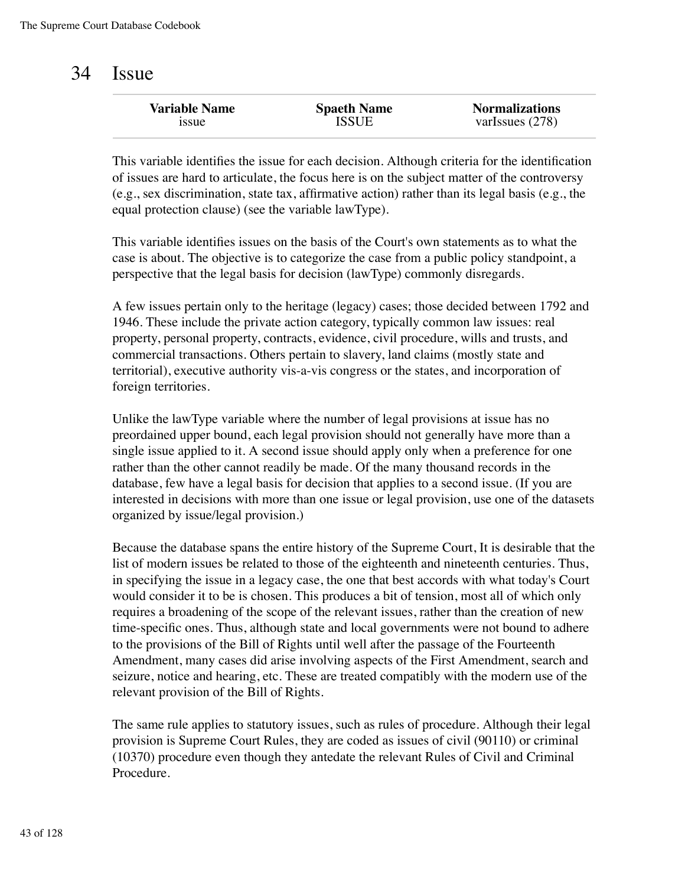#### 34 Issue

| <b>Variable Name</b> | <b>Spaeth Name</b> | <b>Normalizations</b> |
|----------------------|--------------------|-----------------------|
| <b>1SSUE</b>         | <b>ISSUE</b>       | varIssues $(278)$     |
|                      |                    |                       |

This variable identifies the issue for each decision. Although criteria for the identification of issues are hard to articulate, the focus here is on the subject matter of the controversy (e.g., sex discrimination, state tax, affirmative action) rather than its legal basis (e.g., the equal protection clause) (see the variable lawType).

This variable identifies issues on the basis of the Court's own statements as to what the case is about. The objective is to categorize the case from a public policy standpoint, a perspective that the legal basis for decision (lawType) commonly disregards.

A few issues pertain only to the heritage (legacy) cases; those decided between 1792 and 1946. These include the private action category, typically common law issues: real property, personal property, contracts, evidence, civil procedure, wills and trusts, and commercial transactions. Others pertain to slavery, land claims (mostly state and territorial), executive authority vis-a-vis congress or the states, and incorporation of foreign territories.

Unlike the lawType variable where the number of legal provisions at issue has no preordained upper bound, each legal provision should not generally have more than a single issue applied to it. A second issue should apply only when a preference for one rather than the other cannot readily be made. Of the many thousand records in the database, few have a legal basis for decision that applies to a second issue. (If you are interested in decisions with more than one issue or legal provision, use one of the datasets organized by issue/legal provision.)

Because the database spans the entire history of the Supreme Court, It is desirable that the list of modern issues be related to those of the eighteenth and nineteenth centuries. Thus, in specifying the issue in a legacy case, the one that best accords with what today's Court would consider it to be is chosen. This produces a bit of tension, most all of which only requires a broadening of the scope of the relevant issues, rather than the creation of new time-specific ones. Thus, although state and local governments were not bound to adhere to the provisions of the Bill of Rights until well after the passage of the Fourteenth Amendment, many cases did arise involving aspects of the First Amendment, search and seizure, notice and hearing, etc. These are treated compatibly with the modern use of the relevant provision of the Bill of Rights.

The same rule applies to statutory issues, such as rules of procedure. Although their legal provision is Supreme Court Rules, they are coded as issues of civil (90110) or criminal (10370) procedure even though they antedate the relevant Rules of Civil and Criminal Procedure.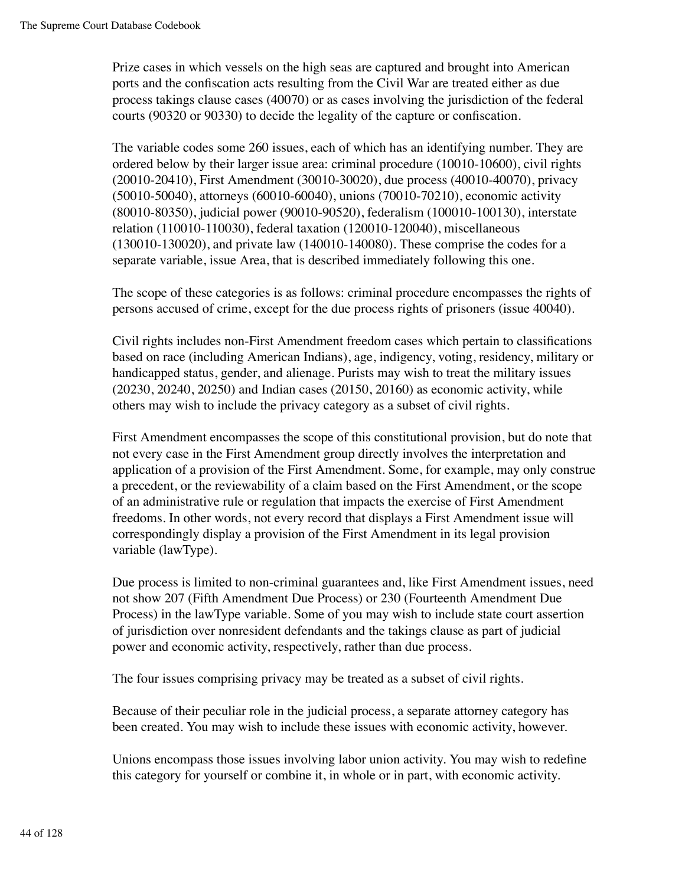Prize cases in which vessels on the high seas are captured and brought into American ports and the confiscation acts resulting from the Civil War are treated either as due process takings clause cases (40070) or as cases involving the jurisdiction of the federal courts (90320 or 90330) to decide the legality of the capture or confiscation.

The variable codes some 260 issues, each of which has an identifying number. They are ordered below by their larger issue area: criminal procedure (10010-10600), civil rights (20010-20410), First Amendment (30010-30020), due process (40010-40070), privacy (50010-50040), attorneys (60010-60040), unions (70010-70210), economic activity (80010-80350), judicial power (90010-90520), federalism (100010-100130), interstate relation (110010-110030), federal taxation (120010-120040), miscellaneous (130010-130020), and private law (140010-140080). These comprise the codes for a separate variable, issue Area, that is described immediately following this one.

The scope of these categories is as follows: criminal procedure encompasses the rights of persons accused of crime, except for the due process rights of prisoners (issue 40040).

Civil rights includes non-First Amendment freedom cases which pertain to classifications based on race (including American Indians), age, indigency, voting, residency, military or handicapped status, gender, and alienage. Purists may wish to treat the military issues (20230, 20240, 20250) and Indian cases (20150, 20160) as economic activity, while others may wish to include the privacy category as a subset of civil rights.

First Amendment encompasses the scope of this constitutional provision, but do note that not every case in the First Amendment group directly involves the interpretation and application of a provision of the First Amendment. Some, for example, may only construe a precedent, or the reviewability of a claim based on the First Amendment, or the scope of an administrative rule or regulation that impacts the exercise of First Amendment freedoms. In other words, not every record that displays a First Amendment issue will correspondingly display a provision of the First Amendment in its legal provision variable (lawType).

Due process is limited to non-criminal guarantees and, like First Amendment issues, need not show 207 (Fifth Amendment Due Process) or 230 (Fourteenth Amendment Due Process) in the lawType variable. Some of you may wish to include state court assertion of jurisdiction over nonresident defendants and the takings clause as part of judicial power and economic activity, respectively, rather than due process.

The four issues comprising privacy may be treated as a subset of civil rights.

Because of their peculiar role in the judicial process, a separate attorney category has been created. You may wish to include these issues with economic activity, however.

Unions encompass those issues involving labor union activity. You may wish to redefine this category for yourself or combine it, in whole or in part, with economic activity.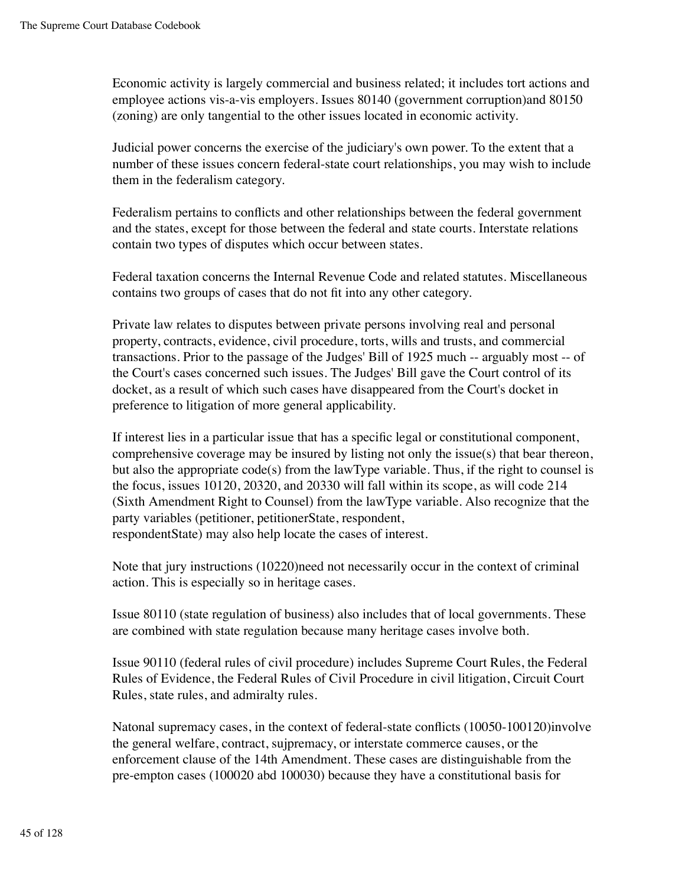Economic activity is largely commercial and business related; it includes tort actions and employee actions vis-a-vis employers. Issues 80140 (government corruption)and 80150 (zoning) are only tangential to the other issues located in economic activity.

Judicial power concerns the exercise of the judiciary's own power. To the extent that a number of these issues concern federal-state court relationships, you may wish to include them in the federalism category.

Federalism pertains to conflicts and other relationships between the federal government and the states, except for those between the federal and state courts. Interstate relations contain two types of disputes which occur between states.

Federal taxation concerns the Internal Revenue Code and related statutes. Miscellaneous contains two groups of cases that do not fit into any other category.

Private law relates to disputes between private persons involving real and personal property, contracts, evidence, civil procedure, torts, wills and trusts, and commercial transactions. Prior to the passage of the Judges' Bill of 1925 much -- arguably most -- of the Court's cases concerned such issues. The Judges' Bill gave the Court control of its docket, as a result of which such cases have disappeared from the Court's docket in preference to litigation of more general applicability.

If interest lies in a particular issue that has a specific legal or constitutional component, comprehensive coverage may be insured by listing not only the issue(s) that bear thereon, but also the appropriate code(s) from the lawType variable. Thus, if the right to counsel is the focus, issues 10120, 20320, and 20330 will fall within its scope, as will code 214 (Sixth Amendment Right to Counsel) from the lawType variable. Also recognize that the party variables (petitioner, petitionerState, respondent, respondentState) may also help locate the cases of interest.

Note that jury instructions (10220)need not necessarily occur in the context of criminal action. This is especially so in heritage cases.

Issue 80110 (state regulation of business) also includes that of local governments. These are combined with state regulation because many heritage cases involve both.

Issue 90110 (federal rules of civil procedure) includes Supreme Court Rules, the Federal Rules of Evidence, the Federal Rules of Civil Procedure in civil litigation, Circuit Court Rules, state rules, and admiralty rules.

Natonal supremacy cases, in the context of federal-state conflicts (10050-100120)involve the general welfare, contract, sujpremacy, or interstate commerce causes, or the enforcement clause of the 14th Amendment. These cases are distinguishable from the pre-empton cases (100020 abd 100030) because they have a constitutional basis for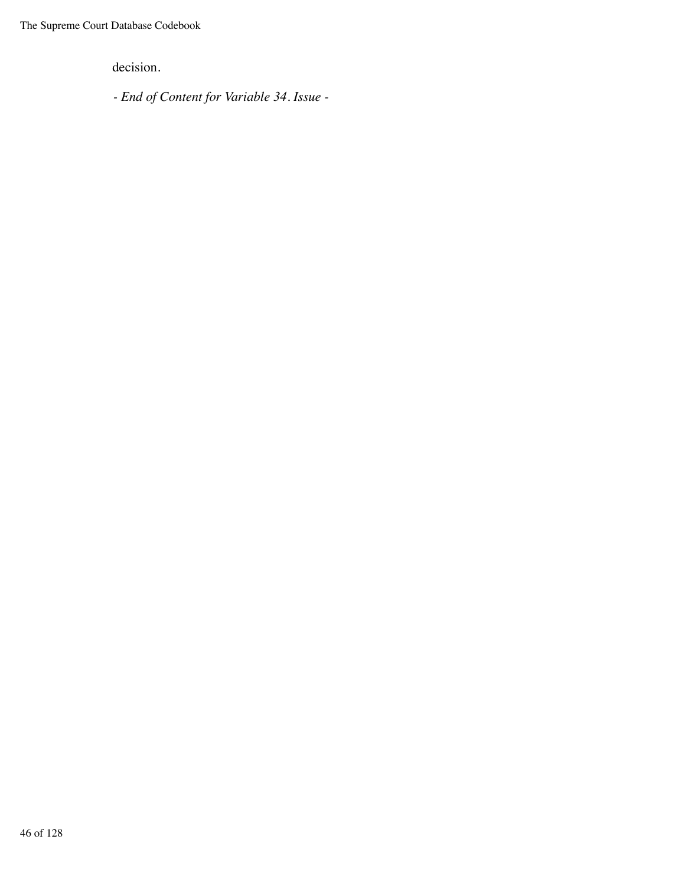decision.

*- End of Content for Variable 34. Issue -*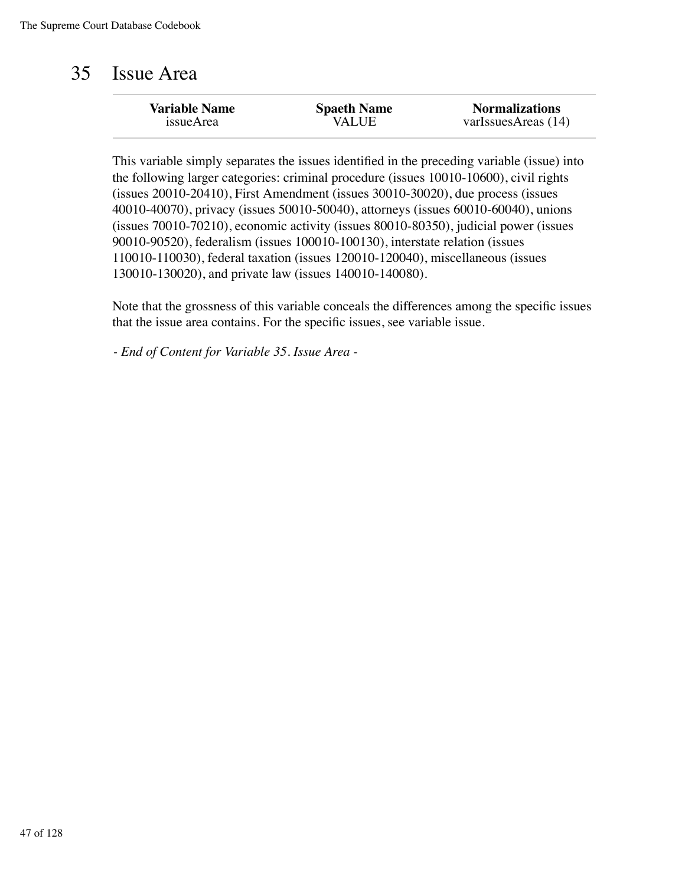#### 35 Issue Area

| <b>Variable Name</b> | <b>Spaeth Name</b> | <b>Normalizations</b> |
|----------------------|--------------------|-----------------------|
| issueArea            | <b>VALUE</b>       | varIssuesAreas (14)   |
|                      |                    |                       |

This variable simply separates the issues identified in the preceding variable (issue) into the following larger categories: criminal procedure (issues 10010-10600), civil rights (issues 20010-20410), First Amendment (issues 30010-30020), due process (issues 40010-40070), privacy (issues 50010-50040), attorneys (issues 60010-60040), unions (issues 70010-70210), economic activity (issues 80010-80350), judicial power (issues 90010-90520), federalism (issues 100010-100130), interstate relation (issues 110010-110030), federal taxation (issues 120010-120040), miscellaneous (issues 130010-130020), and private law (issues 140010-140080).

Note that the grossness of this variable conceals the differences among the specific issues that the issue area contains. For the specific issues, see variable issue.

*- End of Content for Variable 35. Issue Area -*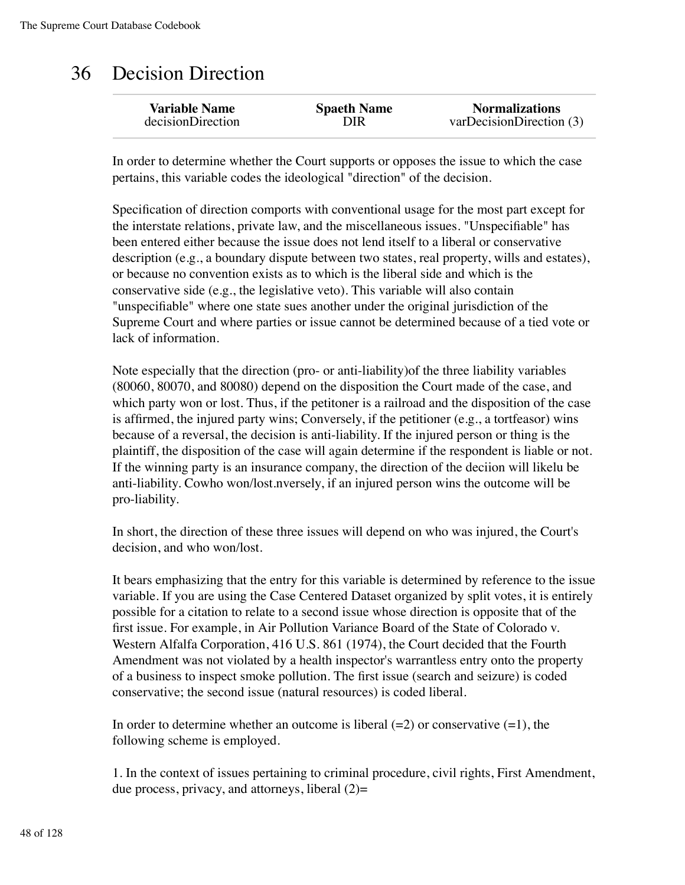## 36 Decision Direction

In order to determine whether the Court supports or opposes the issue to which the case pertains, this variable codes the ideological "direction" of the decision.

Specification of direction comports with conventional usage for the most part except for the interstate relations, private law, and the miscellaneous issues. "Unspecifiable" has been entered either because the issue does not lend itself to a liberal or conservative description (e.g., a boundary dispute between two states, real property, wills and estates), or because no convention exists as to which is the liberal side and which is the conservative side (e.g., the legislative veto). This variable will also contain "unspecifiable" where one state sues another under the original jurisdiction of the Supreme Court and where parties or issue cannot be determined because of a tied vote or lack of information.

Note especially that the direction (pro- or anti-liability)of the three liability variables (80060, 80070, and 80080) depend on the disposition the Court made of the case, and which party won or lost. Thus, if the petitoner is a railroad and the disposition of the case is affirmed, the injured party wins; Conversely, if the petitioner (e.g., a tortfeasor) wins because of a reversal, the decision is anti-liability. If the injured person or thing is the plaintiff, the disposition of the case will again determine if the respondent is liable or not. If the winning party is an insurance company, the direction of the deciion will likelu be anti-liability. Cowho won/lost.nversely, if an injured person wins the outcome will be pro-liability.

In short, the direction of these three issues will depend on who was injured, the Court's decision, and who won/lost.

It bears emphasizing that the entry for this variable is determined by reference to the issue variable. If you are using the Case Centered Dataset organized by split votes, it is entirely possible for a citation to relate to a second issue whose direction is opposite that of the first issue. For example, in Air Pollution Variance Board of the State of Colorado v. Western Alfalfa Corporation, 416 U.S. 861 (1974), the Court decided that the Fourth Amendment was not violated by a health inspector's warrantless entry onto the property of a business to inspect smoke pollution. The first issue (search and seizure) is coded conservative; the second issue (natural resources) is coded liberal.

In order to determine whether an outcome is liberal  $(=2)$  or conservative  $(=1)$ , the following scheme is employed.

1. In the context of issues pertaining to criminal procedure, civil rights, First Amendment, due process, privacy, and attorneys, liberal  $(2)$ =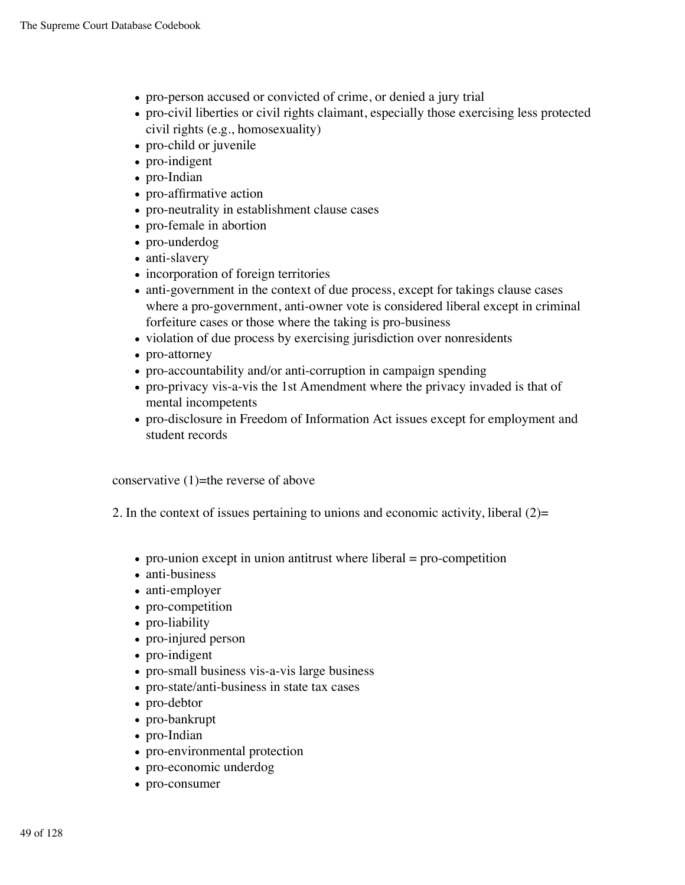- pro-person accused or convicted of crime, or denied a jury trial
- pro-civil liberties or civil rights claimant, especially those exercising less protected civil rights (e.g., homosexuality)
- pro-child or juvenile
- pro-indigent
- pro-Indian
- pro-affirmative action
- pro-neutrality in establishment clause cases
- pro-female in abortion
- pro-underdog
- anti-slavery
- incorporation of foreign territories
- anti-government in the context of due process, except for takings clause cases where a pro-government, anti-owner vote is considered liberal except in criminal forfeiture cases or those where the taking is pro-business
- violation of due process by exercising jurisdiction over nonresidents
- pro-attorney
- pro-accountability and/or anti-corruption in campaign spending
- pro-privacy vis-a-vis the 1st Amendment where the privacy invaded is that of mental incompetents
- pro-disclosure in Freedom of Information Act issues except for employment and student records

conservative  $(1)$ =the reverse of above

2. In the context of issues pertaining to unions and economic activity, liberal (2)=

- $\bullet$  pro-union except in union antitrust where liberal = pro-competition
- anti-business
- anti-employer
- pro-competition
- pro-liability
- pro-injured person
- pro-indigent
- pro-small business vis-a-vis large business
- pro-state/anti-business in state tax cases
- pro-debtor
- pro-bankrupt
- pro-Indian
- pro-environmental protection
- pro-economic underdog
- pro-consumer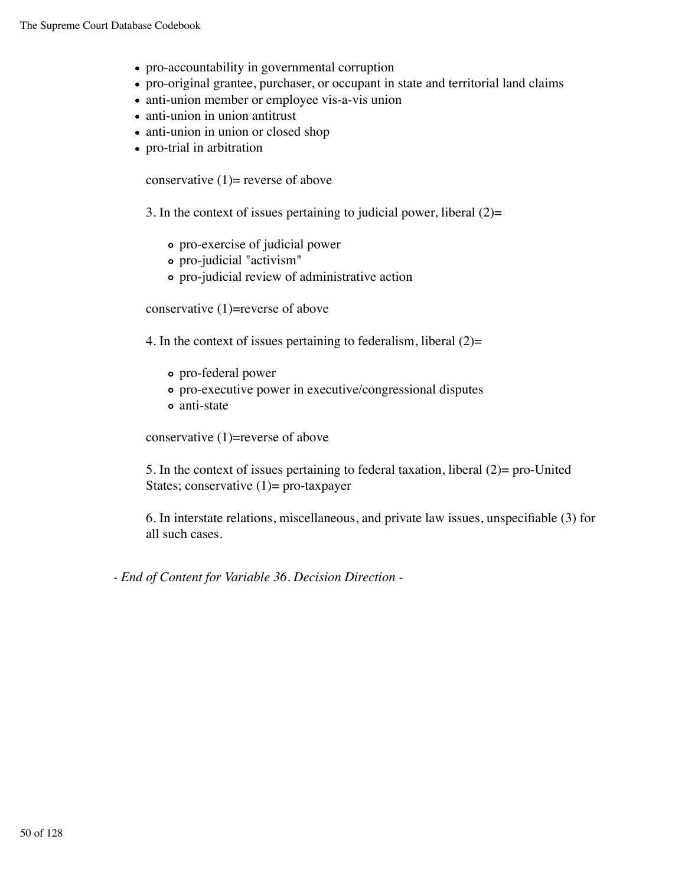- pro-accountability in governmental corruption
- pro-original grantee, purchaser, or occupant in state and territorial land claims
- anti-union member or employee vis-a-vis union
- anti-union in union antitrust
- anti-union in union or closed shop
- pro-trial in arbitration

conservative  $(1)$ = reverse of above

3. In the context of issues pertaining to judicial power, liberal  $(2)$ =

- pro-exercise of judicial power
- pro-judicial "activism"
- pro-judicial review of administrative action

conservative (1)=reverse of above

4. In the context of issues pertaining to federalism, liberal  $(2)=$ 

- pro-federal power
- pro-executive power in executive/congressional disputes
- anti-state

conservative (1)=reverse of above

5. In the context of issues pertaining to federal taxation, liberal (2)= pro-United States; conservative  $(1)$ = pro-taxpayer

6. In interstate relations, miscellaneous, and private law issues, unspecifiable (3) for all such cases.

*- End of Content for Variable 36. Decision Direction -*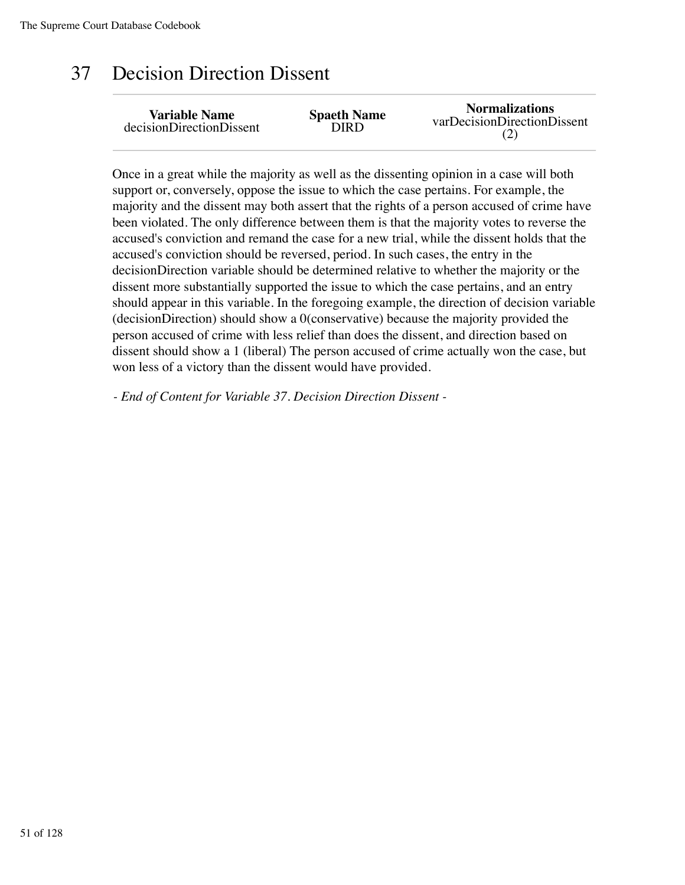## 37 Decision Direction Dissent

| <b>Variable Name</b>     | <b>Spaeth Name</b> | <b>Normalizations</b>       |
|--------------------------|--------------------|-----------------------------|
| decisionDirectionDissent | DIRD.              | varDecisionDirectionDissent |

Once in a great while the majority as well as the dissenting opinion in a case will both support or, conversely, oppose the issue to which the case pertains. For example, the majority and the dissent may both assert that the rights of a person accused of crime have been violated. The only difference between them is that the majority votes to reverse the accused's conviction and remand the case for a new trial, while the dissent holds that the accused's conviction should be reversed, period. In such cases, the entry in the decisionDirection variable should be determined relative to whether the majority or the dissent more substantially supported the issue to which the case pertains, and an entry should appear in this variable. In the foregoing example, the direction of decision variable (decisionDirection) should show a 0(conservative) because the majority provided the person accused of crime with less relief than does the dissent, and direction based on dissent should show a 1 (liberal) The person accused of crime actually won the case, but won less of a victory than the dissent would have provided.

*- End of Content for Variable 37. Decision Direction Dissent -*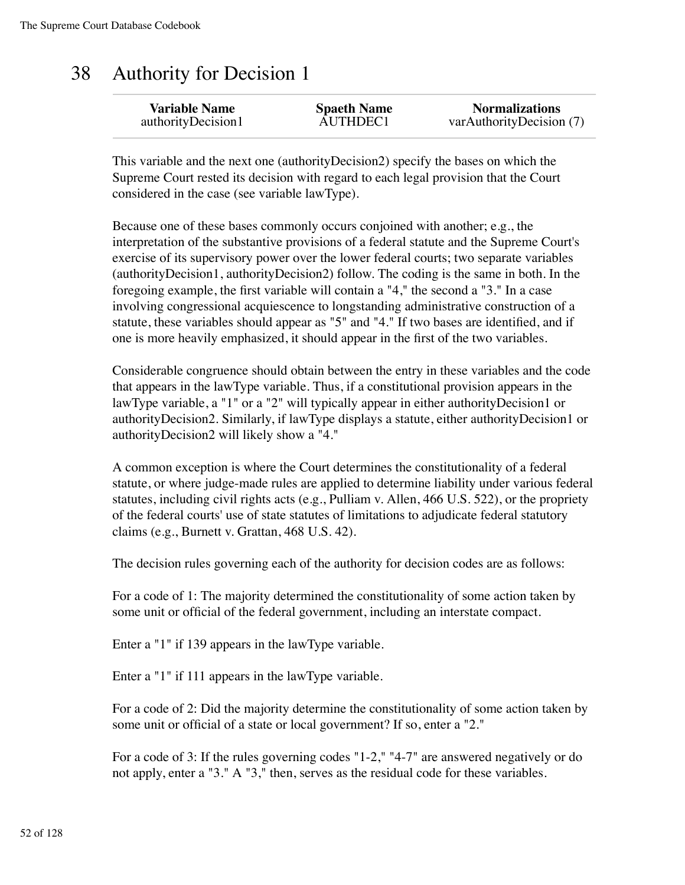#### 38 Authority for Decision 1

| <b>Variable Name</b> | <b>Spaeth Name</b> | <b>Normalizations</b>    |
|----------------------|--------------------|--------------------------|
| authorityDecision1   | AUTHDEC1           | varAuthorityDecision (7) |

This variable and the next one (authorityDecision2) specify the bases on which the Supreme Court rested its decision with regard to each legal provision that the Court considered in the case (see variable lawType).

Because one of these bases commonly occurs conjoined with another; e.g., the interpretation of the substantive provisions of a federal statute and the Supreme Court's exercise of its supervisory power over the lower federal courts; two separate variables (authorityDecision1, authorityDecision2) follow. The coding is the same in both. In the foregoing example, the first variable will contain a "4," the second a "3." In a case involving congressional acquiescence to longstanding administrative construction of a statute, these variables should appear as "5" and "4." If two bases are identified, and if one is more heavily emphasized, it should appear in the first of the two variables.

Considerable congruence should obtain between the entry in these variables and the code that appears in the lawType variable. Thus, if a constitutional provision appears in the lawType variable, a "1" or a "2" will typically appear in either authorityDecision1 or authorityDecision2. Similarly, if lawType displays a statute, either authorityDecision1 or authorityDecision2 will likely show a "4."

A common exception is where the Court determines the constitutionality of a federal statute, or where judge-made rules are applied to determine liability under various federal statutes, including civil rights acts (e.g., Pulliam v. Allen, 466 U.S. 522), or the propriety of the federal courts' use of state statutes of limitations to adjudicate federal statutory claims (e.g., Burnett v. Grattan, 468 U.S. 42).

The decision rules governing each of the authority for decision codes are as follows:

For a code of 1: The majority determined the constitutionality of some action taken by some unit or official of the federal government, including an interstate compact.

Enter a "1" if 139 appears in the lawType variable.

Enter a "1" if 111 appears in the lawType variable.

For a code of 2: Did the majority determine the constitutionality of some action taken by some unit or official of a state or local government? If so, enter a "2."

For a code of 3: If the rules governing codes "1-2," "4-7" are answered negatively or do not apply, enter a "3." A "3," then, serves as the residual code for these variables.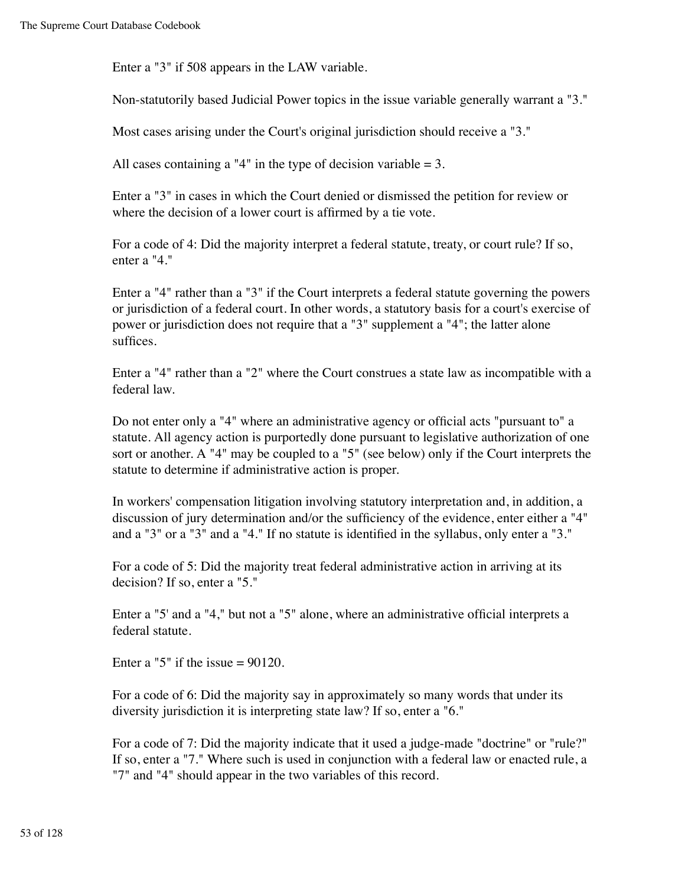Enter a "3" if 508 appears in the LAW variable.

Non-statutorily based Judicial Power topics in the issue variable generally warrant a "3."

Most cases arising under the Court's original jurisdiction should receive a "3."

All cases containing a "4" in the type of decision variable  $= 3$ .

Enter a "3" in cases in which the Court denied or dismissed the petition for review or where the decision of a lower court is affirmed by a tie vote.

For a code of 4: Did the majority interpret a federal statute, treaty, or court rule? If so, enter a "4."

Enter a "4" rather than a "3" if the Court interprets a federal statute governing the powers or jurisdiction of a federal court. In other words, a statutory basis for a court's exercise of power or jurisdiction does not require that a "3" supplement a "4"; the latter alone suffices.

Enter a "4" rather than a "2" where the Court construes a state law as incompatible with a federal law.

Do not enter only a "4" where an administrative agency or official acts "pursuant to" a statute. All agency action is purportedly done pursuant to legislative authorization of one sort or another. A "4" may be coupled to a "5" (see below) only if the Court interprets the statute to determine if administrative action is proper.

In workers' compensation litigation involving statutory interpretation and, in addition, a discussion of jury determination and/or the sufficiency of the evidence, enter either a "4" and a "3" or a "3" and a "4." If no statute is identified in the syllabus, only enter a "3."

For a code of 5: Did the majority treat federal administrative action in arriving at its decision? If so, enter a "5."

Enter a "5' and a "4," but not a "5" alone, where an administrative official interprets a federal statute.

Enter a "5" if the issue  $= 90120$ .

For a code of 6: Did the majority say in approximately so many words that under its diversity jurisdiction it is interpreting state law? If so, enter a "6."

For a code of 7: Did the majority indicate that it used a judge-made "doctrine" or "rule?" If so, enter a "7." Where such is used in conjunction with a federal law or enacted rule, a "7" and "4" should appear in the two variables of this record.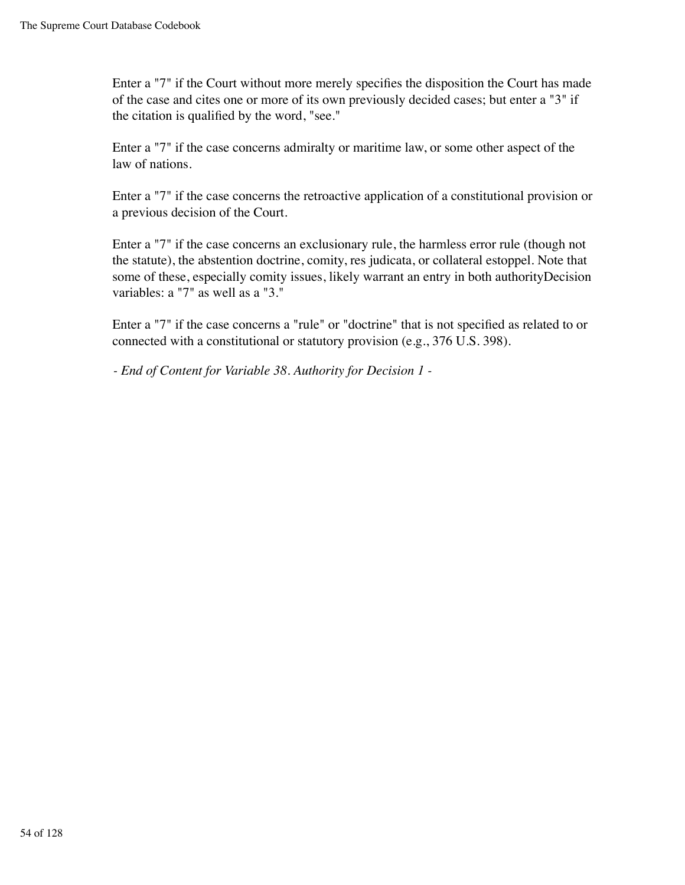Enter a "7" if the Court without more merely specifies the disposition the Court has made of the case and cites one or more of its own previously decided cases; but enter a "3" if the citation is qualified by the word, "see."

Enter a "7" if the case concerns admiralty or maritime law, or some other aspect of the law of nations.

Enter a "7" if the case concerns the retroactive application of a constitutional provision or a previous decision of the Court.

Enter a "7" if the case concerns an exclusionary rule, the harmless error rule (though not the statute), the abstention doctrine, comity, res judicata, or collateral estoppel. Note that some of these, especially comity issues, likely warrant an entry in both authorityDecision variables: a "7" as well as a "3."

Enter a "7" if the case concerns a "rule" or "doctrine" that is not specified as related to or connected with a constitutional or statutory provision (e.g., 376 U.S. 398).

*- End of Content for Variable 38. Authority for Decision 1 -*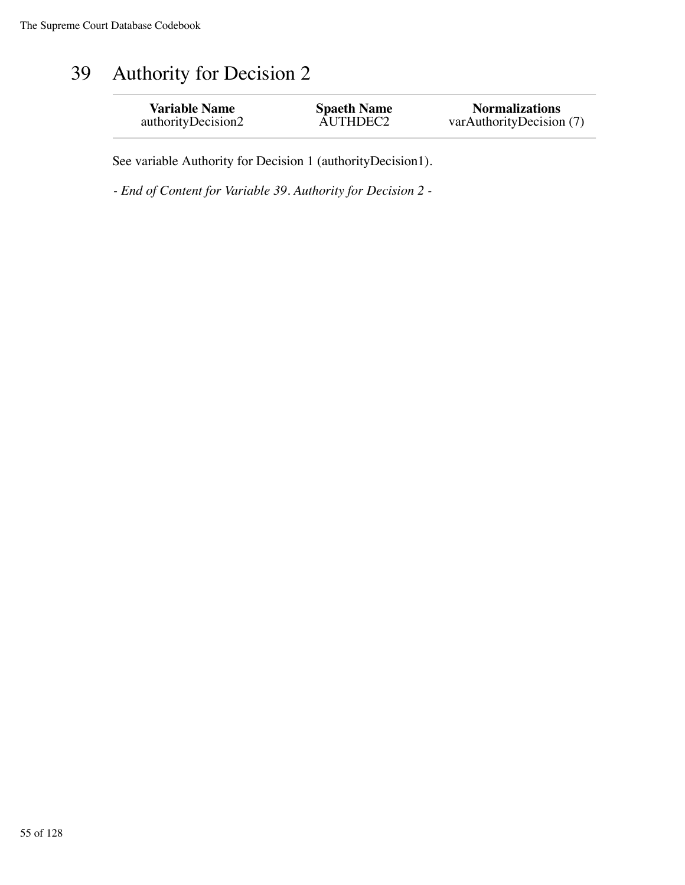## 39 Authority for Decision 2

| <b>Variable Name</b> | <b>Spaeth Name</b> | <b>Normalizations</b>    |
|----------------------|--------------------|--------------------------|
| authorityDecision2   | AUTHDEC2           | varAuthorityDecision (7) |

See variable Authority for Decision 1 (authorityDecision1).

*- End of Content for Variable 39. Authority for Decision 2 -*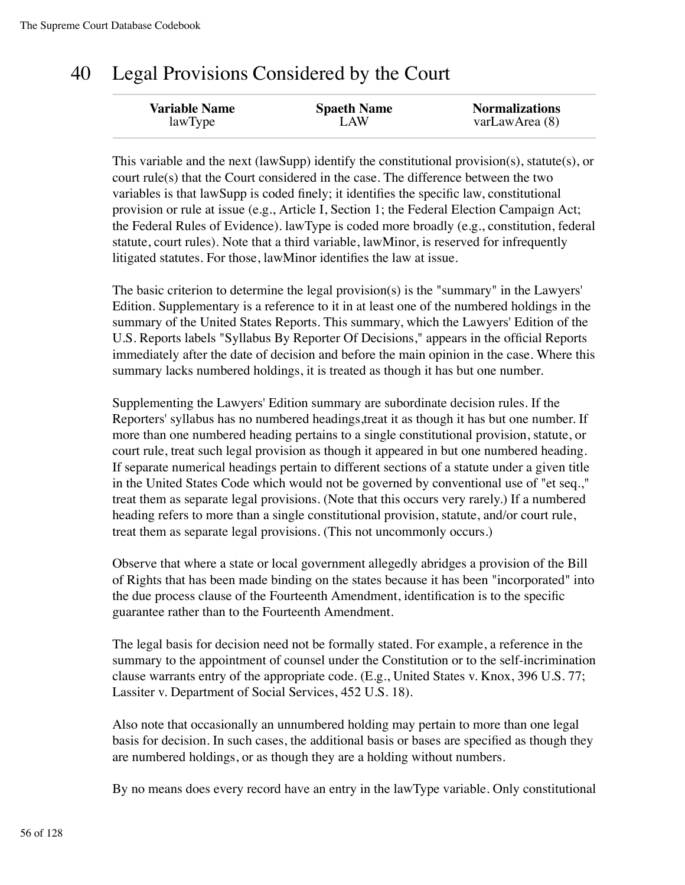#### 40 Legal Provisions Considered by the Court

| <b>Variable Name</b> | <b>Spaeth Name</b> | <b>Normalizations</b> |
|----------------------|--------------------|-----------------------|
| lawType              | LAW                | varLawArea (8)        |

This variable and the next (lawSupp) identify the constitutional provision(s), statute(s), or court rule(s) that the Court considered in the case. The difference between the two variables is that lawSupp is coded finely; it identifies the specific law, constitutional provision or rule at issue (e.g., Article I, Section 1; the Federal Election Campaign Act; the Federal Rules of Evidence). lawType is coded more broadly (e.g., constitution, federal statute, court rules). Note that a third variable, lawMinor, is reserved for infrequently litigated statutes. For those, lawMinor identifies the law at issue.

The basic criterion to determine the legal provision(s) is the "summary" in the Lawyers' Edition. Supplementary is a reference to it in at least one of the numbered holdings in the summary of the United States Reports. This summary, which the Lawyers' Edition of the U.S. Reports labels "Syllabus By Reporter Of Decisions," appears in the official Reports immediately after the date of decision and before the main opinion in the case. Where this summary lacks numbered holdings, it is treated as though it has but one number.

Supplementing the Lawyers' Edition summary are subordinate decision rules. If the Reporters' syllabus has no numbered headings,treat it as though it has but one number. If more than one numbered heading pertains to a single constitutional provision, statute, or court rule, treat such legal provision as though it appeared in but one numbered heading. If separate numerical headings pertain to different sections of a statute under a given title in the United States Code which would not be governed by conventional use of "et seq.," treat them as separate legal provisions. (Note that this occurs very rarely.) If a numbered heading refers to more than a single constitutional provision, statute, and/or court rule, treat them as separate legal provisions. (This not uncommonly occurs.)

Observe that where a state or local government allegedly abridges a provision of the Bill of Rights that has been made binding on the states because it has been "incorporated" into the due process clause of the Fourteenth Amendment, identification is to the specific guarantee rather than to the Fourteenth Amendment.

The legal basis for decision need not be formally stated. For example, a reference in the summary to the appointment of counsel under the Constitution or to the self-incrimination clause warrants entry of the appropriate code. (E.g., United States v. Knox, 396 U.S. 77; Lassiter v. Department of Social Services, 452 U.S. 18).

Also note that occasionally an unnumbered holding may pertain to more than one legal basis for decision. In such cases, the additional basis or bases are specified as though they are numbered holdings, or as though they are a holding without numbers.

By no means does every record have an entry in the lawType variable. Only constitutional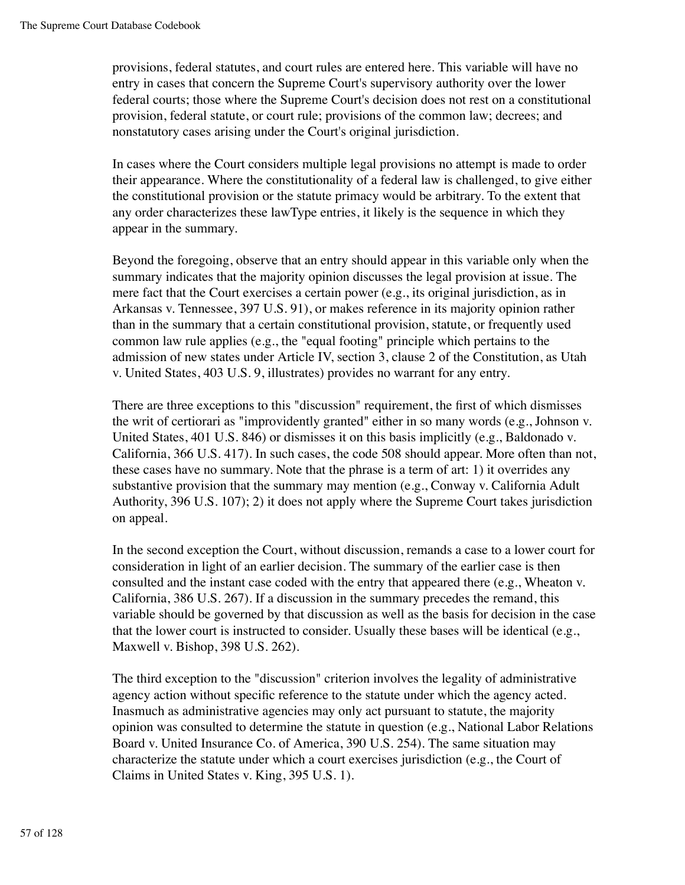provisions, federal statutes, and court rules are entered here. This variable will have no entry in cases that concern the Supreme Court's supervisory authority over the lower federal courts; those where the Supreme Court's decision does not rest on a constitutional provision, federal statute, or court rule; provisions of the common law; decrees; and nonstatutory cases arising under the Court's original jurisdiction.

In cases where the Court considers multiple legal provisions no attempt is made to order their appearance. Where the constitutionality of a federal law is challenged, to give either the constitutional provision or the statute primacy would be arbitrary. To the extent that any order characterizes these lawType entries, it likely is the sequence in which they appear in the summary.

Beyond the foregoing, observe that an entry should appear in this variable only when the summary indicates that the majority opinion discusses the legal provision at issue. The mere fact that the Court exercises a certain power (e.g., its original jurisdiction, as in Arkansas v. Tennessee, 397 U.S. 91), or makes reference in its majority opinion rather than in the summary that a certain constitutional provision, statute, or frequently used common law rule applies (e.g., the "equal footing" principle which pertains to the admission of new states under Article IV, section 3, clause 2 of the Constitution, as Utah v. United States, 403 U.S. 9, illustrates) provides no warrant for any entry.

There are three exceptions to this "discussion" requirement, the first of which dismisses the writ of certiorari as "improvidently granted" either in so many words (e.g., Johnson v. United States, 401 U.S. 846) or dismisses it on this basis implicitly (e.g., Baldonado v. California, 366 U.S. 417). In such cases, the code 508 should appear. More often than not, these cases have no summary. Note that the phrase is a term of art: 1) it overrides any substantive provision that the summary may mention (e.g., Conway v. California Adult Authority, 396 U.S. 107); 2) it does not apply where the Supreme Court takes jurisdiction on appeal.

In the second exception the Court, without discussion, remands a case to a lower court for consideration in light of an earlier decision. The summary of the earlier case is then consulted and the instant case coded with the entry that appeared there (e.g., Wheaton v. California, 386 U.S. 267). If a discussion in the summary precedes the remand, this variable should be governed by that discussion as well as the basis for decision in the case that the lower court is instructed to consider. Usually these bases will be identical (e.g., Maxwell v. Bishop, 398 U.S. 262).

The third exception to the "discussion" criterion involves the legality of administrative agency action without specific reference to the statute under which the agency acted. Inasmuch as administrative agencies may only act pursuant to statute, the majority opinion was consulted to determine the statute in question (e.g., National Labor Relations Board v. United Insurance Co. of America, 390 U.S. 254). The same situation may characterize the statute under which a court exercises jurisdiction (e.g., the Court of Claims in United States v. King, 395 U.S. 1).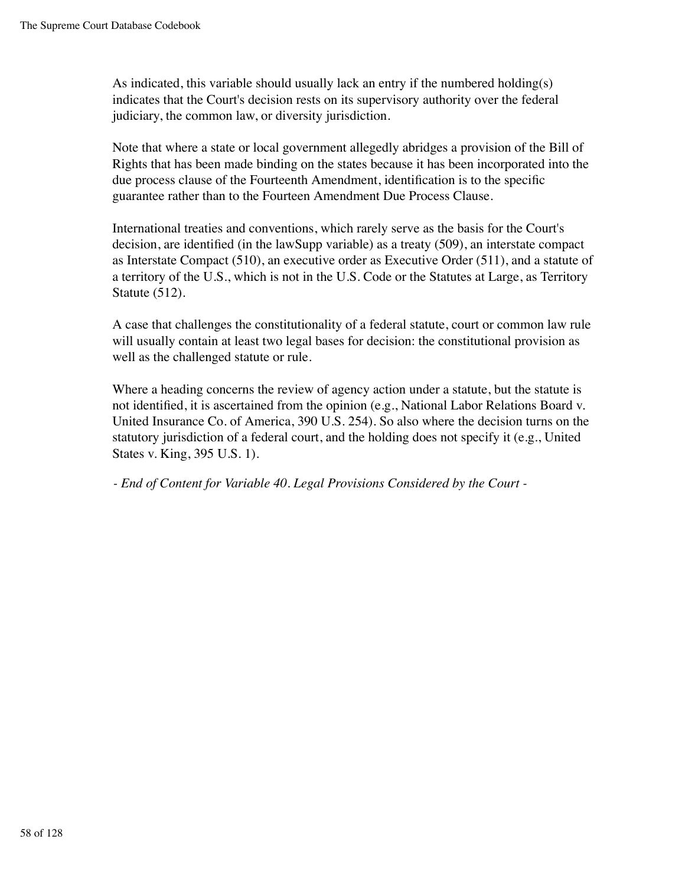As indicated, this variable should usually lack an entry if the numbered holding(s) indicates that the Court's decision rests on its supervisory authority over the federal judiciary, the common law, or diversity jurisdiction.

Note that where a state or local government allegedly abridges a provision of the Bill of Rights that has been made binding on the states because it has been incorporated into the due process clause of the Fourteenth Amendment, identification is to the specific guarantee rather than to the Fourteen Amendment Due Process Clause.

International treaties and conventions, which rarely serve as the basis for the Court's decision, are identified (in the lawSupp variable) as a treaty (509), an interstate compact as Interstate Compact (510), an executive order as Executive Order (511), and a statute of a territory of the U.S., which is not in the U.S. Code or the Statutes at Large, as Territory Statute (512).

A case that challenges the constitutionality of a federal statute, court or common law rule will usually contain at least two legal bases for decision: the constitutional provision as well as the challenged statute or rule.

Where a heading concerns the review of agency action under a statute, but the statute is not identified, it is ascertained from the opinion (e.g., National Labor Relations Board v. United Insurance Co. of America, 390 U.S. 254). So also where the decision turns on the statutory jurisdiction of a federal court, and the holding does not specify it (e.g., United States v. King, 395 U.S. 1).

*- End of Content for Variable 40. Legal Provisions Considered by the Court -*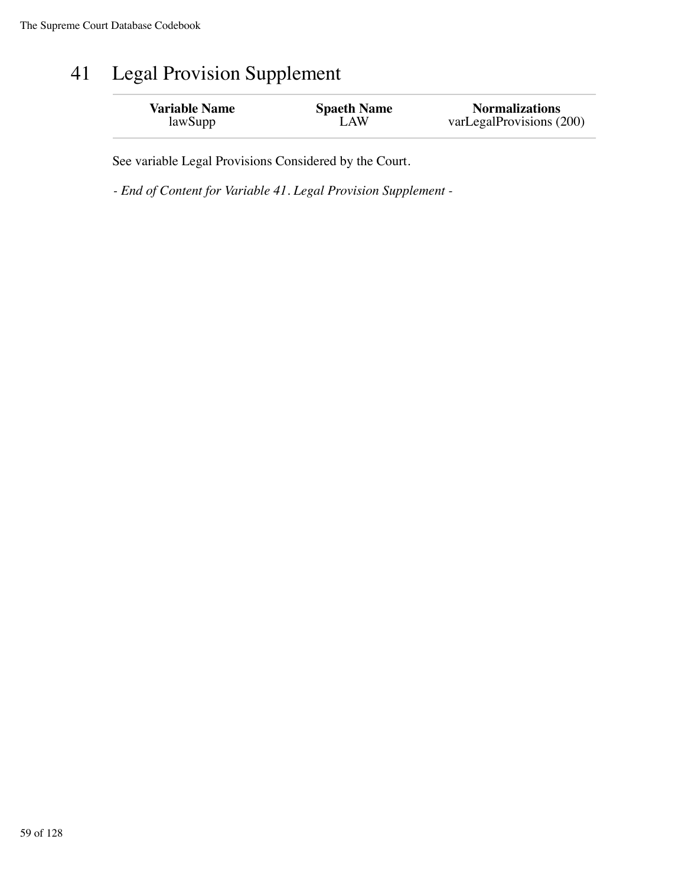## 41 Legal Provision Supplement

| <b>Variable Name</b> | <b>Spaeth Name</b> | <b>Normalizations</b>    |
|----------------------|--------------------|--------------------------|
| lawSupp              | LAW                | varLegalProvisions (200) |

See variable Legal Provisions Considered by the Court.

*- End of Content for Variable 41. Legal Provision Supplement -*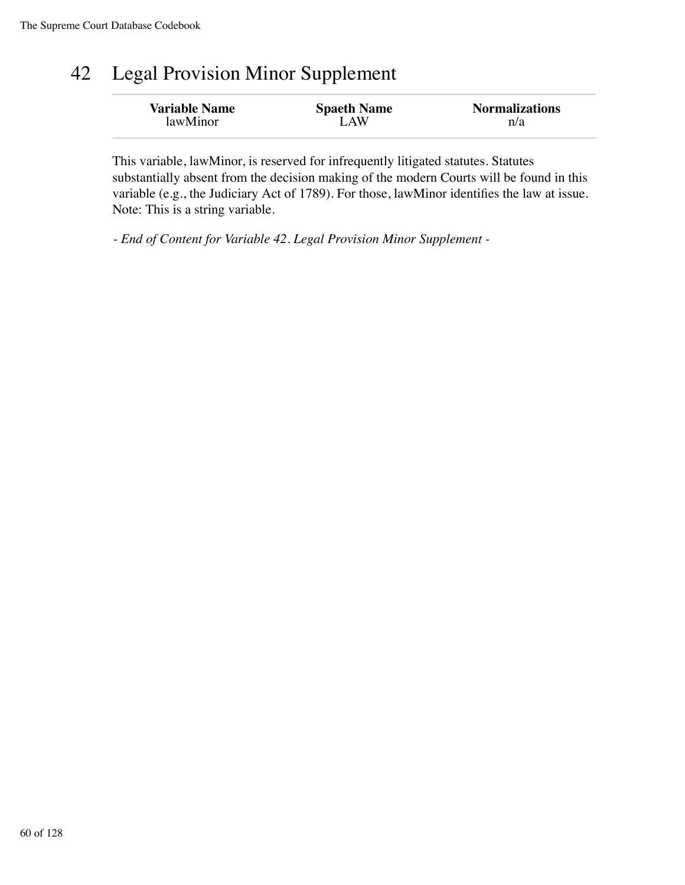## 42 Legal Provision Minor Supplement

| <b>Variable Name</b> | <b>Spaeth Name</b> | <b>Normalizations</b> |
|----------------------|--------------------|-----------------------|
| lawMinor             | LAW                | n/a                   |

This variable, lawMinor, is reserved for infrequently litigated statutes. Statutes substantially absent from the decision making of the modern Courts will be found in this variable (e.g., the Judiciary Act of 1789). For those, lawMinor identifies the law at issue. Note: This is a string variable.

*- End of Content for Variable 42. Legal Provision Minor Supplement -*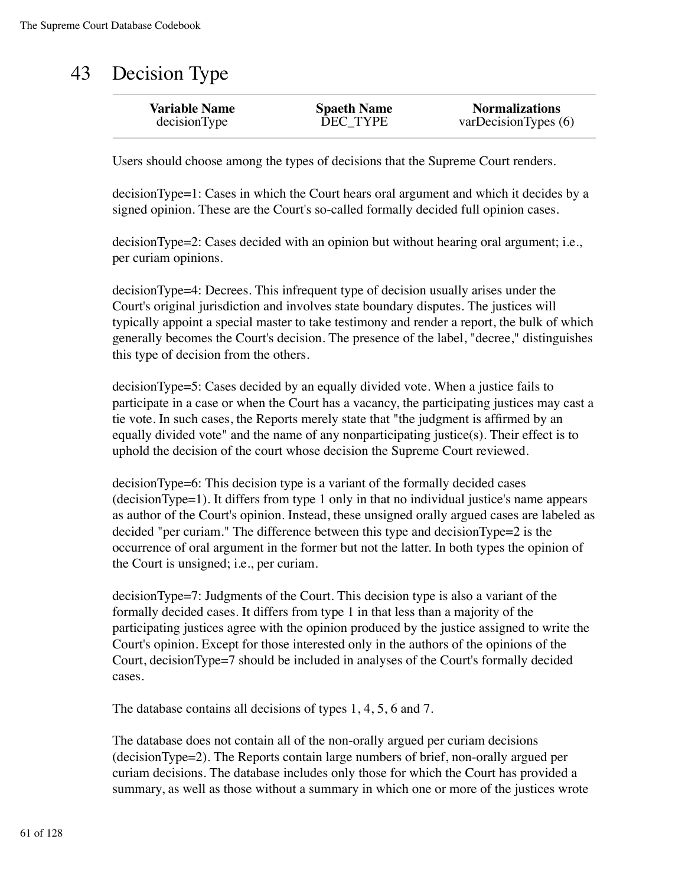# 43 Decision Type

| <b>Variable Name</b> | <b>Spaeth Name</b> | <b>Normalizations</b> |
|----------------------|--------------------|-----------------------|
| decisionType         | DEC TYPE           | varDecisionTypes(6)   |
|                      |                    |                       |

Users should choose among the types of decisions that the Supreme Court renders.

decisionType=1: Cases in which the Court hears oral argument and which it decides by a signed opinion. These are the Court's so-called formally decided full opinion cases.

decisionType=2: Cases decided with an opinion but without hearing oral argument; i.e., per curiam opinions.

decisionType=4: Decrees. This infrequent type of decision usually arises under the Court's original jurisdiction and involves state boundary disputes. The justices will typically appoint a special master to take testimony and render a report, the bulk of which generally becomes the Court's decision. The presence of the label, "decree," distinguishes this type of decision from the others.

decisionType=5: Cases decided by an equally divided vote. When a justice fails to participate in a case or when the Court has a vacancy, the participating justices may cast a tie vote. In such cases, the Reports merely state that "the judgment is affirmed by an equally divided vote" and the name of any nonparticipating justice $(s)$ . Their effect is to uphold the decision of the court whose decision the Supreme Court reviewed.

decisionType=6: This decision type is a variant of the formally decided cases (decisionType=1). It differs from type 1 only in that no individual justice's name appears as author of the Court's opinion. Instead, these unsigned orally argued cases are labeled as decided "per curiam." The difference between this type and decisionType=2 is the occurrence of oral argument in the former but not the latter. In both types the opinion of the Court is unsigned; i.e., per curiam.

decisionType=7: Judgments of the Court. This decision type is also a variant of the formally decided cases. It differs from type 1 in that less than a majority of the participating justices agree with the opinion produced by the justice assigned to write the Court's opinion. Except for those interested only in the authors of the opinions of the Court, decisionType=7 should be included in analyses of the Court's formally decided cases.

The database contains all decisions of types 1, 4, 5, 6 and 7.

The database does not contain all of the non-orally argued per curiam decisions (decisionType=2). The Reports contain large numbers of brief, non-orally argued per curiam decisions. The database includes only those for which the Court has provided a summary, as well as those without a summary in which one or more of the justices wrote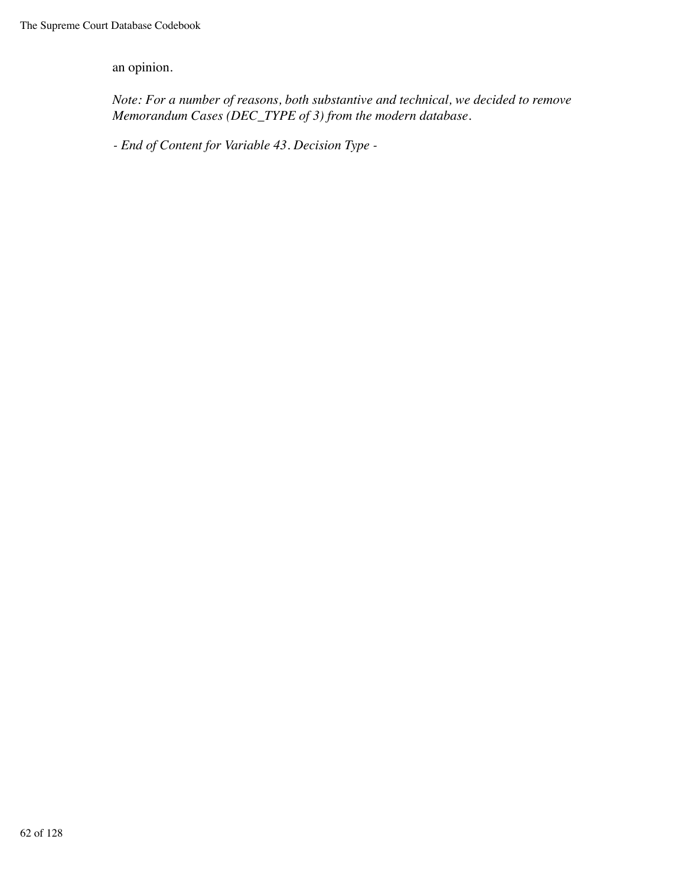an opinion.

*Note: For a number of reasons, both substantive and technical, we decided to remove Memorandum Cases (DEC\_TYPE of 3) from the modern database.*

*- End of Content for Variable 43. Decision Type -*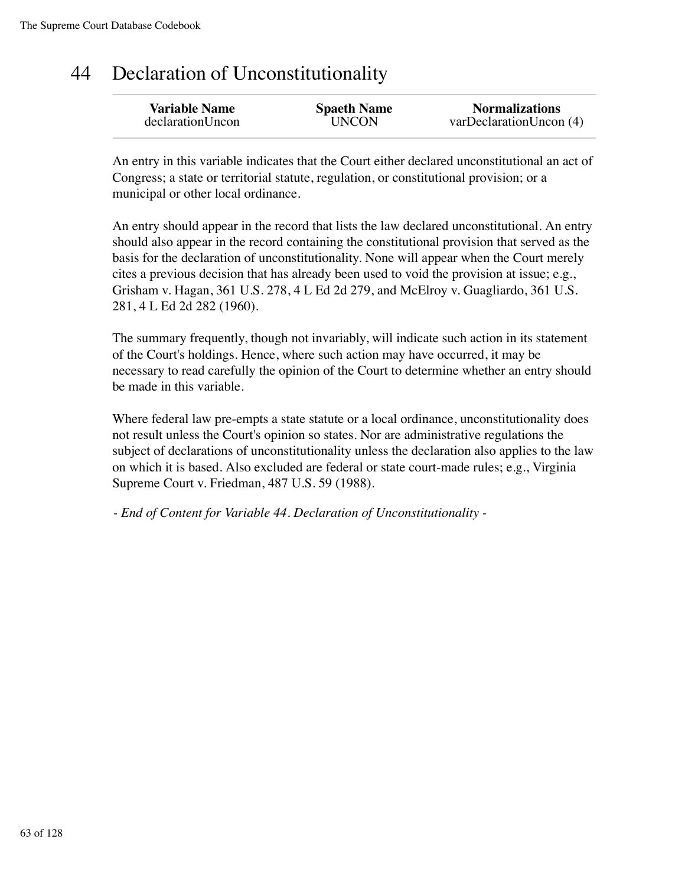## 44 Declaration of Unconstitutionality

| <b>Variable Name</b> | <b>Spaeth Name</b> | <b>Normalizations</b>   |
|----------------------|--------------------|-------------------------|
| declarationUncon     | <b>UNCON</b>       | varDeclarationUncon (4) |
|                      |                    |                         |

An entry in this variable indicates that the Court either declared unconstitutional an act of Congress; a state or territorial statute, regulation, or constitutional provision; or a municipal or other local ordinance.

An entry should appear in the record that lists the law declared unconstitutional. An entry should also appear in the record containing the constitutional provision that served as the basis for the declaration of unconstitutionality. None will appear when the Court merely cites a previous decision that has already been used to void the provision at issue; e.g., Grisham v. Hagan, 361 U.S. 278, 4 L Ed 2d 279, and McElroy v. Guagliardo, 361 U.S. 281, 4 L Ed 2d 282 (1960).

The summary frequently, though not invariably, will indicate such action in its statement of the Court's holdings. Hence, where such action may have occurred, it may be necessary to read carefully the opinion of the Court to determine whether an entry should be made in this variable.

Where federal law pre-empts a state statute or a local ordinance, unconstitutionality does not result unless the Court's opinion so states. Nor are administrative regulations the subject of declarations of unconstitutionality unless the declaration also applies to the law on which it is based. Also excluded are federal or state court-made rules; e.g., Virginia Supreme Court v. Friedman, 487 U.S. 59 (1988).

*- End of Content for Variable 44. Declaration of Unconstitutionality -*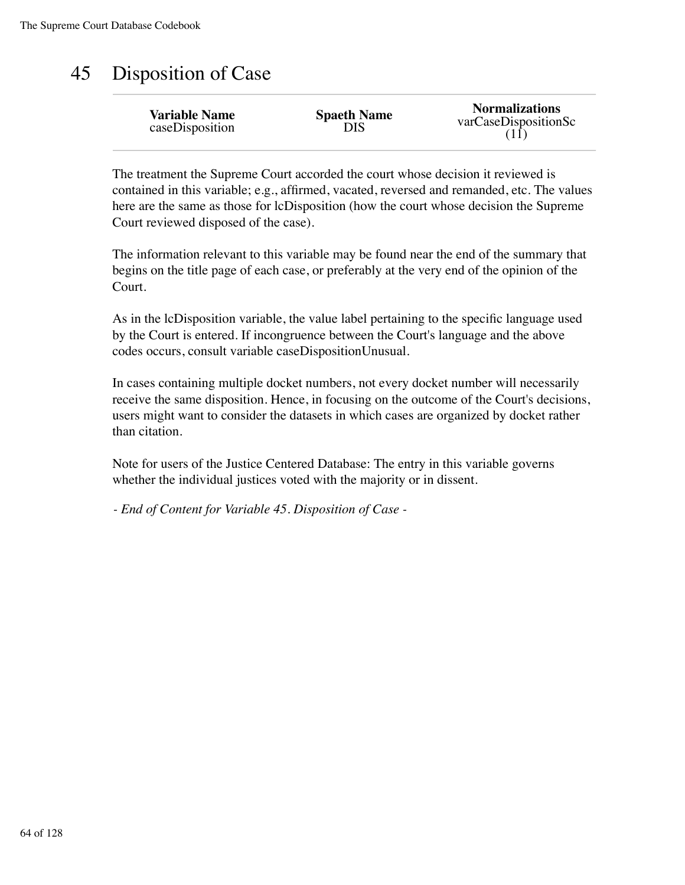### 45 Disposition of Case

| <b>Variable Name</b> | <b>Spaeth Name</b> | <b>Normalizations</b> |
|----------------------|--------------------|-----------------------|
| caseDisposition      | DIS                | varCaseDispositionSc  |

The treatment the Supreme Court accorded the court whose decision it reviewed is contained in this variable; e.g., affirmed, vacated, reversed and remanded, etc. The values here are the same as those for lcDisposition (how the court whose decision the Supreme Court reviewed disposed of the case).

The information relevant to this variable may be found near the end of the summary that begins on the title page of each case, or preferably at the very end of the opinion of the Court.

As in the lcDisposition variable, the value label pertaining to the specific language used by the Court is entered. If incongruence between the Court's language and the above codes occurs, consult variable caseDispositionUnusual.

In cases containing multiple docket numbers, not every docket number will necessarily receive the same disposition. Hence, in focusing on the outcome of the Court's decisions, users might want to consider the datasets in which cases are organized by docket rather than citation.

Note for users of the Justice Centered Database: The entry in this variable governs whether the individual justices voted with the majority or in dissent.

*- End of Content for Variable 45. Disposition of Case -*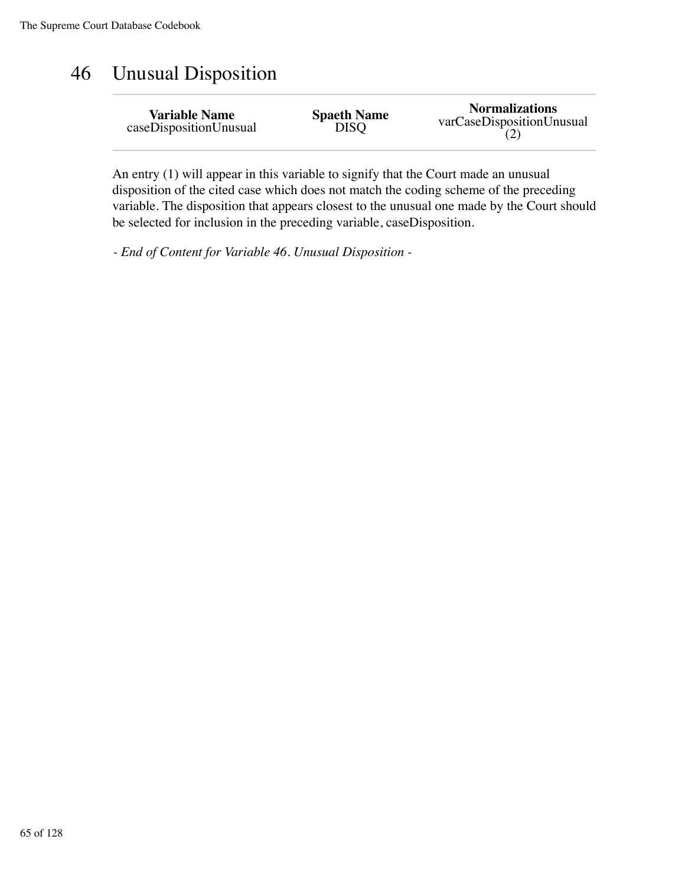## 46 Unusual Disposition

| <b>Variable Name</b>   | <b>Spaeth Name</b> | <b>Normalizations</b>     |
|------------------------|--------------------|---------------------------|
| caseDispositionUnusual | <b>DISQ</b>        | varCaseDispositionUnusual |

An entry (1) will appear in this variable to signify that the Court made an unusual disposition of the cited case which does not match the coding scheme of the preceding variable. The disposition that appears closest to the unusual one made by the Court should be selected for inclusion in the preceding variable, caseDisposition.

*- End of Content for Variable 46. Unusual Disposition -*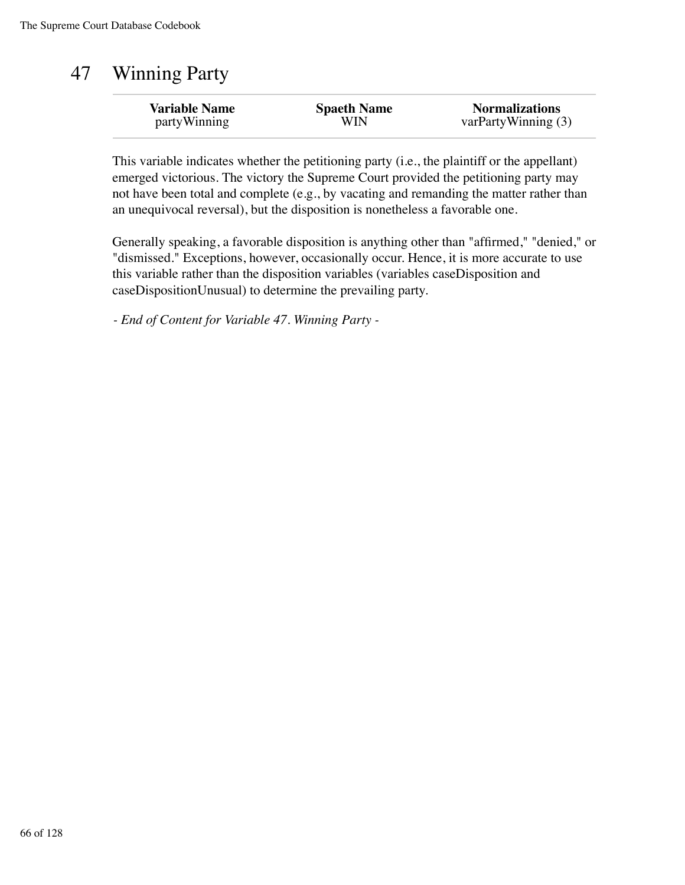# 47 Winning Party

| <b>Variable Name</b> | <b>Spaeth Name</b> | <b>Normalizations</b> |
|----------------------|--------------------|-----------------------|
| partyWinning         | WIN                | varPartyWinning $(3)$ |
|                      |                    |                       |

This variable indicates whether the petitioning party (i.e., the plaintiff or the appellant) emerged victorious. The victory the Supreme Court provided the petitioning party may not have been total and complete (e.g., by vacating and remanding the matter rather than an unequivocal reversal), but the disposition is nonetheless a favorable one.

Generally speaking, a favorable disposition is anything other than "affirmed," "denied," or "dismissed." Exceptions, however, occasionally occur. Hence, it is more accurate to use this variable rather than the disposition variables (variables caseDisposition and caseDispositionUnusual) to determine the prevailing party.

*- End of Content for Variable 47. Winning Party -*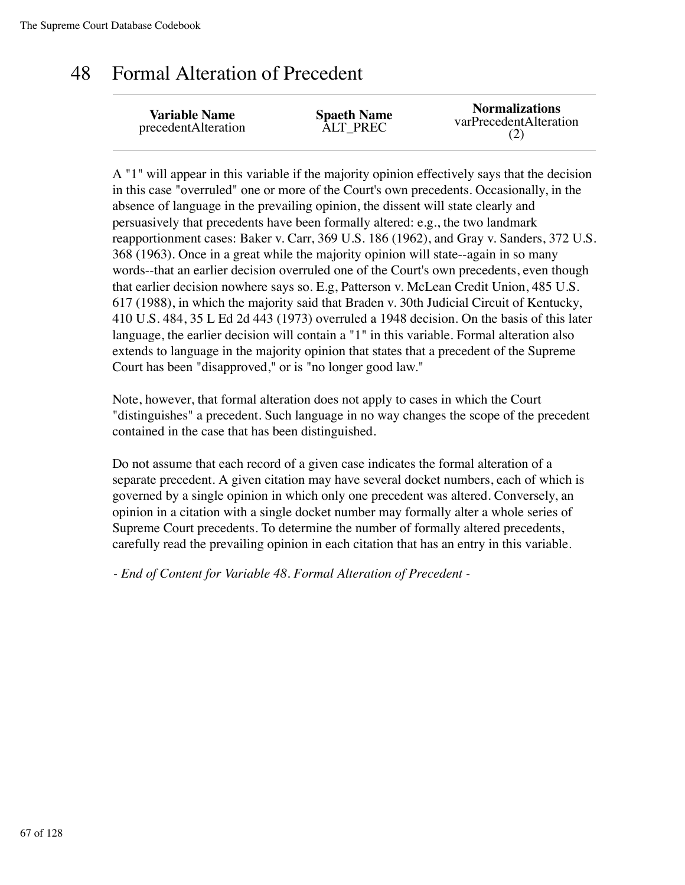#### 48 Formal Alteration of Precedent

| <b>Variable Name</b> | <b>Spaeth Name</b> | <b>Normalizations</b>  |
|----------------------|--------------------|------------------------|
| precedentAlteration  | ALT PREC           | varPrecedentAlteration |

A "1" will appear in this variable if the majority opinion effectively says that the decision in this case "overruled" one or more of the Court's own precedents. Occasionally, in the absence of language in the prevailing opinion, the dissent will state clearly and persuasively that precedents have been formally altered: e.g., the two landmark reapportionment cases: Baker v. Carr, 369 U.S. 186 (1962), and Gray v. Sanders, 372 U.S. 368 (1963). Once in a great while the majority opinion will state--again in so many words--that an earlier decision overruled one of the Court's own precedents, even though that earlier decision nowhere says so. E.g, Patterson v. McLean Credit Union, 485 U.S. 617 (1988), in which the majority said that Braden v. 30th Judicial Circuit of Kentucky, 410 U.S. 484, 35 L Ed 2d 443 (1973) overruled a 1948 decision. On the basis of this later language, the earlier decision will contain a "1" in this variable. Formal alteration also extends to language in the majority opinion that states that a precedent of the Supreme Court has been "disapproved," or is "no longer good law."

Note, however, that formal alteration does not apply to cases in which the Court "distinguishes" a precedent. Such language in no way changes the scope of the precedent contained in the case that has been distinguished.

Do not assume that each record of a given case indicates the formal alteration of a separate precedent. A given citation may have several docket numbers, each of which is governed by a single opinion in which only one precedent was altered. Conversely, an opinion in a citation with a single docket number may formally alter a whole series of Supreme Court precedents. To determine the number of formally altered precedents, carefully read the prevailing opinion in each citation that has an entry in this variable.

*- End of Content for Variable 48. Formal Alteration of Precedent -*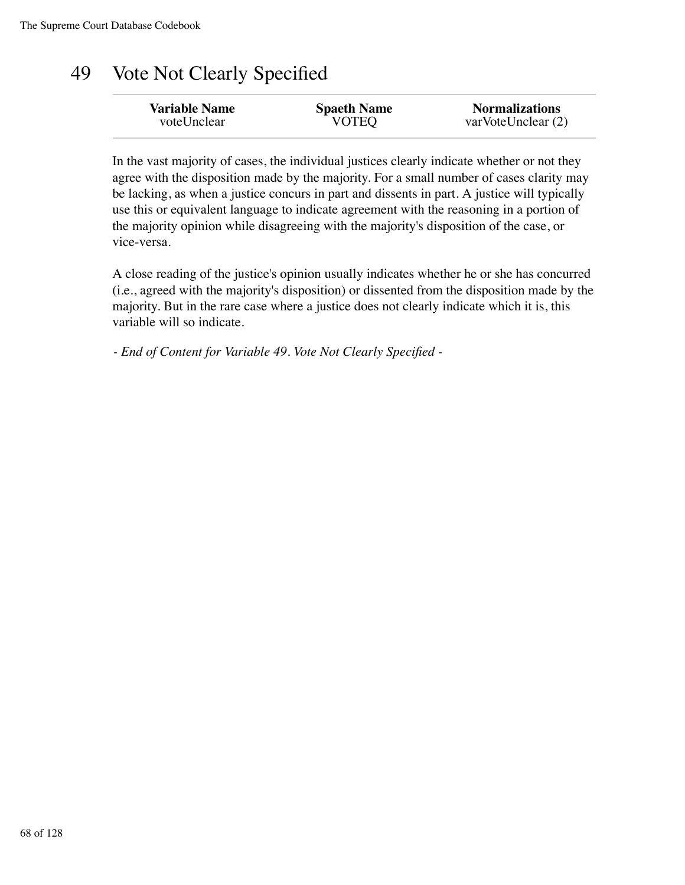#### 49 Vote Not Clearly Specified

| <b>Variable Name</b> | <b>Spaeth Name</b> | <b>Normalizations</b> |
|----------------------|--------------------|-----------------------|
| voteUnclear          | <b>VOTEQ</b>       | varVoteUnclear(2)     |
|                      |                    |                       |

In the vast majority of cases, the individual justices clearly indicate whether or not they agree with the disposition made by the majority. For a small number of cases clarity may be lacking, as when a justice concurs in part and dissents in part. A justice will typically use this or equivalent language to indicate agreement with the reasoning in a portion of the majority opinion while disagreeing with the majority's disposition of the case, or vice-versa.

A close reading of the justice's opinion usually indicates whether he or she has concurred (i.e., agreed with the majority's disposition) or dissented from the disposition made by the majority. But in the rare case where a justice does not clearly indicate which it is, this variable will so indicate.

*- End of Content for Variable 49. Vote Not Clearly Specified -*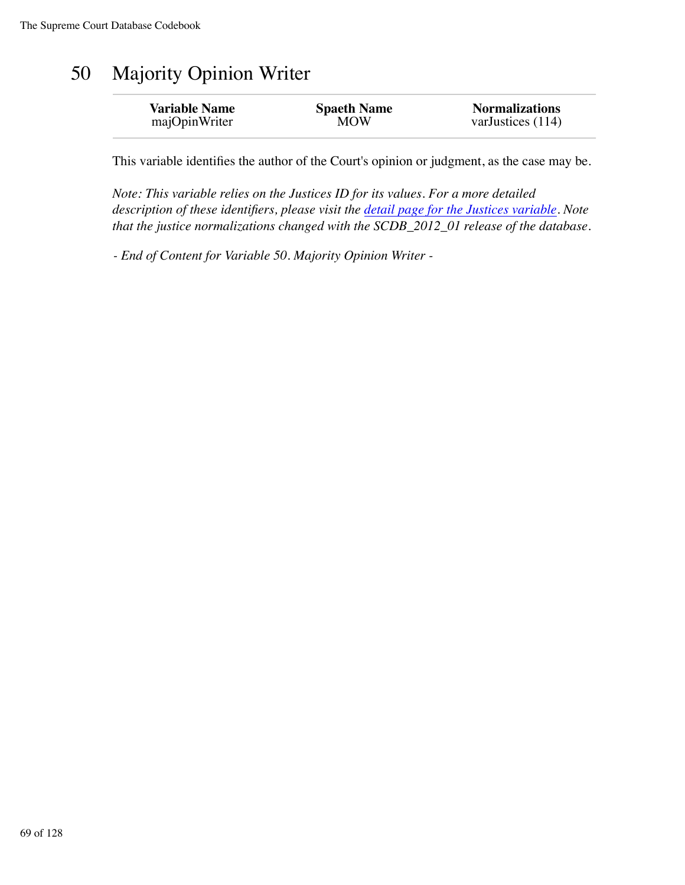# 50 Majority Opinion Writer

| <b>Variable Name</b> | <b>Spaeth Name</b> | <b>Normalizations</b> |
|----------------------|--------------------|-----------------------|
| majOpinWriter        | <b>MOW</b>         | varJustices $(114)$   |
|                      |                    |                       |

This variable identifies the author of the Court's opinion or judgment, as the case may be.

*Note: This variable relies on the Justices ID for its values. For a more detailed description of these identifiers, please visit the detail page for the Justices variable. Note that the justice normalizations changed with the SCDB\_2012\_01 release of the database.*

*- End of Content for Variable 50. Majority Opinion Writer -*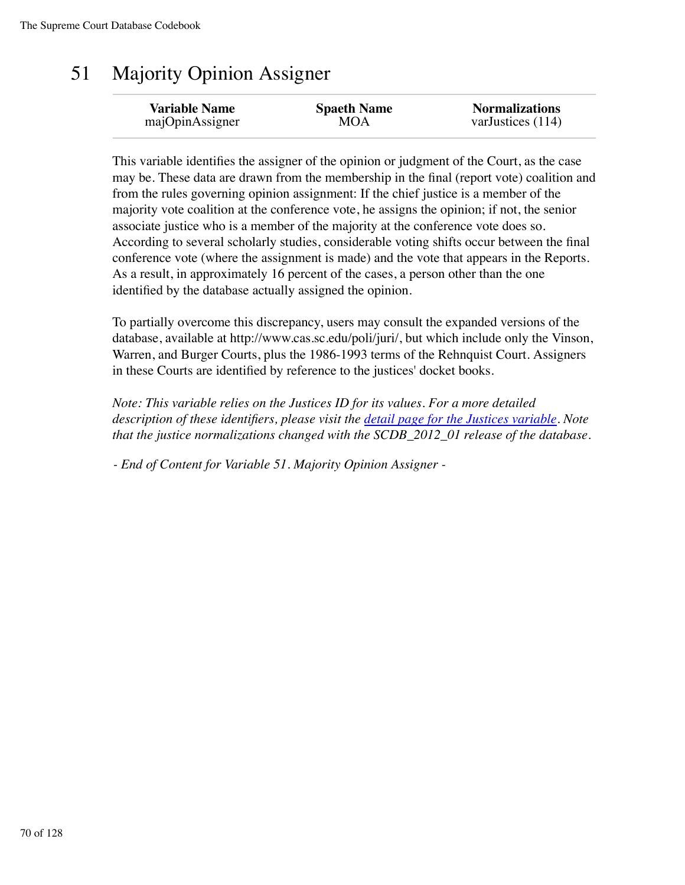# 51 Majority Opinion Assigner

| <b>Variable Name</b> | <b>Spaeth Name</b> | <b>Normalizations</b> |
|----------------------|--------------------|-----------------------|
| majOpinAssigner      | MOA                | varJustices (114)     |
|                      |                    |                       |

This variable identifies the assigner of the opinion or judgment of the Court, as the case may be. These data are drawn from the membership in the final (report vote) coalition and from the rules governing opinion assignment: If the chief justice is a member of the majority vote coalition at the conference vote, he assigns the opinion; if not, the senior associate justice who is a member of the majority at the conference vote does so. According to several scholarly studies, considerable voting shifts occur between the final conference vote (where the assignment is made) and the vote that appears in the Reports. As a result, in approximately 16 percent of the cases, a person other than the one identified by the database actually assigned the opinion.

To partially overcome this discrepancy, users may consult the expanded versions of the database, available at http://www.cas.sc.edu/poli/juri/, but which include only the Vinson, Warren, and Burger Courts, plus the 1986-1993 terms of the Rehnquist Court. Assigners in these Courts are identified by reference to the justices' docket books.

*Note: This variable relies on the Justices ID for its values. For a more detailed description of these identifiers, please visit the detail page for the Justices variable. Note that the justice normalizations changed with the SCDB\_2012\_01 release of the database.*

*- End of Content for Variable 51. Majority Opinion Assigner -*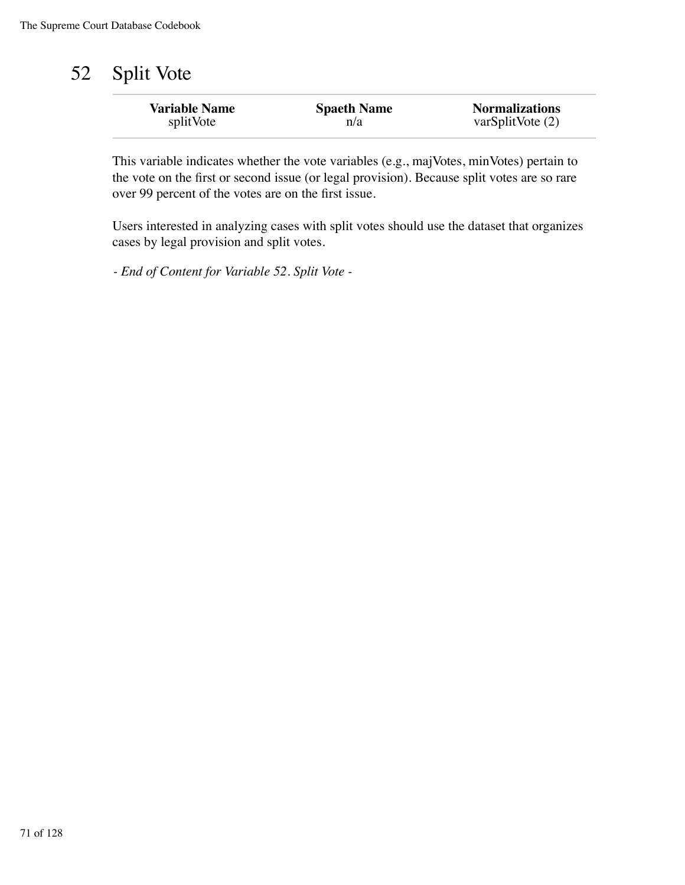# 52 Split Vote

| <b>Variable Name</b> | <b>Spaeth Name</b> | <b>Normalizations</b> |
|----------------------|--------------------|-----------------------|
| splitVote            | n/a                | varSplitNote (2)      |
|                      |                    |                       |

This variable indicates whether the vote variables (e.g., majVotes, minVotes) pertain to the vote on the first or second issue (or legal provision). Because split votes are so rare over 99 percent of the votes are on the first issue.

Users interested in analyzing cases with split votes should use the dataset that organizes cases by legal provision and split votes.

*- End of Content for Variable 52. Split Vote -*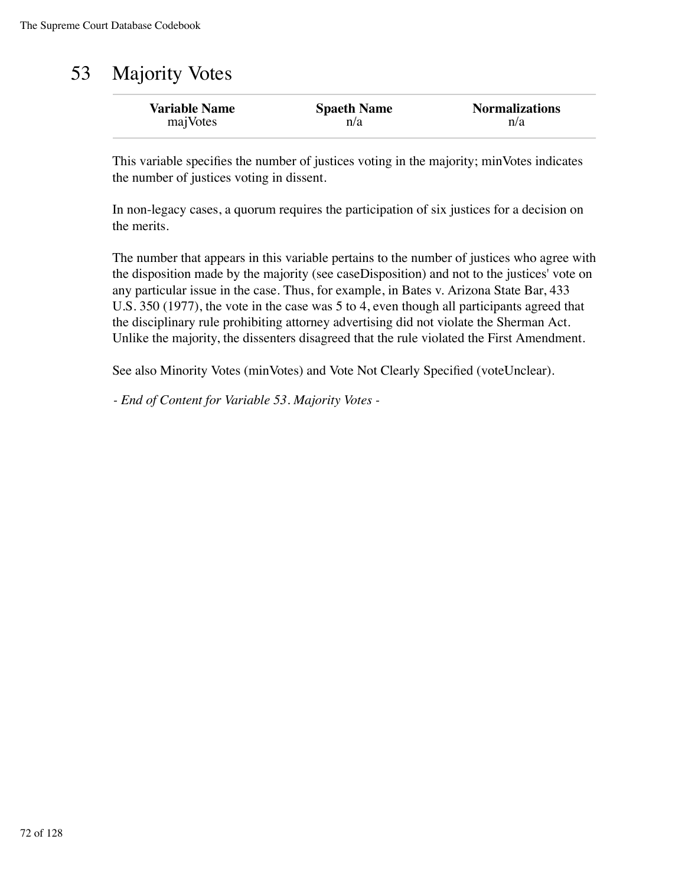# 53 Majority Votes

| <b>Variable Name</b> | <b>Spaeth Name</b> | <b>Normalizations</b> |
|----------------------|--------------------|-----------------------|
| majVotes             | n/a                | n/a                   |

This variable specifies the number of justices voting in the majority; minVotes indicates the number of justices voting in dissent.

In non-legacy cases, a quorum requires the participation of six justices for a decision on the merits.

The number that appears in this variable pertains to the number of justices who agree with the disposition made by the majority (see caseDisposition) and not to the justices' vote on any particular issue in the case. Thus, for example, in Bates v. Arizona State Bar, 433 U.S. 350 (1977), the vote in the case was 5 to 4, even though all participants agreed that the disciplinary rule prohibiting attorney advertising did not violate the Sherman Act. Unlike the majority, the dissenters disagreed that the rule violated the First Amendment.

See also Minority Votes (minVotes) and Vote Not Clearly Specified (voteUnclear).

*- End of Content for Variable 53. Majority Votes -*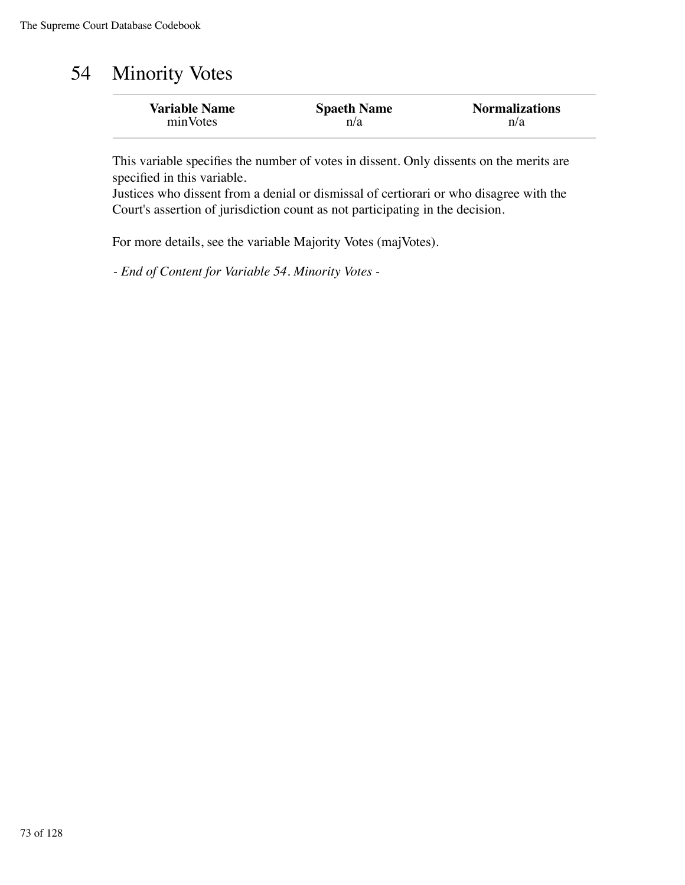# 54 Minority Votes

| <b>Variable Name</b> | <b>Spaeth Name</b> | <b>Normalizations</b> |
|----------------------|--------------------|-----------------------|
| minVotes             | n/a                | n/a                   |

This variable specifies the number of votes in dissent. Only dissents on the merits are specified in this variable.

Justices who dissent from a denial or dismissal of certiorari or who disagree with the Court's assertion of jurisdiction count as not participating in the decision.

For more details, see the variable Majority Votes (majVotes).

*- End of Content for Variable 54. Minority Votes -*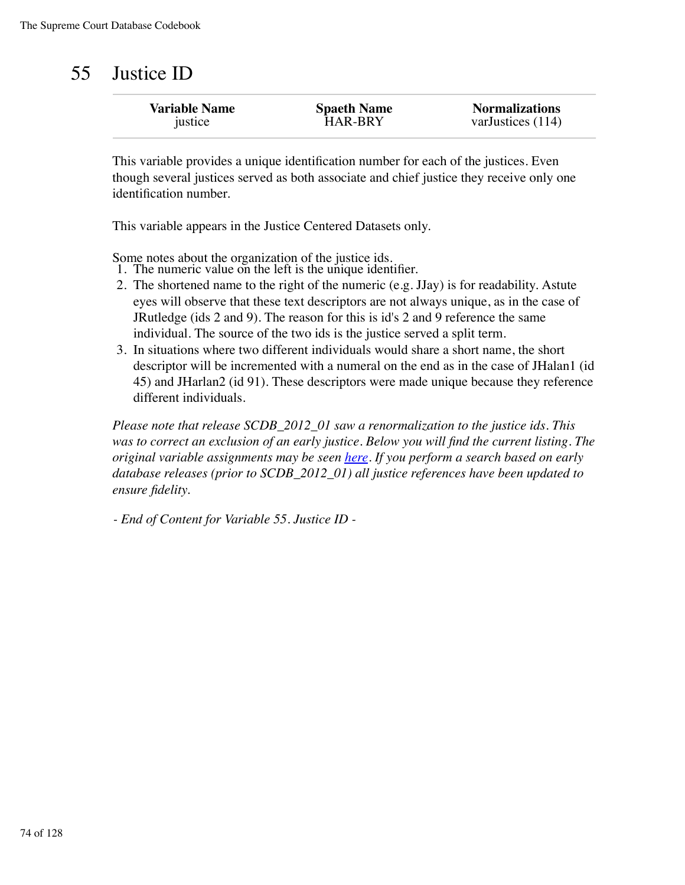# 55 Justice ID

| <b>Variable Name</b> | <b>Spaeth Name</b> | <b>Normalizations</b> |
|----------------------|--------------------|-----------------------|
| justice              | <b>HAR-BRY</b>     | varJustices (114)     |
|                      |                    |                       |

This variable provides a unique identification number for each of the justices. Even though several justices served as both associate and chief justice they receive only one identification number.

This variable appears in the Justice Centered Datasets only.

Some notes about the organization of the justice ids. 1. The numeric value on the left is the unique identifier.

- The shortened name to the right of the numeric (e.g. JJay) is for readability. Astute 2. eyes will observe that these text descriptors are not always unique, as in the case of JRutledge (ids 2 and 9). The reason for this is id's 2 and 9 reference the same individual. The source of the two ids is the justice served a split term.
- In situations where two different individuals would share a short name, the short 3. descriptor will be incremented with a numeral on the end as in the case of JHalan1 (id 45) and JHarlan2 (id 91). These descriptors were made unique because they reference different individuals.

*Please note that release SCDB\_2012\_01 saw a renormalization to the justice ids. This was to correct an exclusion of an early justice. Below you will find the current listing. The original variable assignments may be seen here. If you perform a search based on early database releases (prior to SCDB\_2012\_01) all justice references have been updated to ensure fidelity.*

*- End of Content for Variable 55. Justice ID -*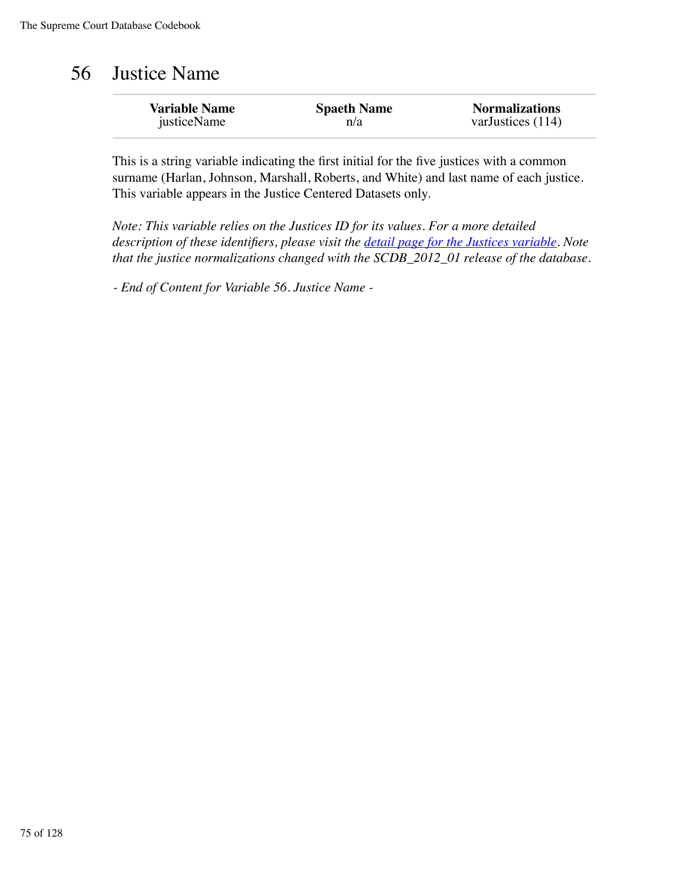# 56 Justice Name

| <b>Variable Name</b> | <b>Spaeth Name</b> | <b>Normalizations</b> |
|----------------------|--------------------|-----------------------|
| justiceName          | n/a                | varJustices $(114)$   |

This is a string variable indicating the first initial for the five justices with a common surname (Harlan, Johnson, Marshall, Roberts, and White) and last name of each justice. This variable appears in the Justice Centered Datasets only.

*Note: This variable relies on the Justices ID for its values. For a more detailed description of these identifiers, please visit the detail page for the Justices variable. Note that the justice normalizations changed with the SCDB\_2012\_01 release of the database.*

*- End of Content for Variable 56. Justice Name -*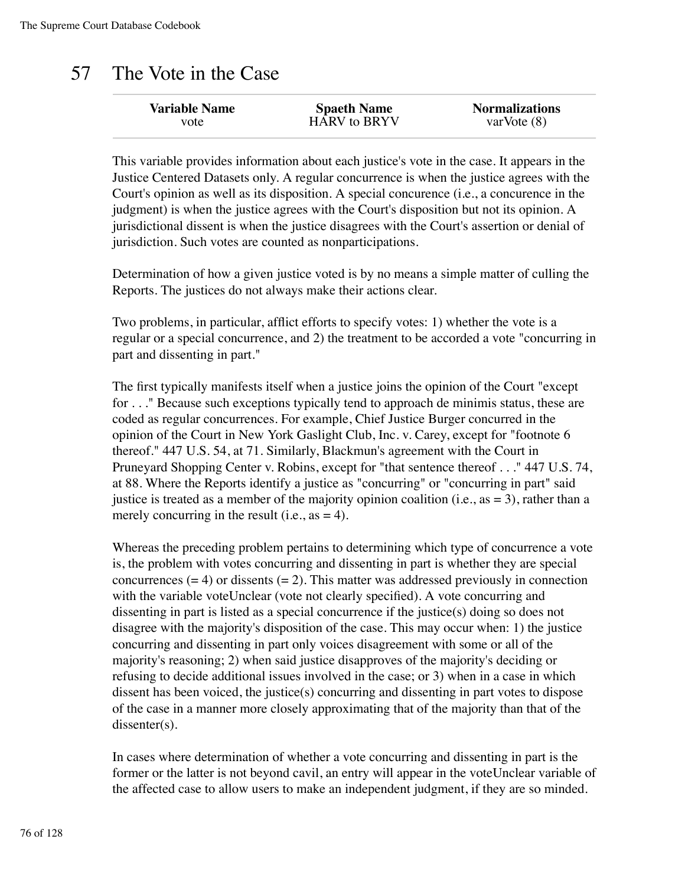## 57 The Vote in the Case

| <b>Variable Name</b> | <b>Spaeth Name</b>  | <b>Normalizations</b> |
|----------------------|---------------------|-----------------------|
| vote                 | <b>HARV</b> to BRYV | varVote $(8)$         |

This variable provides information about each justice's vote in the case. It appears in the Justice Centered Datasets only. A regular concurrence is when the justice agrees with the Court's opinion as well as its disposition. A special concurence (i.e., a concurence in the judgment) is when the justice agrees with the Court's disposition but not its opinion. A jurisdictional dissent is when the justice disagrees with the Court's assertion or denial of jurisdiction. Such votes are counted as nonparticipations.

Determination of how a given justice voted is by no means a simple matter of culling the Reports. The justices do not always make their actions clear.

Two problems, in particular, afflict efforts to specify votes: 1) whether the vote is a regular or a special concurrence, and 2) the treatment to be accorded a vote "concurring in part and dissenting in part."

The first typically manifests itself when a justice joins the opinion of the Court "except for . . ." Because such exceptions typically tend to approach de minimis status, these are coded as regular concurrences. For example, Chief Justice Burger concurred in the opinion of the Court in New York Gaslight Club, Inc. v. Carey, except for "footnote 6 thereof." 447 U.S. 54, at 71. Similarly, Blackmun's agreement with the Court in Pruneyard Shopping Center v. Robins, except for "that sentence thereof . . ." 447 U.S. 74, at 88. Where the Reports identify a justice as "concurring" or "concurring in part" said justice is treated as a member of the majority opinion coalition (i.e.,  $as = 3$ ), rather than a merely concurring in the result (i.e.,  $as = 4$ ).

Whereas the preceding problem pertains to determining which type of concurrence a vote is, the problem with votes concurring and dissenting in part is whether they are special concurrences  $(= 4)$  or dissents  $(= 2)$ . This matter was addressed previously in connection with the variable voteUnclear (vote not clearly specified). A vote concurring and dissenting in part is listed as a special concurrence if the justice(s) doing so does not disagree with the majority's disposition of the case. This may occur when: 1) the justice concurring and dissenting in part only voices disagreement with some or all of the majority's reasoning; 2) when said justice disapproves of the majority's deciding or refusing to decide additional issues involved in the case; or 3) when in a case in which dissent has been voiced, the justice(s) concurring and dissenting in part votes to dispose of the case in a manner more closely approximating that of the majority than that of the dissenter(s).

In cases where determination of whether a vote concurring and dissenting in part is the former or the latter is not beyond cavil, an entry will appear in the voteUnclear variable of the affected case to allow users to make an independent judgment, if they are so minded.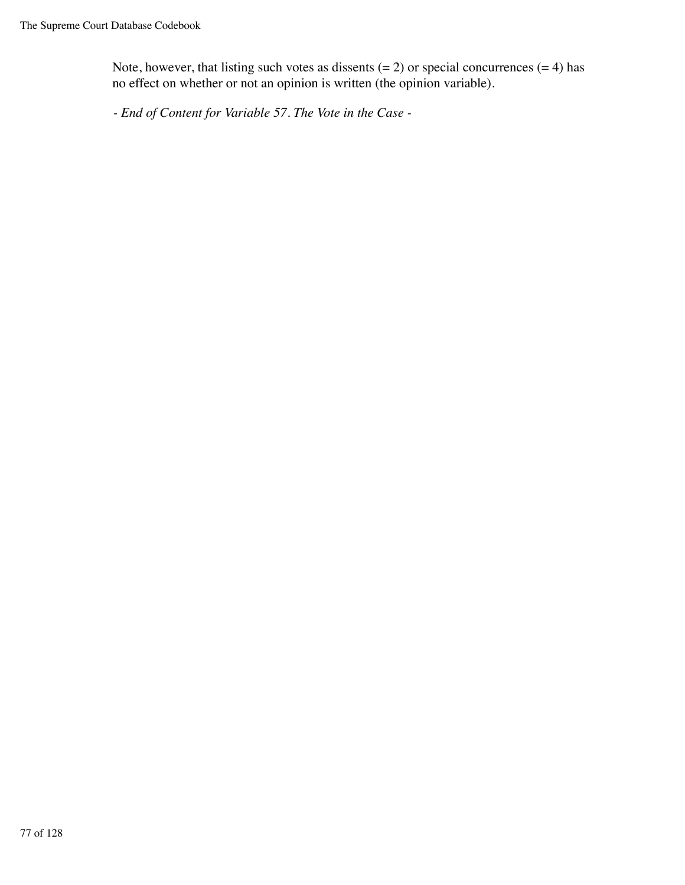Note, however, that listing such votes as dissents  $(= 2)$  or special concurrences  $(= 4)$  has no effect on whether or not an opinion is written (the opinion variable).

*- End of Content for Variable 57. The Vote in the Case -*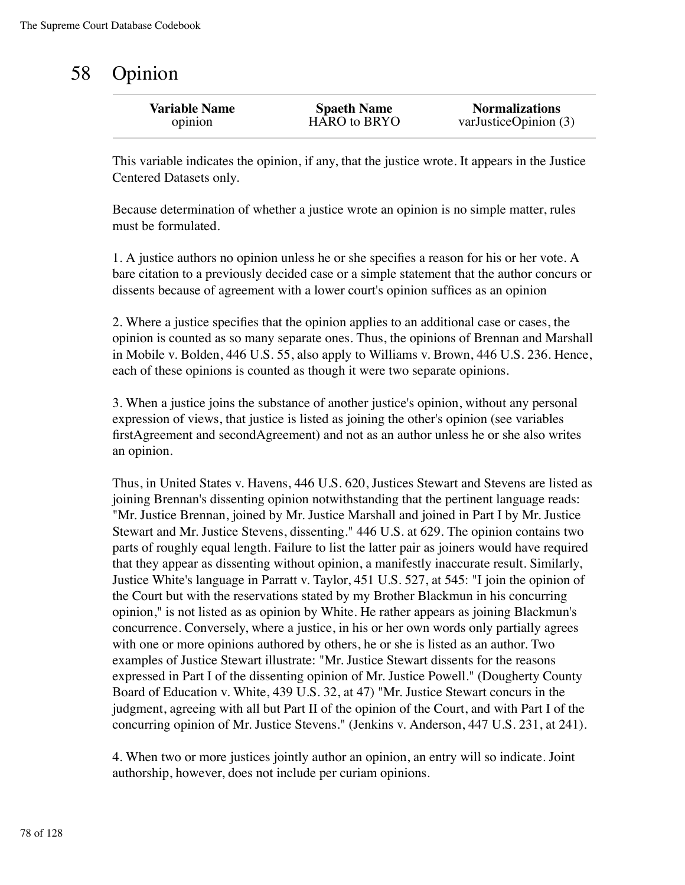## 58 Opinion

| <b>Variable Name</b> | <b>Spaeth Name</b> | <b>Normalizations</b>     |
|----------------------|--------------------|---------------------------|
| opinion              | HARO to BRYO       | var Justice Opinion $(3)$ |
|                      |                    |                           |

This variable indicates the opinion, if any, that the justice wrote. It appears in the Justice Centered Datasets only.

Because determination of whether a justice wrote an opinion is no simple matter, rules must be formulated.

1. A justice authors no opinion unless he or she specifies a reason for his or her vote. A bare citation to a previously decided case or a simple statement that the author concurs or dissents because of agreement with a lower court's opinion suffices as an opinion

2. Where a justice specifies that the opinion applies to an additional case or cases, the opinion is counted as so many separate ones. Thus, the opinions of Brennan and Marshall in Mobile v. Bolden, 446 U.S. 55, also apply to Williams v. Brown, 446 U.S. 236. Hence, each of these opinions is counted as though it were two separate opinions.

3. When a justice joins the substance of another justice's opinion, without any personal expression of views, that justice is listed as joining the other's opinion (see variables firstAgreement and secondAgreement) and not as an author unless he or she also writes an opinion.

Thus, in United States v. Havens, 446 U.S. 620, Justices Stewart and Stevens are listed as joining Brennan's dissenting opinion notwithstanding that the pertinent language reads: "Mr. Justice Brennan, joined by Mr. Justice Marshall and joined in Part I by Mr. Justice Stewart and Mr. Justice Stevens, dissenting." 446 U.S. at 629. The opinion contains two parts of roughly equal length. Failure to list the latter pair as joiners would have required that they appear as dissenting without opinion, a manifestly inaccurate result. Similarly, Justice White's language in Parratt v. Taylor, 451 U.S. 527, at 545: "I join the opinion of the Court but with the reservations stated by my Brother Blackmun in his concurring opinion," is not listed as as opinion by White. He rather appears as joining Blackmun's concurrence. Conversely, where a justice, in his or her own words only partially agrees with one or more opinions authored by others, he or she is listed as an author. Two examples of Justice Stewart illustrate: "Mr. Justice Stewart dissents for the reasons expressed in Part I of the dissenting opinion of Mr. Justice Powell." (Dougherty County Board of Education v. White, 439 U.S. 32, at 47) "Mr. Justice Stewart concurs in the judgment, agreeing with all but Part II of the opinion of the Court, and with Part I of the concurring opinion of Mr. Justice Stevens." (Jenkins v. Anderson, 447 U.S. 231, at 241).

4. When two or more justices jointly author an opinion, an entry will so indicate. Joint authorship, however, does not include per curiam opinions.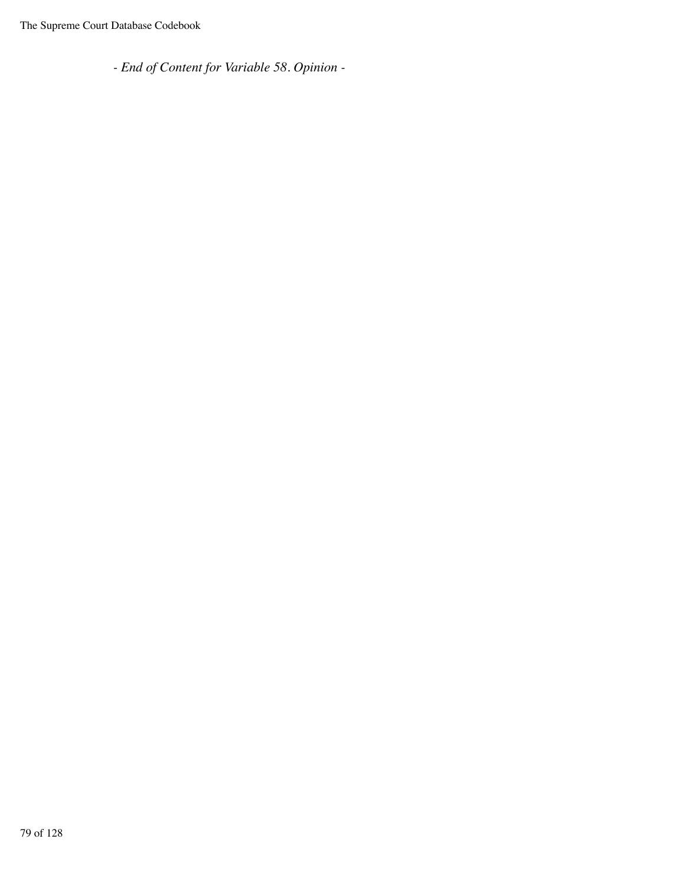*- End of Content for Variable 58. Opinion -*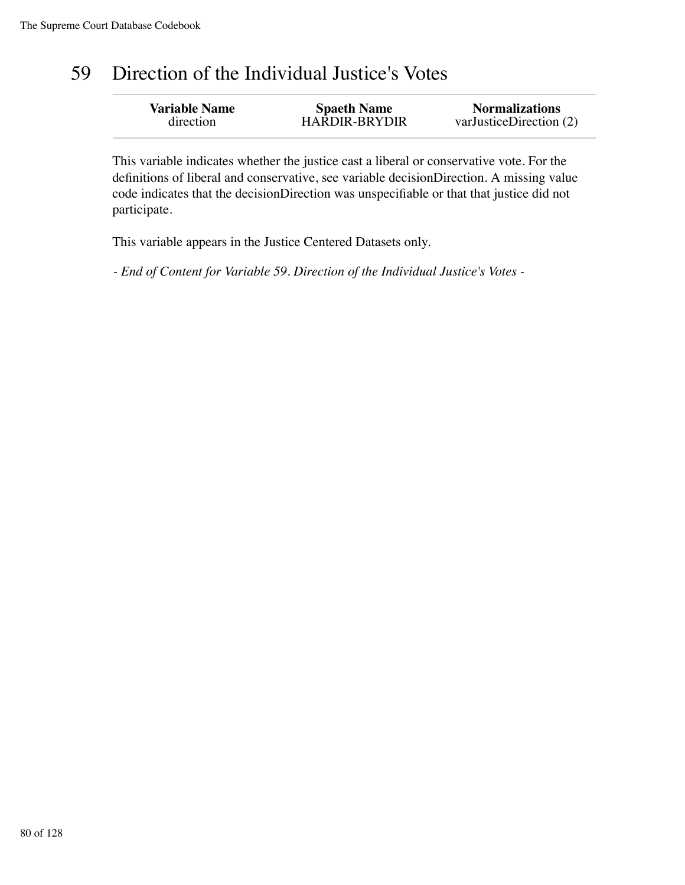## 59 Direction of the Individual Justice's Votes

| <b>Variable Name</b> | <b>Spaeth Name</b>   | <b>Normalizations</b>   |
|----------------------|----------------------|-------------------------|
| direction            | <b>HARDIR-BRYDIR</b> | varJusticeDirection (2) |

This variable indicates whether the justice cast a liberal or conservative vote. For the definitions of liberal and conservative, see variable decisionDirection. A missing value code indicates that the decisionDirection was unspecifiable or that that justice did not participate.

This variable appears in the Justice Centered Datasets only.

*- End of Content for Variable 59. Direction of the Individual Justice's Votes -*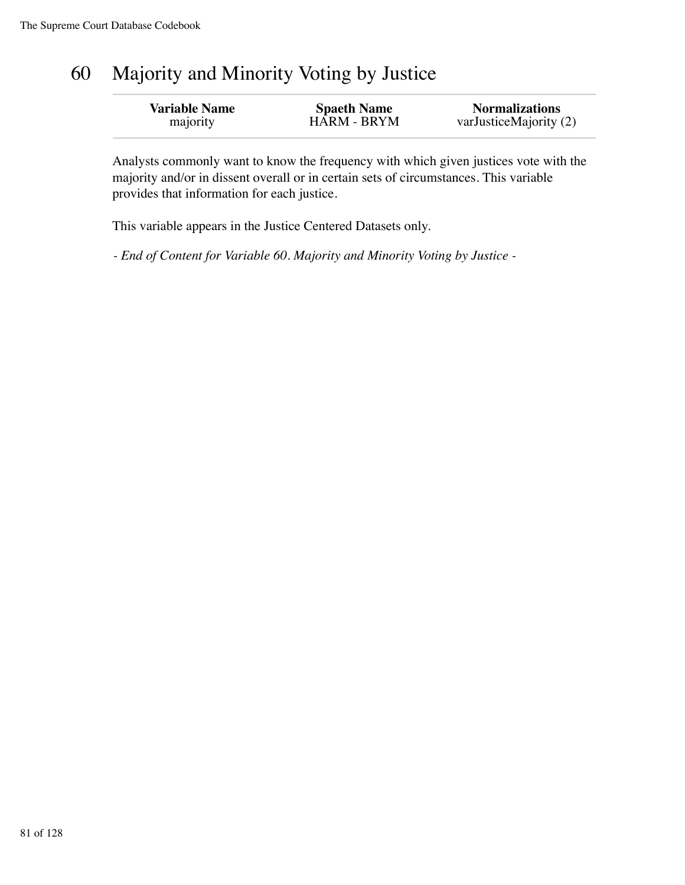# 60 Majority and Minority Voting by Justice

| <b>Variable Name</b> | <b>Spaeth Name</b> | <b>Normalizations</b>  |
|----------------------|--------------------|------------------------|
| majority             | <b>HARM - BRYM</b> | varJusticeMajority (2) |

Analysts commonly want to know the frequency with which given justices vote with the majority and/or in dissent overall or in certain sets of circumstances. This variable provides that information for each justice.

This variable appears in the Justice Centered Datasets only.

*- End of Content for Variable 60. Majority and Minority Voting by Justice -*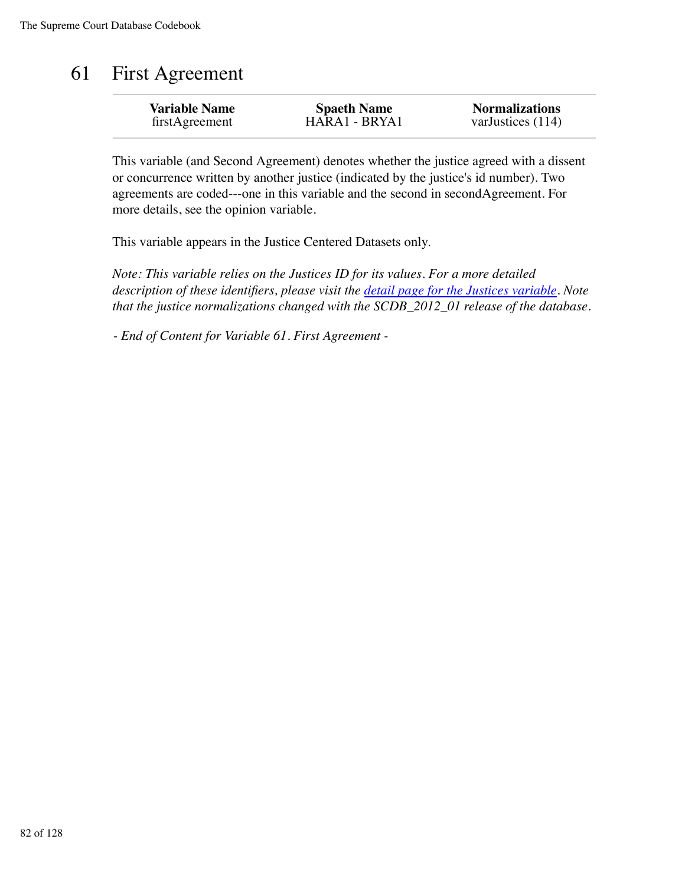# 61 First Agreement

| <b>Variable Name</b> | <b>Spaeth Name</b> | <b>Normalizations</b> |
|----------------------|--------------------|-----------------------|
| firstAgreement       | HARA1 - BRYA1      | varJustices (114)     |
|                      |                    |                       |

This variable (and Second Agreement) denotes whether the justice agreed with a dissent or concurrence written by another justice (indicated by the justice's id number). Two agreements are coded---one in this variable and the second in secondAgreement. For more details, see the opinion variable.

This variable appears in the Justice Centered Datasets only.

*Note: This variable relies on the Justices ID for its values. For a more detailed description of these identifiers, please visit the detail page for the Justices variable. Note that the justice normalizations changed with the SCDB\_2012\_01 release of the database.*

*- End of Content for Variable 61. First Agreement -*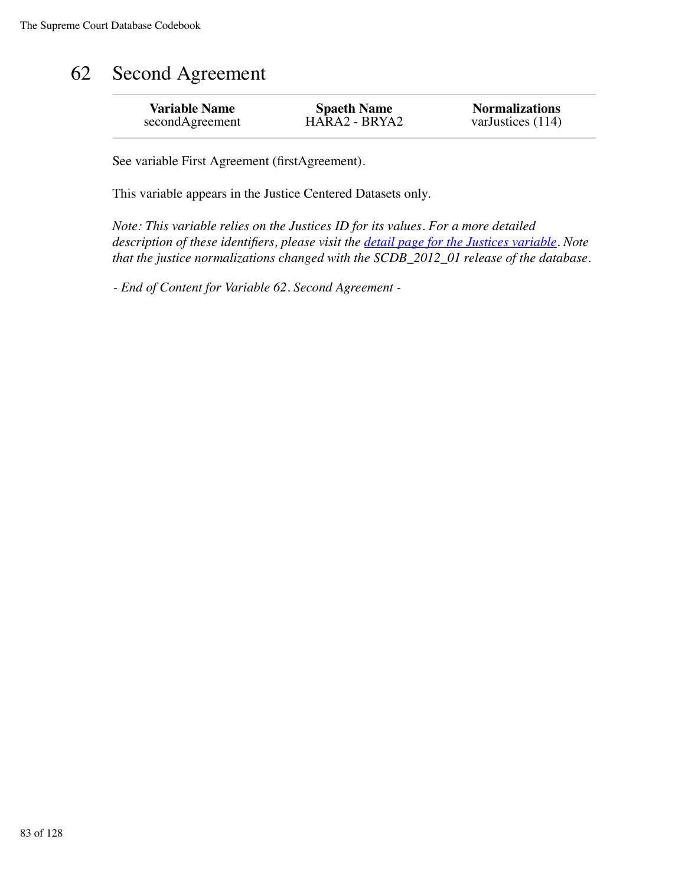# 62 Second Agreement

| <b>Variable Name</b> | <b>Spaeth Name</b> | <b>Normalizations</b> |
|----------------------|--------------------|-----------------------|
| secondAgreement      | HARA2 - BRYA2      | varJustices (114)     |
|                      |                    |                       |

See variable First Agreement (firstAgreement).

This variable appears in the Justice Centered Datasets only.

*Note: This variable relies on the Justices ID for its values. For a more detailed description of these identifiers, please visit the detail page for the Justices variable. Note that the justice normalizations changed with the SCDB\_2012\_01 release of the database.*

*- End of Content for Variable 62. Second Agreement -*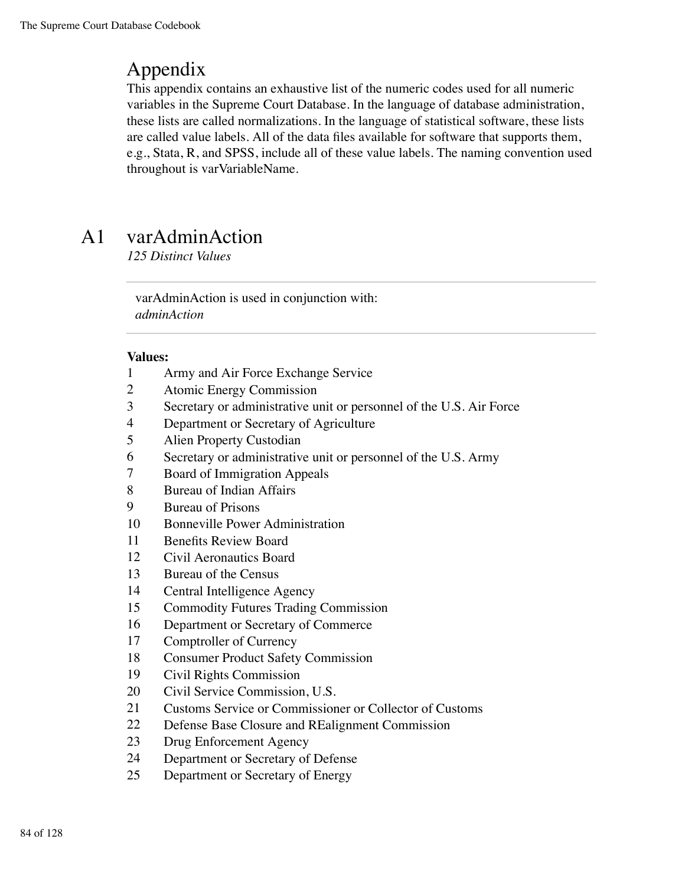## Appendix

This appendix contains an exhaustive list of the numeric codes used for all numeric variables in the Supreme Court Database. In the language of database administration, these lists are called normalizations. In the language of statistical software, these lists are called value labels. All of the data files available for software that supports them, e.g., Stata, R, and SPSS, include all of these value labels. The naming convention used throughout is varVariableName.

## A1 varAdminAction

*125 Distinct Values*

varAdminAction is used in conjunction with: *adminAction*

- Army and Air Force Exchange Service
- Atomic Energy Commission
- Secretary or administrative unit or personnel of the U.S. Air Force
- Department or Secretary of Agriculture
- Alien Property Custodian
- Secretary or administrative unit or personnel of the U.S. Army
- Board of Immigration Appeals
- Bureau of Indian Affairs
- Bureau of Prisons
- Bonneville Power Administration
- Benefits Review Board
- Civil Aeronautics Board
- Bureau of the Census
- Central Intelligence Agency
- Commodity Futures Trading Commission
- Department or Secretary of Commerce
- Comptroller of Currency
- Consumer Product Safety Commission
- Civil Rights Commission
- Civil Service Commission, U.S.
- Customs Service or Commissioner or Collector of Customs
- Defense Base Closure and REalignment Commission
- Drug Enforcement Agency
- Department or Secretary of Defense
- Department or Secretary of Energy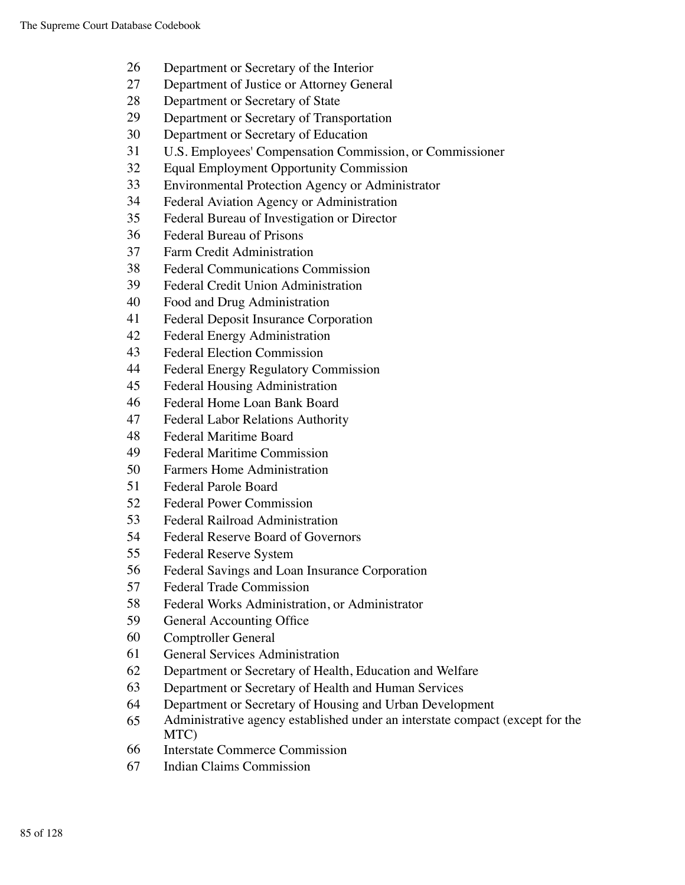- Department or Secretary of the Interior
- Department of Justice or Attorney General
- Department or Secretary of State
- Department or Secretary of Transportation
- Department or Secretary of Education
- U.S. Employees' Compensation Commission, or Commissioner
- Equal Employment Opportunity Commission
- Environmental Protection Agency or Administrator
- Federal Aviation Agency or Administration
- Federal Bureau of Investigation or Director
- Federal Bureau of Prisons
- Farm Credit Administration
- Federal Communications Commission
- Federal Credit Union Administration
- Food and Drug Administration
- Federal Deposit Insurance Corporation
- Federal Energy Administration
- Federal Election Commission
- Federal Energy Regulatory Commission
- Federal Housing Administration
- Federal Home Loan Bank Board
- Federal Labor Relations Authority
- Federal Maritime Board
- Federal Maritime Commission
- Farmers Home Administration
- Federal Parole Board
- Federal Power Commission
- Federal Railroad Administration
- Federal Reserve Board of Governors
- Federal Reserve System
- Federal Savings and Loan Insurance Corporation
- Federal Trade Commission
- Federal Works Administration, or Administrator
- General Accounting Office
- Comptroller General
- General Services Administration
- Department or Secretary of Health, Education and Welfare
- Department or Secretary of Health and Human Services
- Department or Secretary of Housing and Urban Development
- Administrative agency established under an interstate compact (except for the MTC)
- Interstate Commerce Commission
- Indian Claims Commission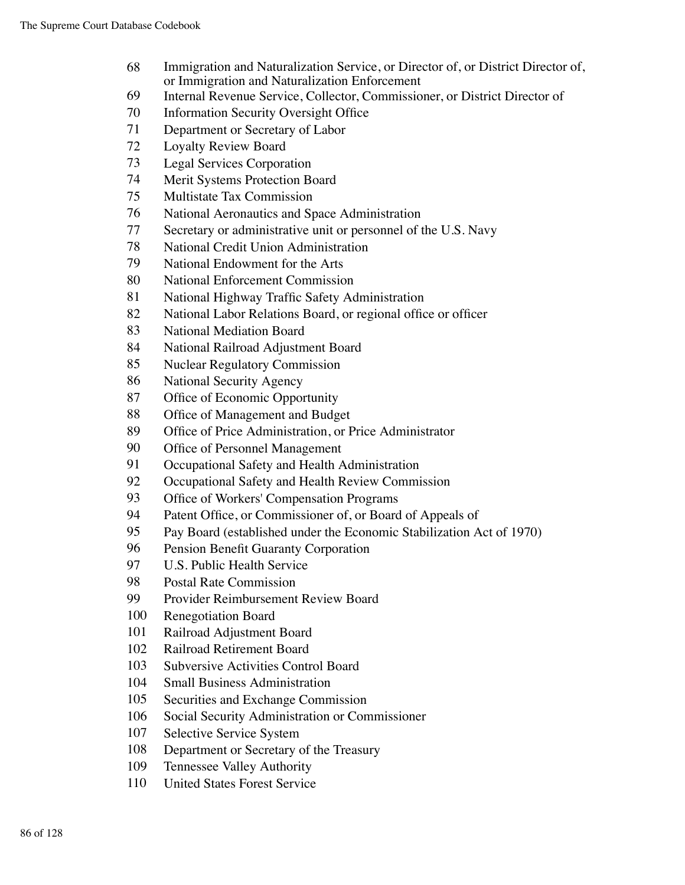- Immigration and Naturalization Service, or Director of, or District Director of, or Immigration and Naturalization Enforcement
- Internal Revenue Service, Collector, Commissioner, or District Director of
- Information Security Oversight Office
- Department or Secretary of Labor
- Loyalty Review Board
- Legal Services Corporation
- Merit Systems Protection Board
- Multistate Tax Commission
- National Aeronautics and Space Administration
- Secretary or administrative unit or personnel of the U.S. Navy
- National Credit Union Administration
- National Endowment for the Arts
- National Enforcement Commission
- National Highway Traffic Safety Administration
- 82 National Labor Relations Board, or regional office or officer
- National Mediation Board
- National Railroad Adjustment Board
- Nuclear Regulatory Commission
- National Security Agency
- Office of Economic Opportunity
- Office of Management and Budget
- Office of Price Administration, or Price Administrator
- Office of Personnel Management
- Occupational Safety and Health Administration
- Occupational Safety and Health Review Commission
- Office of Workers' Compensation Programs
- Patent Office, or Commissioner of, or Board of Appeals of
- Pay Board (established under the Economic Stabilization Act of 1970)
- Pension Benefit Guaranty Corporation
- U.S. Public Health Service
- Postal Rate Commission
- Provider Reimbursement Review Board
- Renegotiation Board
- Railroad Adjustment Board
- Railroad Retirement Board
- Subversive Activities Control Board
- Small Business Administration
- Securities and Exchange Commission
- Social Security Administration or Commissioner
- Selective Service System
- Department or Secretary of the Treasury
- Tennessee Valley Authority
- United States Forest Service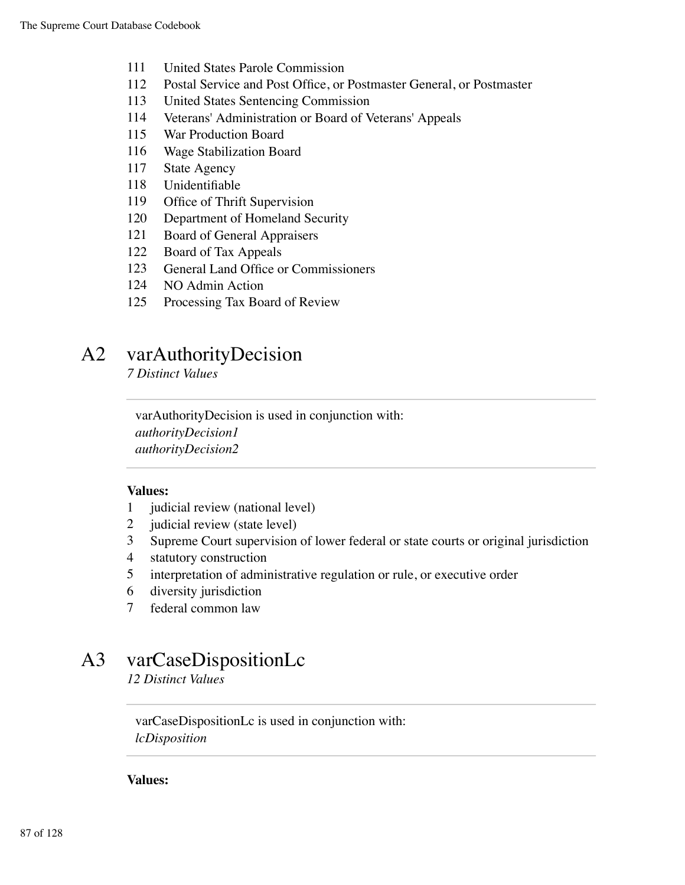- 111 United States Parole Commission
- 112 Postal Service and Post Office, or Postmaster General, or Postmaster
- 113 United States Sentencing Commission
- 114 Veterans' Administration or Board of Veterans' Appeals
- 115 War Production Board
- 116 Wage Stabilization Board
- 117 State Agency
- 118 Unidentifiable
- 119 Office of Thrift Supervision
- 120 Department of Homeland Security
- 121 Board of General Appraisers
- 122 Board of Tax Appeals
- 123 General Land Office or Commissioners
- 124 NO Admin Action
- 125 Processing Tax Board of Review

### A2 varAuthorityDecision

*7 Distinct Values*

varAuthorityDecision is used in conjunction with: *authorityDecision1 authorityDecision2*

#### **Values:**

- 1 judicial review (national level)
- 2 judicial review (state level)
- 3 Supreme Court supervision of lower federal or state courts or original jurisdiction
- 4 statutory construction
- 5 interpretation of administrative regulation or rule, or executive order
- 6 diversity jurisdiction
- 7 federal common law

## A3 varCaseDispositionLc

*12 Distinct Values*

varCaseDispositionLc is used in conjunction with: *lcDisposition*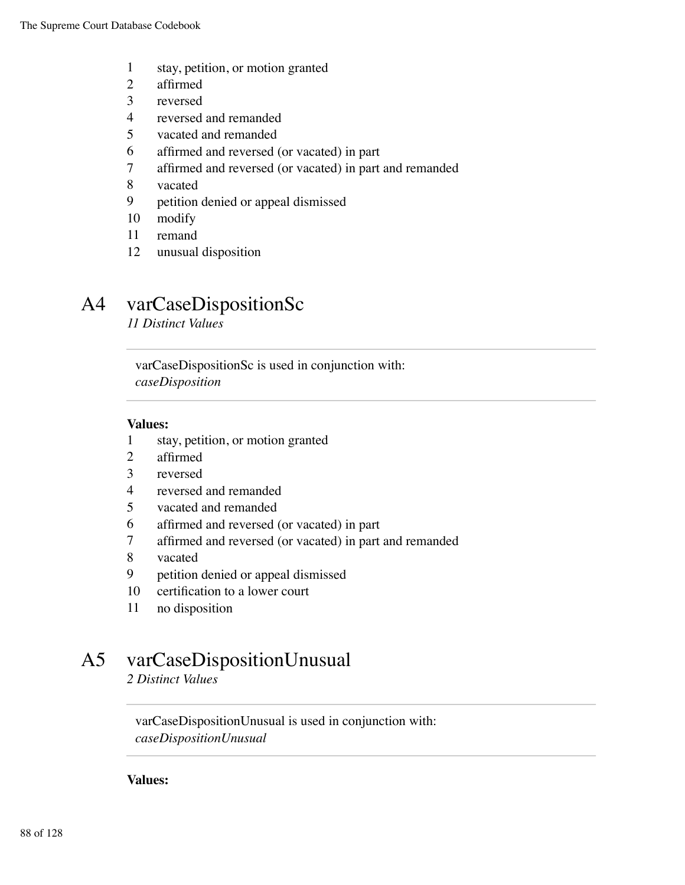- stay, petition, or motion granted
- affirmed
- reversed
- reversed and remanded
- vacated and remanded
- affirmed and reversed (or vacated) in part
- affirmed and reversed (or vacated) in part and remanded
- vacated
- petition denied or appeal dismissed
- modify
- remand
- unusual disposition

## A4 varCaseDispositionSc

*11 Distinct Values*

varCaseDispositionSc is used in conjunction with: *caseDisposition*

#### **Values:**

- stay, petition, or motion granted
- affirmed
- reversed
- reversed and remanded
- vacated and remanded
- affirmed and reversed (or vacated) in part
- affirmed and reversed (or vacated) in part and remanded
- vacated
- petition denied or appeal dismissed
- certification to a lower court
- no disposition

## A5 varCaseDispositionUnusual

*2 Distinct Values*

varCaseDispositionUnusual is used in conjunction with: *caseDispositionUnusual*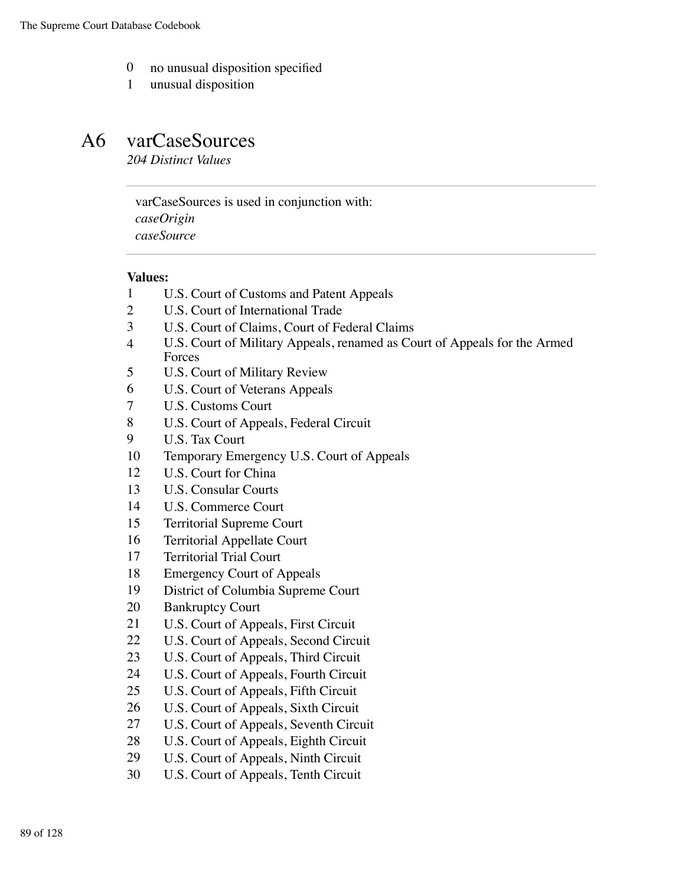- no unusual disposition specified
- unusual disposition

### A6 varCaseSources

*204 Distinct Values*

varCaseSources is used in conjunction with: *caseOrigin caseSource*

- U.S. Court of Customs and Patent Appeals
- U.S. Court of International Trade
- U.S. Court of Claims, Court of Federal Claims
- U.S. Court of Military Appeals, renamed as Court of Appeals for the Armed Forces
- U.S. Court of Military Review
- U.S. Court of Veterans Appeals
- U.S. Customs Court
- U.S. Court of Appeals, Federal Circuit
- U.S. Tax Court
- Temporary Emergency U.S. Court of Appeals
- U.S. Court for China
- U.S. Consular Courts
- U.S. Commerce Court
- Territorial Supreme Court
- Territorial Appellate Court
- Territorial Trial Court
- Emergency Court of Appeals
- District of Columbia Supreme Court
- Bankruptcy Court
- U.S. Court of Appeals, First Circuit
- U.S. Court of Appeals, Second Circuit
- U.S. Court of Appeals, Third Circuit
- U.S. Court of Appeals, Fourth Circuit
- U.S. Court of Appeals, Fifth Circuit
- U.S. Court of Appeals, Sixth Circuit
- U.S. Court of Appeals, Seventh Circuit
- U.S. Court of Appeals, Eighth Circuit
- U.S. Court of Appeals, Ninth Circuit
- U.S. Court of Appeals, Tenth Circuit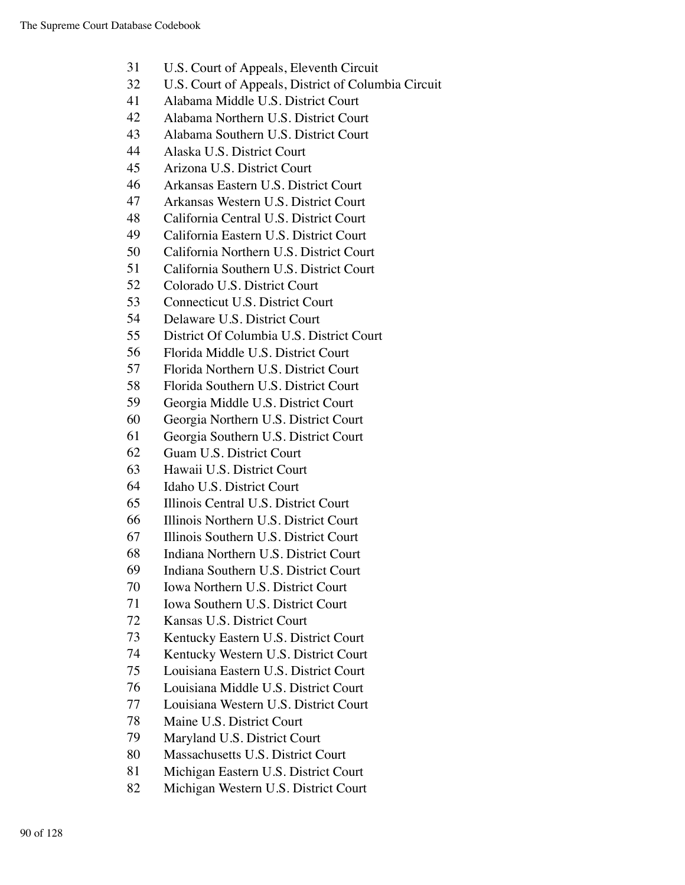- U.S. Court of Appeals, Eleventh Circuit
- U.S. Court of Appeals, District of Columbia Circuit
- Alabama Middle U.S. District Court
- Alabama Northern U.S. District Court
- Alabama Southern U.S. District Court
- Alaska U.S. District Court
- Arizona U.S. District Court
- Arkansas Eastern U.S. District Court
- Arkansas Western U.S. District Court
- California Central U.S. District Court
- California Eastern U.S. District Court
- California Northern U.S. District Court
- California Southern U.S. District Court
- Colorado U.S. District Court
- Connecticut U.S. District Court
- Delaware U.S. District Court
- District Of Columbia U.S. District Court
- Florida Middle U.S. District Court
- Florida Northern U.S. District Court
- Florida Southern U.S. District Court
- Georgia Middle U.S. District Court
- Georgia Northern U.S. District Court
- Georgia Southern U.S. District Court
- Guam U.S. District Court
- Hawaii U.S. District Court
- Idaho U.S. District Court
- Illinois Central U.S. District Court
- Illinois Northern U.S. District Court
- Illinois Southern U.S. District Court
- Indiana Northern U.S. District Court
- Indiana Southern U.S. District Court
- Iowa Northern U.S. District Court
- Iowa Southern U.S. District Court
- Kansas U.S. District Court
- Kentucky Eastern U.S. District Court
- Kentucky Western U.S. District Court
- Louisiana Eastern U.S. District Court
- Louisiana Middle U.S. District Court
- Louisiana Western U.S. District Court
- Maine U.S. District Court
- Maryland U.S. District Court
- Massachusetts U.S. District Court
- Michigan Eastern U.S. District Court
- Michigan Western U.S. District Court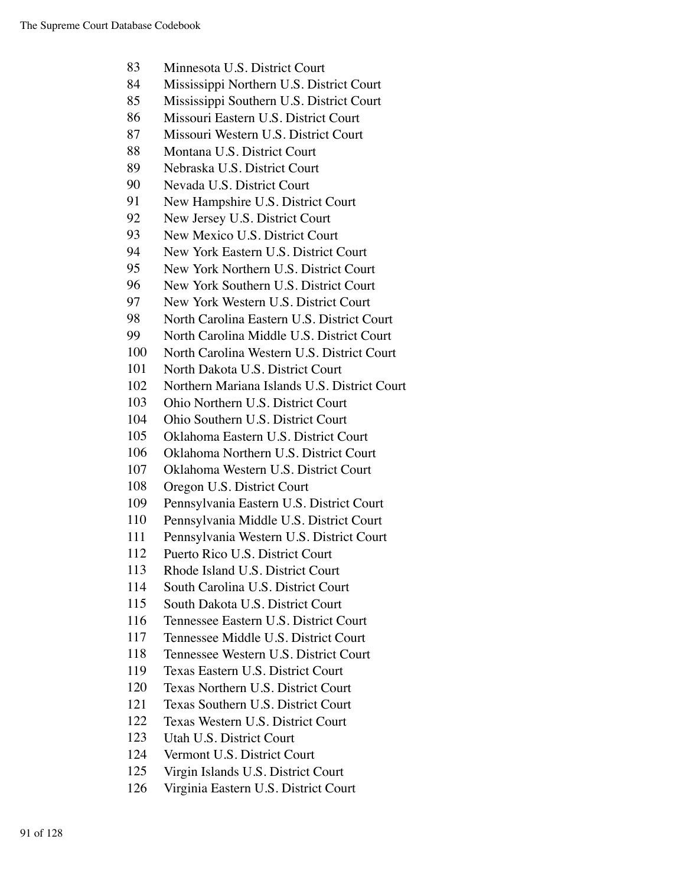- Minnesota U.S. District Court
- Mississippi Northern U.S. District Court
- Mississippi Southern U.S. District Court
- Missouri Eastern U.S. District Court
- Missouri Western U.S. District Court
- Montana U.S. District Court
- Nebraska U.S. District Court
- Nevada U.S. District Court
- New Hampshire U.S. District Court
- New Jersey U.S. District Court
- New Mexico U.S. District Court
- New York Eastern U.S. District Court
- New York Northern U.S. District Court
- New York Southern U.S. District Court
- New York Western U.S. District Court
- North Carolina Eastern U.S. District Court
- North Carolina Middle U.S. District Court
- North Carolina Western U.S. District Court
- North Dakota U.S. District Court
- Northern Mariana Islands U.S. District Court
- Ohio Northern U.S. District Court
- Ohio Southern U.S. District Court
- Oklahoma Eastern U.S. District Court
- Oklahoma Northern U.S. District Court
- Oklahoma Western U.S. District Court
- Oregon U.S. District Court
- Pennsylvania Eastern U.S. District Court
- Pennsylvania Middle U.S. District Court
- Pennsylvania Western U.S. District Court
- Puerto Rico U.S. District Court
- Rhode Island U.S. District Court
- South Carolina U.S. District Court
- South Dakota U.S. District Court
- Tennessee Eastern U.S. District Court
- Tennessee Middle U.S. District Court
- Tennessee Western U.S. District Court
- Texas Eastern U.S. District Court
- Texas Northern U.S. District Court
- Texas Southern U.S. District Court
- Texas Western U.S. District Court
- Utah U.S. District Court
- Vermont U.S. District Court
- Virgin Islands U.S. District Court
- Virginia Eastern U.S. District Court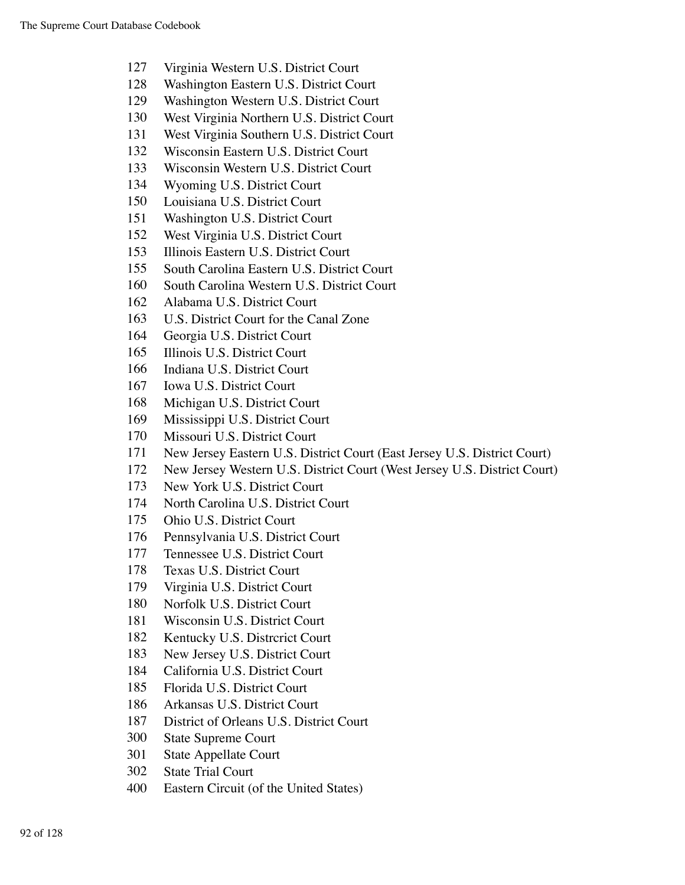- Virginia Western U.S. District Court
- Washington Eastern U.S. District Court
- Washington Western U.S. District Court
- West Virginia Northern U.S. District Court
- West Virginia Southern U.S. District Court
- Wisconsin Eastern U.S. District Court
- Wisconsin Western U.S. District Court
- Wyoming U.S. District Court
- Louisiana U.S. District Court
- Washington U.S. District Court
- West Virginia U.S. District Court
- Illinois Eastern U.S. District Court
- South Carolina Eastern U.S. District Court
- South Carolina Western U.S. District Court
- Alabama U.S. District Court
- U.S. District Court for the Canal Zone
- Georgia U.S. District Court
- Illinois U.S. District Court
- Indiana U.S. District Court
- Iowa U.S. District Court
- Michigan U.S. District Court
- Mississippi U.S. District Court
- Missouri U.S. District Court
- New Jersey Eastern U.S. District Court (East Jersey U.S. District Court)
- New Jersey Western U.S. District Court (West Jersey U.S. District Court)
- New York U.S. District Court
- North Carolina U.S. District Court
- Ohio U.S. District Court
- Pennsylvania U.S. District Court
- Tennessee U.S. District Court
- Texas U.S. District Court
- Virginia U.S. District Court
- Norfolk U.S. District Court
- Wisconsin U.S. District Court
- Kentucky U.S. Distrcrict Court
- New Jersey U.S. District Court
- California U.S. District Court
- Florida U.S. District Court
- Arkansas U.S. District Court
- District of Orleans U.S. District Court
- State Supreme Court
- State Appellate Court
- State Trial Court
- Eastern Circuit (of the United States)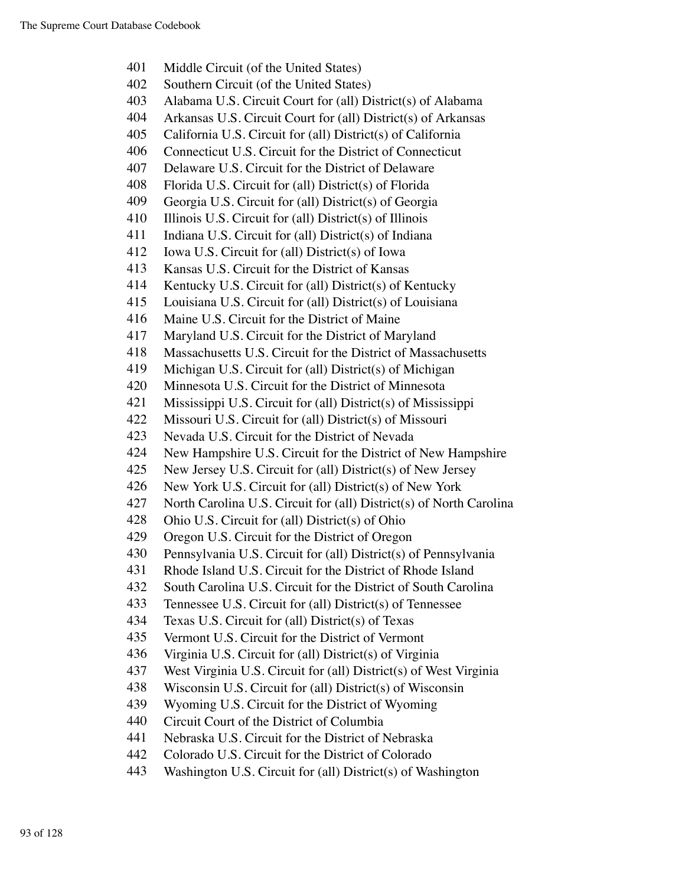- Middle Circuit (of the United States) Southern Circuit (of the United States) Alabama U.S. Circuit Court for (all) District(s) of Alabama Arkansas U.S. Circuit Court for (all) District(s) of Arkansas California U.S. Circuit for (all) District(s) of California Connecticut U.S. Circuit for the District of Connecticut Delaware U.S. Circuit for the District of Delaware Florida U.S. Circuit for (all) District(s) of Florida Georgia U.S. Circuit for (all) District(s) of Georgia 410 Illinois U.S. Circuit for (all) District(s) of Illinois Indiana U.S. Circuit for (all) District(s) of Indiana Iowa U.S. Circuit for (all) District(s) of Iowa Kansas U.S. Circuit for the District of Kansas Kentucky U.S. Circuit for (all) District(s) of Kentucky Louisiana U.S. Circuit for (all) District(s) of Louisiana Maine U.S. Circuit for the District of Maine Maryland U.S. Circuit for the District of Maryland Massachusetts U.S. Circuit for the District of Massachusetts Michigan U.S. Circuit for (all) District(s) of Michigan Minnesota U.S. Circuit for the District of Minnesota Mississippi U.S. Circuit for (all) District(s) of Mississippi Missouri U.S. Circuit for (all) District(s) of Missouri Nevada U.S. Circuit for the District of Nevada New Hampshire U.S. Circuit for the District of New Hampshire New Jersey U.S. Circuit for (all) District(s) of New Jersey New York U.S. Circuit for (all) District(s) of New York North Carolina U.S. Circuit for (all) District(s) of North Carolina Ohio U.S. Circuit for (all) District(s) of Ohio Oregon U.S. Circuit for the District of Oregon Pennsylvania U.S. Circuit for (all) District(s) of Pennsylvania Rhode Island U.S. Circuit for the District of Rhode Island South Carolina U.S. Circuit for the District of South Carolina Tennessee U.S. Circuit for (all) District(s) of Tennessee Texas U.S. Circuit for (all) District(s) of Texas Vermont U.S. Circuit for the District of Vermont Virginia U.S. Circuit for (all) District(s) of Virginia West Virginia U.S. Circuit for (all) District(s) of West Virginia Wisconsin U.S. Circuit for (all) District(s) of Wisconsin Wyoming U.S. Circuit for the District of Wyoming Circuit Court of the District of Columbia Nebraska U.S. Circuit for the District of Nebraska Colorado U.S. Circuit for the District of Colorado
- Washington U.S. Circuit for (all) District(s) of Washington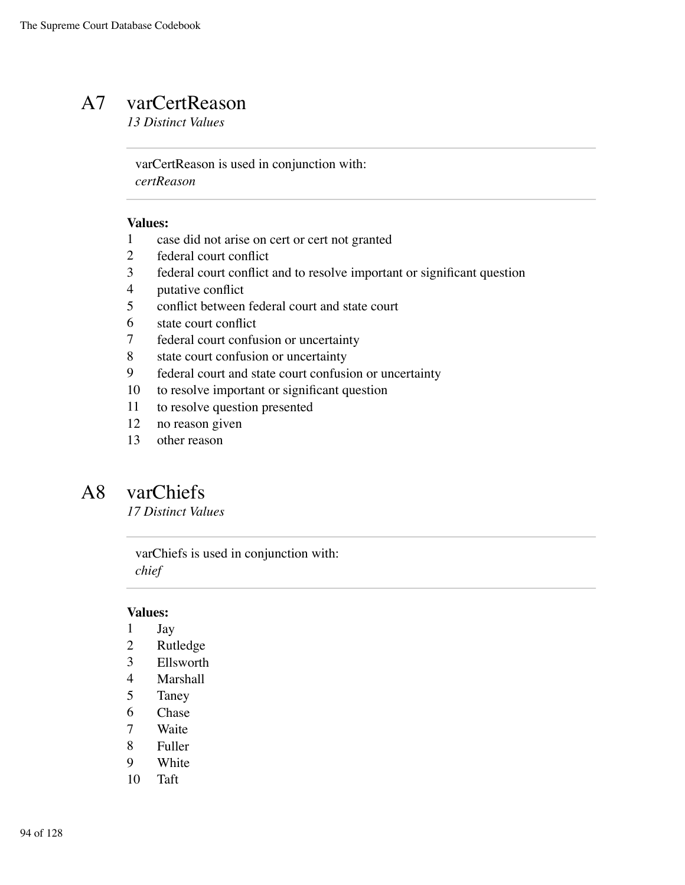### A7 varCertReason

*13 Distinct Values*

varCertReason is used in conjunction with: *certReason*

#### **Values:**

- case did not arise on cert or cert not granted
- federal court conflict
- federal court conflict and to resolve important or significant question
- putative conflict
- conflict between federal court and state court
- state court conflict
- federal court confusion or uncertainty
- 8 state court confusion or uncertainty
- federal court and state court confusion or uncertainty
- to resolve important or significant question
- to resolve question presented
- no reason given
- other reason

## A8 varChiefs

*17 Distinct Values*

varChiefs is used in conjunction with: *chief*

- Jay
- Rutledge
- Ellsworth
- Marshall
- Taney
- Chase
- Waite
- Fuller
- White
- Taft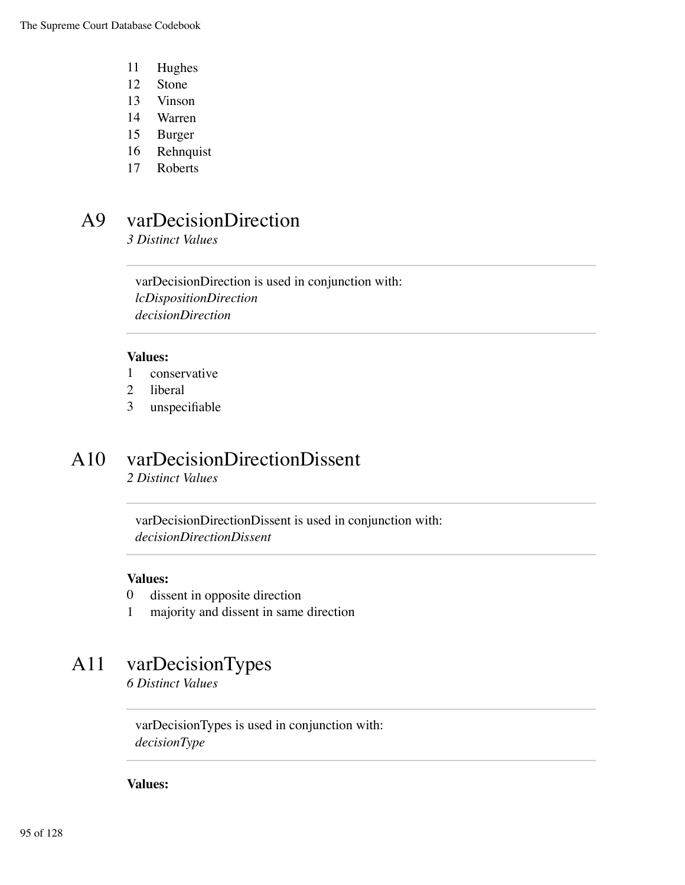- 11 Hughes
- 12 Stone
- 13 Vinson
- 14 Warren
- 15 Burger
- 16 Rehnquist
- 17 Roberts

### A9 varDecisionDirection

*3 Distinct Values*

varDecisionDirection is used in conjunction with: *lcDispositionDirection decisionDirection*

#### **Values:**

- 1 conservative
- 2 liberal
- 3 unspecifiable

## A10 varDecisionDirectionDissent

*2 Distinct Values*

varDecisionDirectionDissent is used in conjunction with: *decisionDirectionDissent*

#### **Values:**

- 0 dissent in opposite direction
- 1 majority and dissent in same direction

### A11 varDecisionTypes

*6 Distinct Values*

varDecisionTypes is used in conjunction with: *decisionType*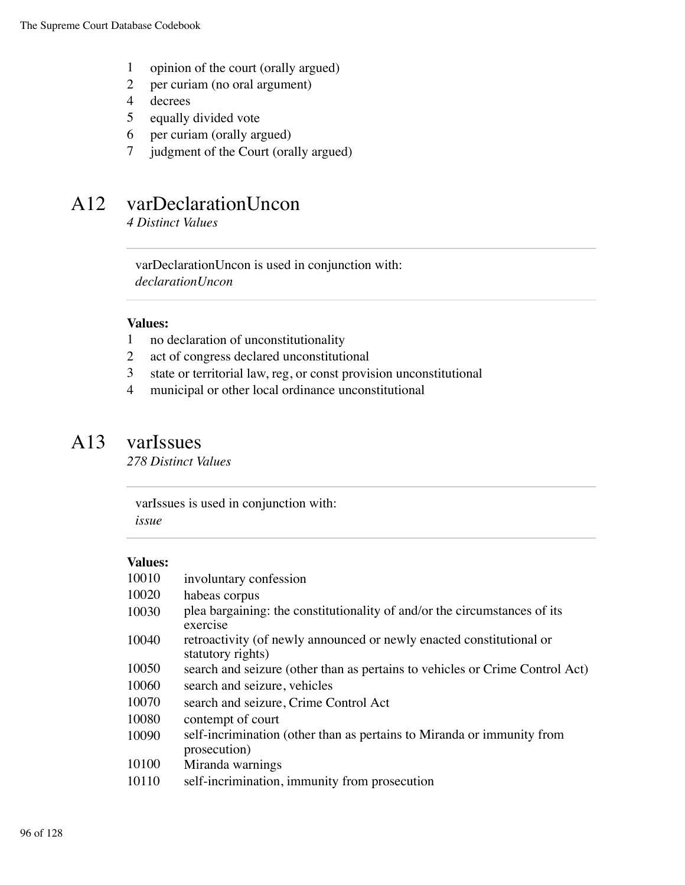- 1 opinion of the court (orally argued)
- 2 per curiam (no oral argument)
- 4 decrees
- 5 equally divided vote
- 6 per curiam (orally argued)
- 7 judgment of the Court (orally argued)

### A12 varDeclarationUncon

*4 Distinct Values*

varDeclarationUncon is used in conjunction with: *declarationUncon*

#### **Values:**

- 1 no declaration of unconstitutionality
- 2 act of congress declared unconstitutional
- 3 state or territorial law, reg, or const provision unconstitutional
- 4 municipal or other local ordinance unconstitutional

### A13 varIssues

*278 Distinct Values*

varIssues is used in conjunction with: *issue*

| 10010 | involuntary confession                                                                    |
|-------|-------------------------------------------------------------------------------------------|
| 10020 | habeas corpus                                                                             |
| 10030 | plea bargaining: the constitutionality of and/or the circumstances of its<br>exercise     |
| 10040 | retroactivity (of newly announced or newly enacted constitutional or<br>statutory rights) |
| 10050 | search and seizure (other than as pertains to vehicles or Crime Control Act)              |
| 10060 | search and seizure, vehicles                                                              |
| 10070 | search and seizure, Crime Control Act                                                     |
| 10080 | contempt of court                                                                         |
| 10090 | self-incrimination (other than as pertains to Miranda or immunity from<br>prosecution)    |
| 10100 | Miranda warnings                                                                          |
| 10110 | self-incrimination, immunity from prosecution                                             |
|       |                                                                                           |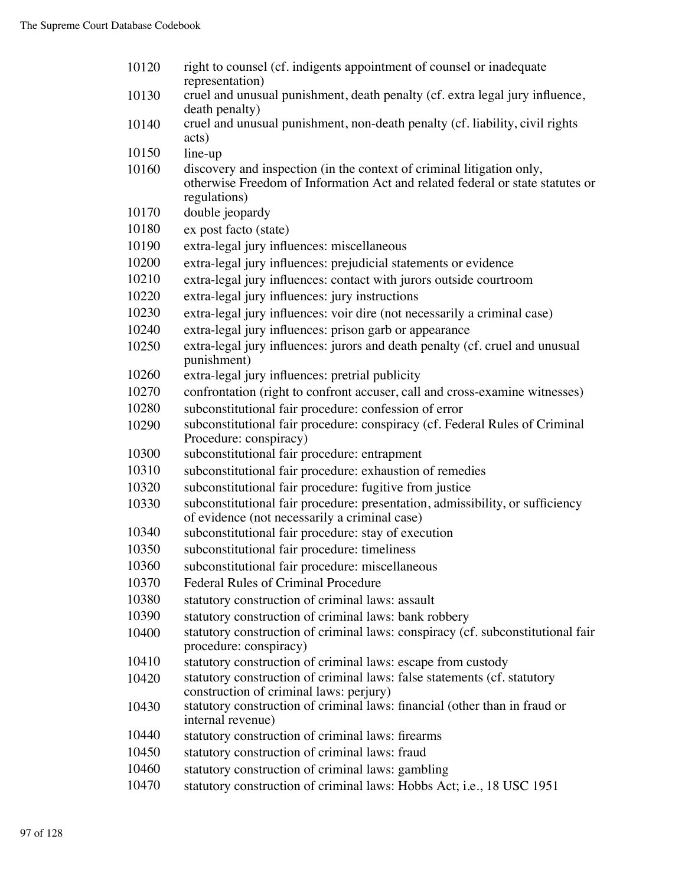right to counsel (cf. indigents appointment of counsel or inadequate representation) cruel and unusual punishment, death penalty (cf. extra legal jury influence, death penalty) cruel and unusual punishment, non-death penalty (cf. liability, civil rights acts) line-up discovery and inspection (in the context of criminal litigation only, otherwise Freedom of Information Act and related federal or state statutes or regulations) double jeopardy ex post facto (state) extra-legal jury influences: miscellaneous extra-legal jury influences: prejudicial statements or evidence extra-legal jury influences: contact with jurors outside courtroom extra-legal jury influences: jury instructions extra-legal jury influences: voir dire (not necessarily a criminal case) extra-legal jury influences: prison garb or appearance extra-legal jury influences: jurors and death penalty (cf. cruel and unusual punishment) extra-legal jury influences: pretrial publicity confrontation (right to confront accuser, call and cross-examine witnesses) subconstitutional fair procedure: confession of error subconstitutional fair procedure: conspiracy (cf. Federal Rules of Criminal Procedure: conspiracy) subconstitutional fair procedure: entrapment subconstitutional fair procedure: exhaustion of remedies subconstitutional fair procedure: fugitive from justice subconstitutional fair procedure: presentation, admissibility, or sufficiency of evidence (not necessarily a criminal case) subconstitutional fair procedure: stay of execution subconstitutional fair procedure: timeliness subconstitutional fair procedure: miscellaneous Federal Rules of Criminal Procedure statutory construction of criminal laws: assault statutory construction of criminal laws: bank robbery statutory construction of criminal laws: conspiracy (cf. subconstitutional fair procedure: conspiracy) statutory construction of criminal laws: escape from custody statutory construction of criminal laws: false statements (cf. statutory construction of criminal laws: perjury) statutory construction of criminal laws: financial (other than in fraud or internal revenue) statutory construction of criminal laws: firearms statutory construction of criminal laws: fraud statutory construction of criminal laws: gambling statutory construction of criminal laws: Hobbs Act; i.e., 18 USC 1951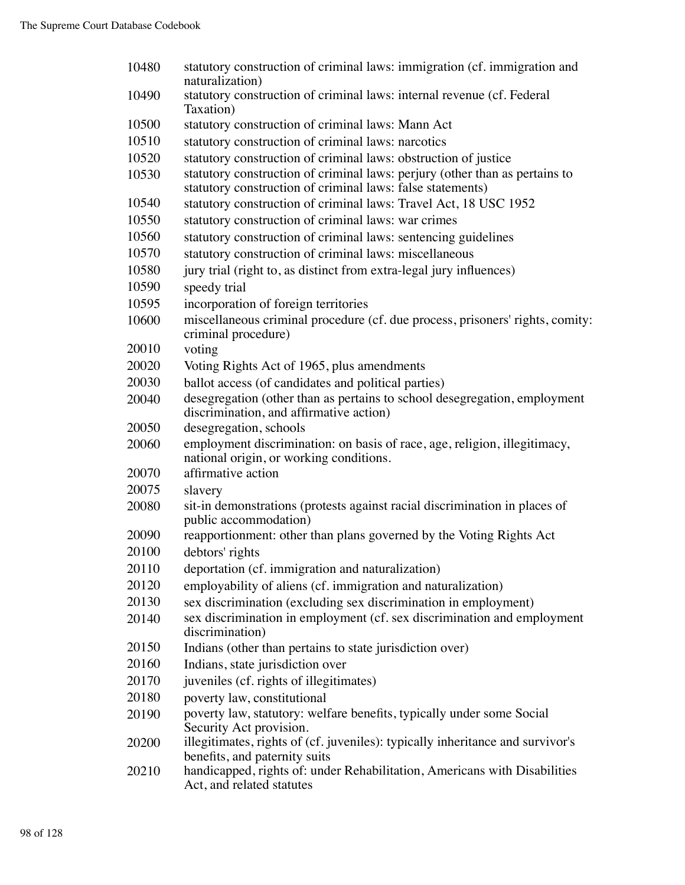| 10480 | statutory construction of criminal laws: immigration (cf. immigration and<br>naturalization)                                              |
|-------|-------------------------------------------------------------------------------------------------------------------------------------------|
| 10490 | statutory construction of criminal laws: internal revenue (cf. Federal<br>Taxation)                                                       |
| 10500 | statutory construction of criminal laws: Mann Act                                                                                         |
| 10510 | statutory construction of criminal laws: narcotics                                                                                        |
| 10520 | statutory construction of criminal laws: obstruction of justice                                                                           |
| 10530 | statutory construction of criminal laws: perjury (other than as pertains to<br>statutory construction of criminal laws: false statements) |
| 10540 | statutory construction of criminal laws: Travel Act, 18 USC 1952                                                                          |
| 10550 | statutory construction of criminal laws: war crimes                                                                                       |
| 10560 | statutory construction of criminal laws: sentencing guidelines                                                                            |
| 10570 | statutory construction of criminal laws: miscellaneous                                                                                    |
| 10580 | jury trial (right to, as distinct from extra-legal jury influences)                                                                       |
| 10590 | speedy trial                                                                                                                              |
| 10595 | incorporation of foreign territories                                                                                                      |
| 10600 | miscellaneous criminal procedure (cf. due process, prisoners' rights, comity:<br>criminal procedure)                                      |
| 20010 | voting                                                                                                                                    |
| 20020 | Voting Rights Act of 1965, plus amendments                                                                                                |
| 20030 | ballot access (of candidates and political parties)                                                                                       |
| 20040 | desegregation (other than as pertains to school desegregation, employment<br>discrimination, and affirmative action)                      |
| 20050 | desegregation, schools                                                                                                                    |
| 20060 | employment discrimination: on basis of race, age, religion, illegitimacy,<br>national origin, or working conditions.                      |
| 20070 | affirmative action                                                                                                                        |
| 20075 | slavery                                                                                                                                   |
| 20080 | sit-in demonstrations (protests against racial discrimination in places of<br>public accommodation)                                       |
| 20090 | reapportionment: other than plans governed by the Voting Rights Act                                                                       |
| 20100 | debtors' rights                                                                                                                           |
| 20110 | deportation (cf. immigration and naturalization)                                                                                          |
| 20120 | employability of aliens (cf. immigration and naturalization)                                                                              |
| 20130 | sex discrimination (excluding sex discrimination in employment)                                                                           |
| 20140 | sex discrimination in employment (cf. sex discrimination and employment<br>discrimination)                                                |
| 20150 | Indians (other than pertains to state jurisdiction over)                                                                                  |
| 20160 | Indians, state jurisdiction over                                                                                                          |
| 20170 | juveniles (cf. rights of illegitimates)                                                                                                   |
| 20180 | poverty law, constitutional                                                                                                               |
| 20190 | poverty law, statutory: welfare benefits, typically under some Social<br>Security Act provision.                                          |
| 20200 | illegitimates, rights of (cf. juveniles): typically inheritance and survivor's<br>benefits, and paternity suits                           |
| 20210 | handicapped, rights of: under Rehabilitation, Americans with Disabilities<br>Act, and related statutes                                    |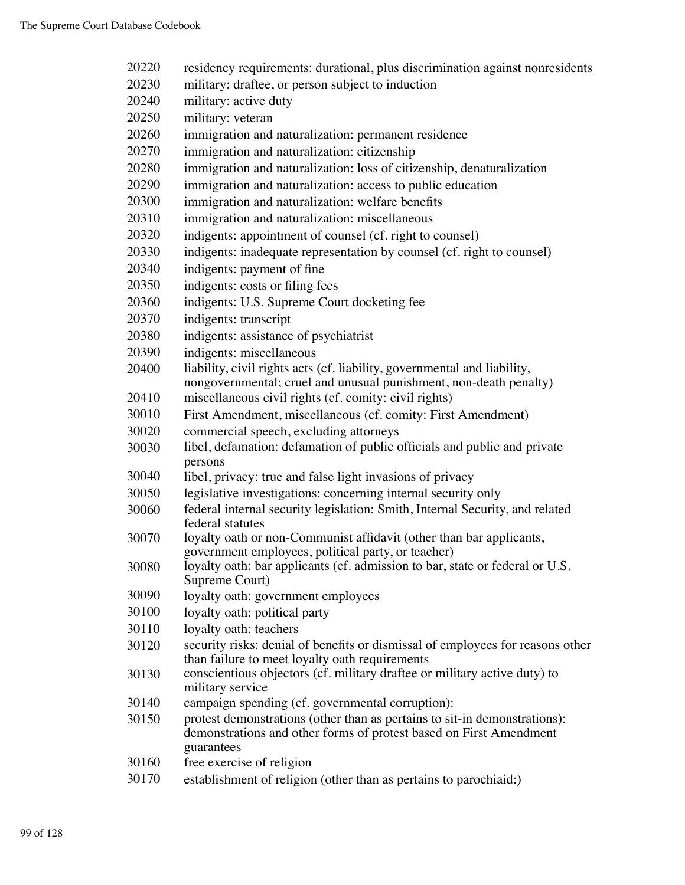| 20220 | residency requirements: durational, plus discrimination against nonresidents                                                                                  |
|-------|---------------------------------------------------------------------------------------------------------------------------------------------------------------|
| 20230 | military: draftee, or person subject to induction                                                                                                             |
| 20240 | military: active duty                                                                                                                                         |
| 20250 | military: veteran                                                                                                                                             |
| 20260 | immigration and naturalization: permanent residence                                                                                                           |
| 20270 | immigration and naturalization: citizenship                                                                                                                   |
| 20280 | immigration and naturalization: loss of citizenship, denaturalization                                                                                         |
| 20290 | immigration and naturalization: access to public education                                                                                                    |
| 20300 | immigration and naturalization: welfare benefits                                                                                                              |
| 20310 | immigration and naturalization: miscellaneous                                                                                                                 |
| 20320 | indigents: appointment of counsel (cf. right to counsel)                                                                                                      |
| 20330 | indigents: inadequate representation by counsel (cf. right to counsel)                                                                                        |
| 20340 | indigents: payment of fine                                                                                                                                    |
| 20350 | indigents: costs or filing fees                                                                                                                               |
| 20360 | indigents: U.S. Supreme Court docketing fee                                                                                                                   |
| 20370 | indigents: transcript                                                                                                                                         |
| 20380 | indigents: assistance of psychiatrist                                                                                                                         |
| 20390 | indigents: miscellaneous                                                                                                                                      |
| 20400 | liability, civil rights acts (cf. liability, governmental and liability,                                                                                      |
|       | nongovernmental; cruel and unusual punishment, non-death penalty)                                                                                             |
| 20410 | miscellaneous civil rights (cf. comity: civil rights)                                                                                                         |
| 30010 | First Amendment, miscellaneous (cf. comity: First Amendment)                                                                                                  |
| 30020 | commercial speech, excluding attorneys                                                                                                                        |
| 30030 | libel, defamation: defamation of public officials and public and private                                                                                      |
|       | persons                                                                                                                                                       |
| 30040 | libel, privacy: true and false light invasions of privacy                                                                                                     |
| 30050 | legislative investigations: concerning internal security only                                                                                                 |
| 30060 | federal internal security legislation: Smith, Internal Security, and related<br>federal statutes                                                              |
| 30070 | loyalty oath or non-Communist affidavit (other than bar applicants,                                                                                           |
|       | government employees, political party, or teacher)                                                                                                            |
| 30080 | loyalty oath: bar applicants (cf. admission to bar, state or federal or U.S.<br>Supreme Court)                                                                |
| 30090 | loyalty oath: government employees                                                                                                                            |
| 30100 | loyalty oath: political party                                                                                                                                 |
| 30110 | loyalty oath: teachers                                                                                                                                        |
| 30120 | security risks: denial of benefits or dismissal of employees for reasons other<br>than failure to meet loyalty oath requirements                              |
| 30130 | conscientious objectors (cf. military draftee or military active duty) to<br>military service                                                                 |
| 30140 | campaign spending (cf. governmental corruption):                                                                                                              |
| 30150 | protest demonstrations (other than as pertains to sit-in demonstrations):<br>demonstrations and other forms of protest based on First Amendment<br>guarantees |
| 30160 | free exercise of religion                                                                                                                                     |
| 30170 | establishment of religion (other than as pertains to parochiaid:)                                                                                             |
|       |                                                                                                                                                               |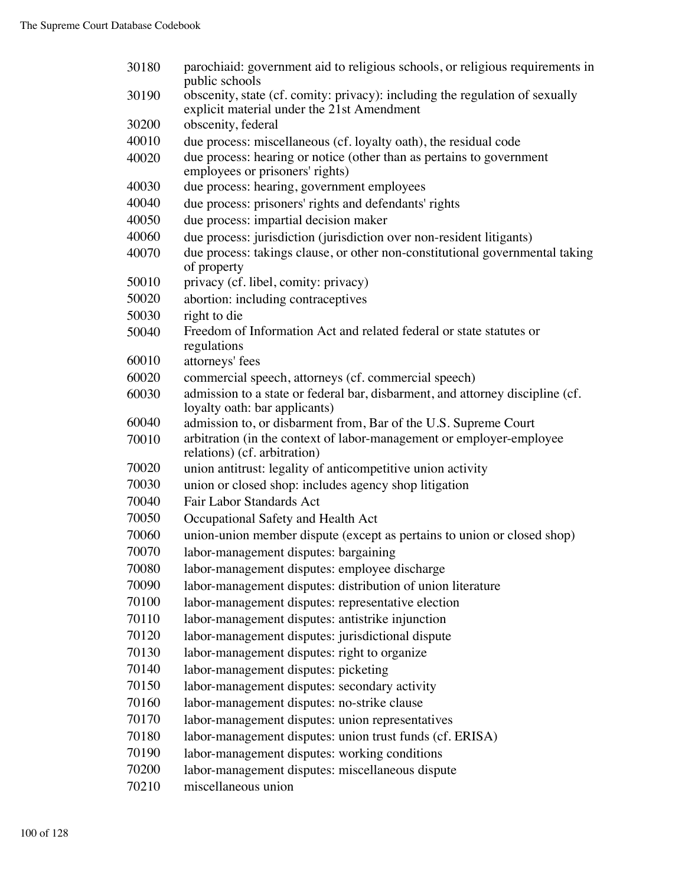| 30180 | parochiaid: government aid to religious schools, or religious requirements in<br>public schools                            |
|-------|----------------------------------------------------------------------------------------------------------------------------|
| 30190 | obscenity, state (cf. comity: privacy): including the regulation of sexually<br>explicit material under the 21st Amendment |
| 30200 | obscenity, federal                                                                                                         |
| 40010 | due process: miscellaneous (cf. loyalty oath), the residual code                                                           |
| 40020 | due process: hearing or notice (other than as pertains to government<br>employees or prisoners' rights)                    |
| 40030 | due process: hearing, government employees                                                                                 |
| 40040 | due process: prisoners' rights and defendants' rights                                                                      |
| 40050 | due process: impartial decision maker                                                                                      |
| 40060 | due process: jurisdiction (jurisdiction over non-resident litigants)                                                       |
| 40070 | due process: takings clause, or other non-constitutional governmental taking<br>of property                                |
| 50010 | privacy (cf. libel, comity: privacy)                                                                                       |
| 50020 | abortion: including contraceptives                                                                                         |
| 50030 | right to die                                                                                                               |
| 50040 | Freedom of Information Act and related federal or state statutes or<br>regulations                                         |
| 60010 | attorneys' fees                                                                                                            |
| 60020 | commercial speech, attorneys (cf. commercial speech)                                                                       |
| 60030 | admission to a state or federal bar, disbarment, and attorney discipline (cf.<br>loyalty oath: bar applicants)             |
| 60040 | admission to, or disbarment from, Bar of the U.S. Supreme Court                                                            |
| 70010 | arbitration (in the context of labor-management or employer-employee<br>relations) (cf. arbitration)                       |
| 70020 | union antitrust: legality of anticompetitive union activity                                                                |
| 70030 | union or closed shop: includes agency shop litigation                                                                      |
| 70040 | Fair Labor Standards Act                                                                                                   |
| 70050 | Occupational Safety and Health Act                                                                                         |
| 70060 | union-union member dispute (except as pertains to union or closed shop)                                                    |
| 70070 | labor-management disputes: bargaining                                                                                      |
| 70080 | labor-management disputes: employee discharge                                                                              |
| 70090 | labor-management disputes: distribution of union literature                                                                |
| 70100 | labor-management disputes: representative election                                                                         |
| 70110 | labor-management disputes: antistrike injunction                                                                           |
| 70120 | labor-management disputes: jurisdictional dispute                                                                          |
| 70130 | labor-management disputes: right to organize                                                                               |
| 70140 | labor-management disputes: picketing                                                                                       |
| 70150 | labor-management disputes: secondary activity                                                                              |
| 70160 | labor-management disputes: no-strike clause                                                                                |
| 70170 | labor-management disputes: union representatives                                                                           |
| 70180 | labor-management disputes: union trust funds (cf. ERISA)                                                                   |
| 70190 | labor-management disputes: working conditions                                                                              |
| 70200 | labor-management disputes: miscellaneous dispute                                                                           |
| 70210 | miscellaneous union                                                                                                        |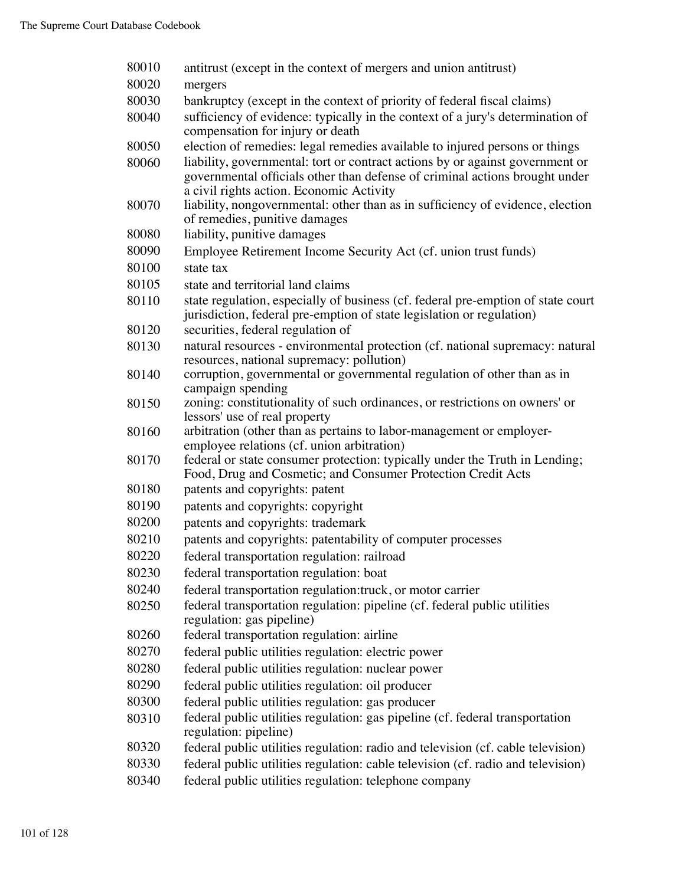| 80010 | antitrust (except in the context of mergers and union antitrust)                                                                                                                                         |
|-------|----------------------------------------------------------------------------------------------------------------------------------------------------------------------------------------------------------|
| 80020 | mergers                                                                                                                                                                                                  |
| 80030 | bankruptcy (except in the context of priority of federal fiscal claims)                                                                                                                                  |
| 80040 | sufficiency of evidence: typically in the context of a jury's determination of<br>compensation for injury or death                                                                                       |
| 80050 | election of remedies: legal remedies available to injured persons or things                                                                                                                              |
| 80060 | liability, governmental: tort or contract actions by or against government or<br>governmental officials other than defense of criminal actions brought under<br>a civil rights action. Economic Activity |
| 80070 | liability, nongovernmental: other than as in sufficiency of evidence, election<br>of remedies, punitive damages                                                                                          |
| 80080 | liability, punitive damages                                                                                                                                                                              |
| 80090 | Employee Retirement Income Security Act (cf. union trust funds)                                                                                                                                          |
| 80100 | state tax                                                                                                                                                                                                |
| 80105 | state and territorial land claims                                                                                                                                                                        |
| 80110 | state regulation, especially of business (cf. federal pre-emption of state court<br>jurisdiction, federal pre-emption of state legislation or regulation)                                                |
| 80120 | securities, federal regulation of                                                                                                                                                                        |
| 80130 | natural resources - environmental protection (cf. national supremacy: natural<br>resources, national supremacy: pollution)                                                                               |
| 80140 | corruption, governmental or governmental regulation of other than as in<br>campaign spending                                                                                                             |
| 80150 | zoning: constitutionality of such ordinances, or restrictions on owners' or<br>lessors' use of real property                                                                                             |
| 80160 | arbitration (other than as pertains to labor-management or employer-<br>employee relations (cf. union arbitration)                                                                                       |
| 80170 | federal or state consumer protection: typically under the Truth in Lending;<br>Food, Drug and Cosmetic; and Consumer Protection Credit Acts                                                              |
| 80180 | patents and copyrights: patent                                                                                                                                                                           |
| 80190 | patents and copyrights: copyright                                                                                                                                                                        |
| 80200 | patents and copyrights: trademark                                                                                                                                                                        |
| 80210 | patents and copyrights: patentability of computer processes                                                                                                                                              |
| 80220 | federal transportation regulation: railroad                                                                                                                                                              |
| 80230 | federal transportation regulation: boat                                                                                                                                                                  |
| 80240 | federal transportation regulation: truck, or motor carrier                                                                                                                                               |
| 80250 | federal transportation regulation: pipeline (cf. federal public utilities                                                                                                                                |
|       | regulation: gas pipeline)                                                                                                                                                                                |
| 80260 | federal transportation regulation: airline                                                                                                                                                               |
| 80270 | federal public utilities regulation: electric power                                                                                                                                                      |
| 80280 | federal public utilities regulation: nuclear power                                                                                                                                                       |
| 80290 | federal public utilities regulation: oil producer                                                                                                                                                        |
| 80300 | federal public utilities regulation: gas producer                                                                                                                                                        |
| 80310 | federal public utilities regulation: gas pipeline (cf. federal transportation<br>regulation: pipeline)                                                                                                   |
| 80320 | federal public utilities regulation: radio and television (cf. cable television)                                                                                                                         |
| 80330 | federal public utilities regulation: cable television (cf. radio and television)                                                                                                                         |
| 80340 | federal public utilities regulation: telephone company                                                                                                                                                   |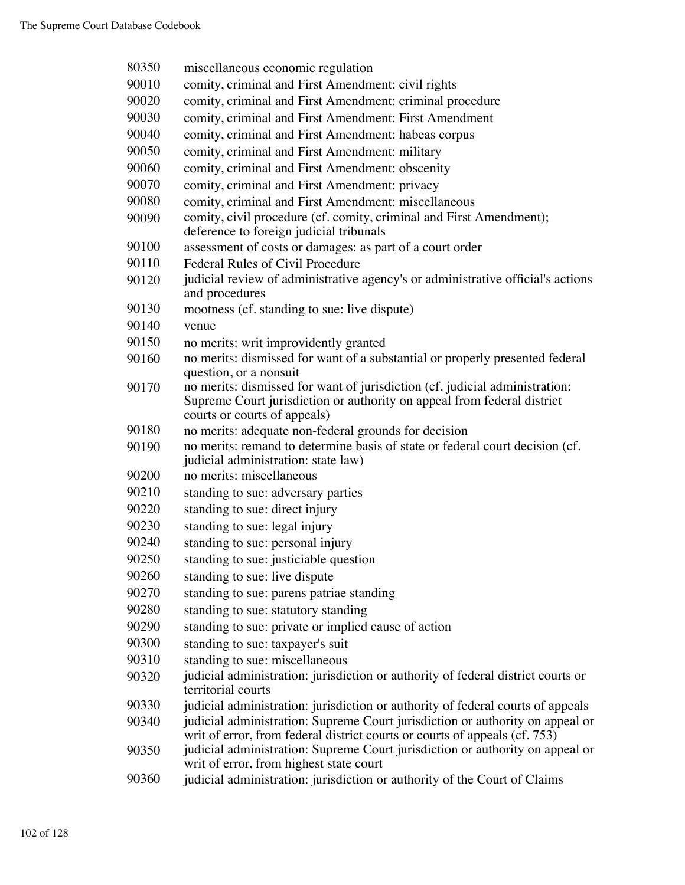| 80350 | miscellaneous economic regulation                                                                                                                                                                                |
|-------|------------------------------------------------------------------------------------------------------------------------------------------------------------------------------------------------------------------|
| 90010 | comity, criminal and First Amendment: civil rights                                                                                                                                                               |
| 90020 | comity, criminal and First Amendment: criminal procedure                                                                                                                                                         |
| 90030 | comity, criminal and First Amendment: First Amendment                                                                                                                                                            |
| 90040 | comity, criminal and First Amendment: habeas corpus                                                                                                                                                              |
| 90050 | comity, criminal and First Amendment: military                                                                                                                                                                   |
| 90060 | comity, criminal and First Amendment: obscenity                                                                                                                                                                  |
| 90070 | comity, criminal and First Amendment: privacy                                                                                                                                                                    |
| 90080 | comity, criminal and First Amendment: miscellaneous                                                                                                                                                              |
| 90090 | comity, civil procedure (cf. comity, criminal and First Amendment);<br>deference to foreign judicial tribunals                                                                                                   |
| 90100 | assessment of costs or damages: as part of a court order                                                                                                                                                         |
| 90110 | Federal Rules of Civil Procedure                                                                                                                                                                                 |
| 90120 | judicial review of administrative agency's or administrative official's actions<br>and procedures                                                                                                                |
| 90130 | mootness (cf. standing to sue: live dispute)                                                                                                                                                                     |
| 90140 | venue                                                                                                                                                                                                            |
| 90150 | no merits: writ improvidently granted                                                                                                                                                                            |
| 90160 | no merits: dismissed for want of a substantial or properly presented federal                                                                                                                                     |
| 90170 | question, or a nonsuit<br>no merits: dismissed for want of jurisdiction (cf. judicial administration:<br>Supreme Court jurisdiction or authority on appeal from federal district<br>courts or courts of appeals) |
| 90180 | no merits: adequate non-federal grounds for decision                                                                                                                                                             |
| 90190 | no merits: remand to determine basis of state or federal court decision (cf.<br>judicial administration: state law)                                                                                              |
| 90200 | no merits: miscellaneous                                                                                                                                                                                         |
| 90210 | standing to sue: adversary parties                                                                                                                                                                               |
| 90220 | standing to sue: direct injury                                                                                                                                                                                   |
| 90230 | standing to sue: legal injury                                                                                                                                                                                    |
| 90240 | standing to sue: personal injury                                                                                                                                                                                 |
| 90250 | standing to sue: justiciable question                                                                                                                                                                            |
| 90260 | standing to sue: live dispute                                                                                                                                                                                    |
| 90270 | standing to sue: parens patriae standing                                                                                                                                                                         |
| 90280 | standing to sue: statutory standing                                                                                                                                                                              |
| 90290 | standing to sue: private or implied cause of action                                                                                                                                                              |
| 90300 | standing to sue: taxpayer's suit                                                                                                                                                                                 |
| 90310 | standing to sue: miscellaneous                                                                                                                                                                                   |
| 90320 | judicial administration: jurisdiction or authority of federal district courts or<br>territorial courts                                                                                                           |
| 90330 | judicial administration: jurisdiction or authority of federal courts of appeals                                                                                                                                  |
| 90340 | judicial administration: Supreme Court jurisdiction or authority on appeal or<br>writ of error, from federal district courts or courts of appeals (cf. 753)                                                      |
| 90350 | judicial administration: Supreme Court jurisdiction or authority on appeal or<br>writ of error, from highest state court                                                                                         |
| 90360 | judicial administration: jurisdiction or authority of the Court of Claims                                                                                                                                        |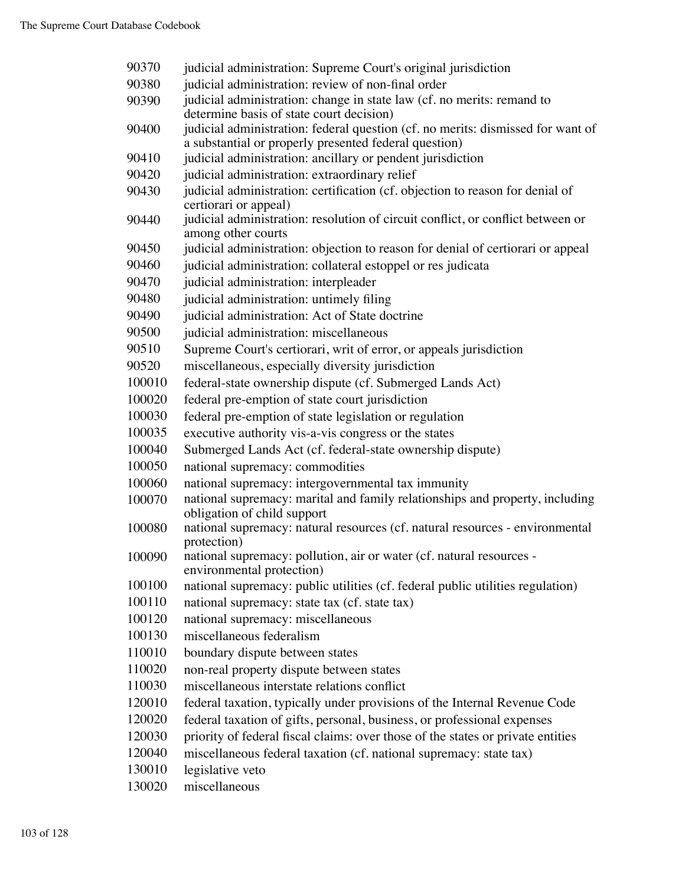| 90370  | judicial administration: Supreme Court's original jurisdiction                                              |
|--------|-------------------------------------------------------------------------------------------------------------|
| 90380  | judicial administration: review of non-final order                                                          |
| 90390  | judicial administration: change in state law (cf. no merits: remand to                                      |
|        | determine basis of state court decision)                                                                    |
| 90400  | judicial administration: federal question (cf. no merits: dismissed for want of                             |
|        | a substantial or properly presented federal question)                                                       |
| 90410  | judicial administration: ancillary or pendent jurisdiction                                                  |
| 90420  | judicial administration: extraordinary relief                                                               |
| 90430  | judicial administration: certification (cf. objection to reason for denial of<br>certiorari or appeal)      |
| 90440  | judicial administration: resolution of circuit conflict, or conflict between or                             |
|        | among other courts                                                                                          |
| 90450  | judicial administration: objection to reason for denial of certiorari or appeal                             |
| 90460  | judicial administration: collateral estoppel or res judicata                                                |
| 90470  | judicial administration: interpleader                                                                       |
| 90480  | judicial administration: untimely filing                                                                    |
| 90490  | judicial administration: Act of State doctrine                                                              |
| 90500  | judicial administration: miscellaneous                                                                      |
| 90510  | Supreme Court's certiorari, writ of error, or appeals jurisdiction                                          |
| 90520  | miscellaneous, especially diversity jurisdiction                                                            |
| 100010 | federal-state ownership dispute (cf. Submerged Lands Act)                                                   |
| 100020 | federal pre-emption of state court jurisdiction                                                             |
| 100030 | federal pre-emption of state legislation or regulation                                                      |
| 100035 | executive authority vis-a-vis congress or the states                                                        |
| 100040 | Submerged Lands Act (cf. federal-state ownership dispute)                                                   |
| 100050 | national supremacy: commodities                                                                             |
| 100060 | national supremacy: intergovernmental tax immunity                                                          |
| 100070 | national supremacy: marital and family relationships and property, including<br>obligation of child support |
| 100080 | national supremacy: natural resources (cf. natural resources - environmental                                |
|        | protection)                                                                                                 |
| 100090 | national supremacy: pollution, air or water (cf. natural resources -<br>environmental protection)           |
| 100100 | national supremacy: public utilities (cf. federal public utilities regulation)                              |
| 100110 | national supremacy: state tax (cf. state tax)                                                               |
| 100120 | national supremacy: miscellaneous                                                                           |
| 100130 | miscellaneous federalism                                                                                    |
| 110010 | boundary dispute between states                                                                             |
| 110020 | non-real property dispute between states                                                                    |
| 110030 | miscellaneous interstate relations conflict                                                                 |
| 120010 | federal taxation, typically under provisions of the Internal Revenue Code                                   |
| 120020 | federal taxation of gifts, personal, business, or professional expenses                                     |
| 120030 | priority of federal fiscal claims: over those of the states or private entities                             |
| 120040 | miscellaneous federal taxation (cf. national supremacy: state tax)                                          |
| 130010 | legislative veto                                                                                            |
|        |                                                                                                             |

miscellaneous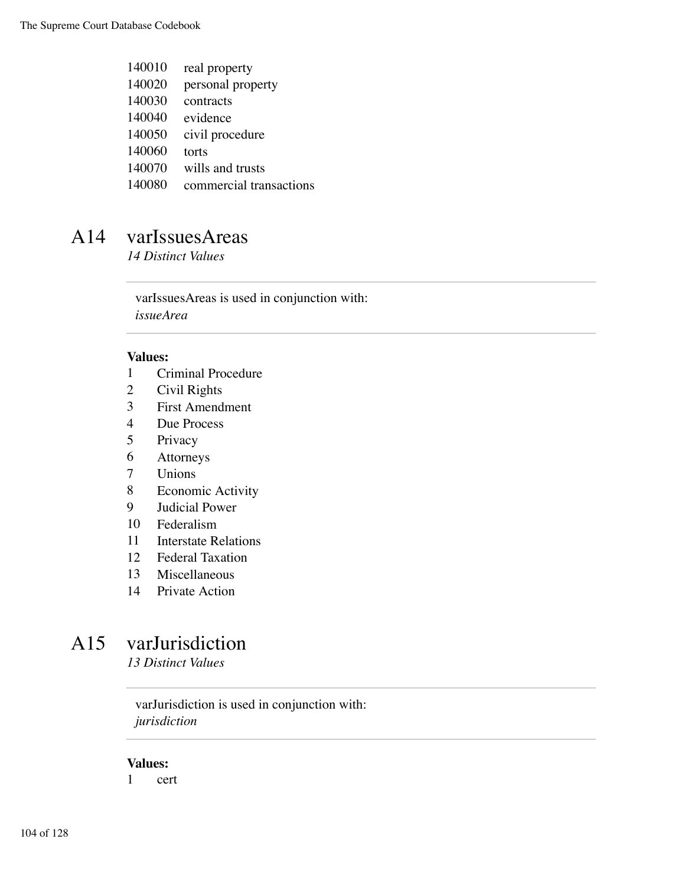| 140010  | real property       |
|---------|---------------------|
| 140020  | personal property   |
| 140030  | contracts           |
| 140040  | evidence            |
| 140050  | civil procedure     |
| 140060  | torts               |
| 140070  | wills and trusts    |
| 1.40000 | commonded transport |

#### commercial transactions

### A14 varIssuesAreas

*14 Distinct Values*

varIssuesAreas is used in conjunction with: *issueArea*

#### **Values:**

- Criminal Procedure
- Civil Rights
- First Amendment
- Due Process
- Privacy
- Attorneys
- Unions
- Economic Activity
- Judicial Power
- Federalism
- Interstate Relations
- Federal Taxation
- Miscellaneous
- Private Action

### A15 varJurisdiction

*13 Distinct Values*

varJurisdiction is used in conjunction with: *jurisdiction*

#### **Values:**

cert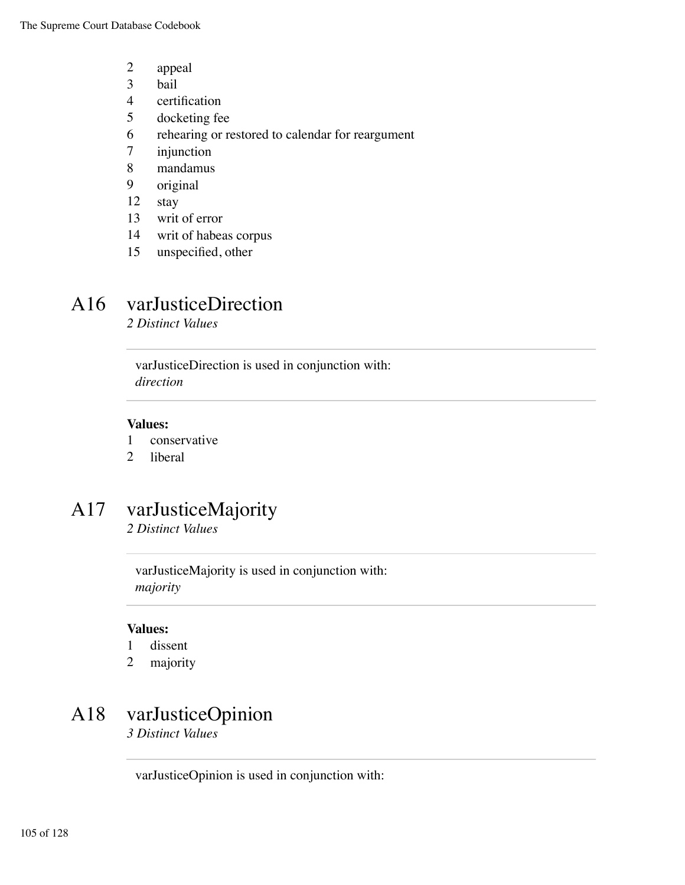- 2 appeal
- 3 bail
- 4 certification
- 5 docketing fee
- 6 rehearing or restored to calendar for reargument
- 7 injunction
- 8 mandamus
- 9 original
- 12 stay
- 13 writ of error
- 14 writ of habeas corpus
- 15 unspecified, other

## A16 varJusticeDirection

*2 Distinct Values*

varJusticeDirection is used in conjunction with: *direction*

#### **Values:**

- 1 conservative
- 2 liberal

## A17 varJusticeMajority

*2 Distinct Values*

varJusticeMajority is used in conjunction with: *majority*

#### **Values:**

- 1 dissent
- 2 majority

### A18 varJusticeOpinion

*3 Distinct Values*

varJusticeOpinion is used in conjunction with: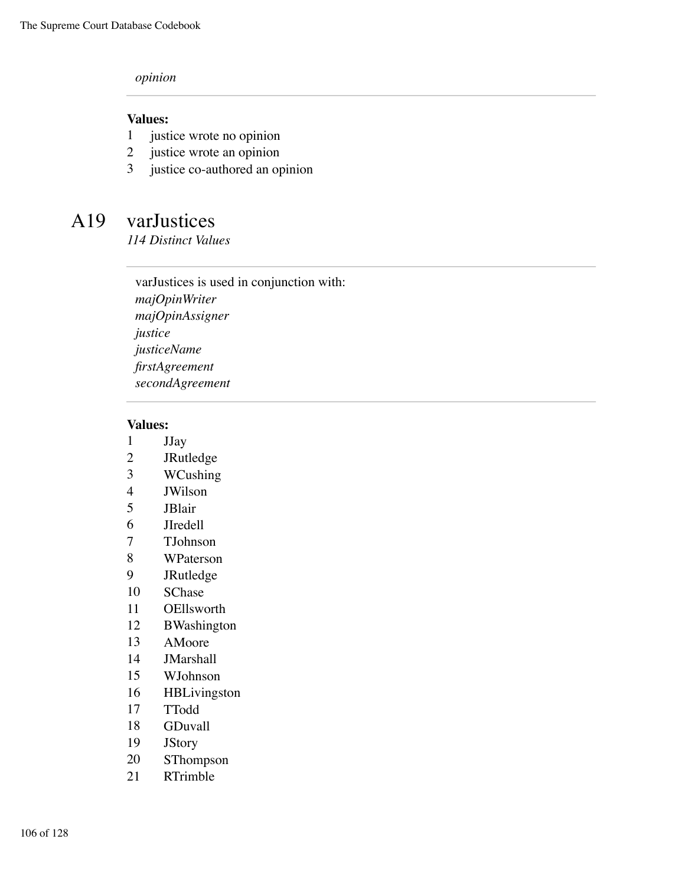#### *opinion*

#### **Values:**

- justice wrote no opinion
- justice wrote an opinion
- justice co-authored an opinion

### A19 varJustices

*114 Distinct Values*

varJustices is used in conjunction with: *majOpinWriter majOpinAssigner justice justiceName firstAgreement secondAgreement*

- JJay
- JRutledge
- WCushing
- JWilson
- JBlair
- JIredell
- TJohnson
- WPaterson
- JRutledge
- SChase
- OEllsworth
- BWashington
- AMoore
- JMarshall
- WJohnson
- HBLivingston
- TTodd
- GDuvall
- JStory
- SThompson
- RTrimble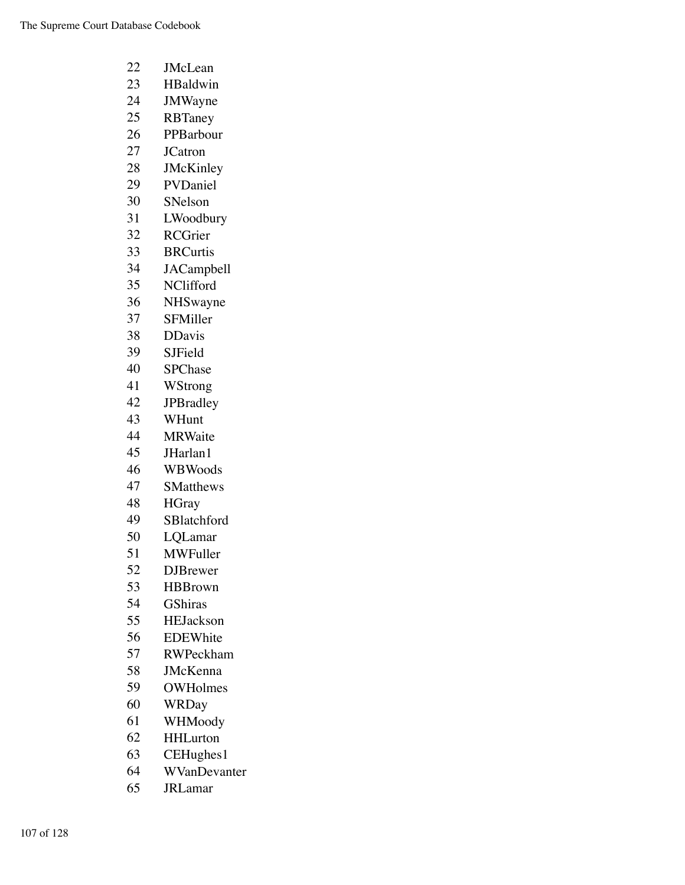| 22 | <b>JMcLean</b>    |
|----|-------------------|
| 23 | HBaldwin          |
| 24 | <b>JMWayne</b>    |
| 25 | RBTaney           |
| 26 | PPBarbour         |
| 27 | <b>JCatron</b>    |
| 28 | JMcKinley         |
| 29 | PVDaniel          |
| 30 | SNelson           |
| 31 | LWoodbury         |
| 32 | <b>RCGrier</b>    |
| 33 | <b>BRCurtis</b>   |
| 34 | <b>JACampbell</b> |
| 35 | NClifford         |
| 36 | NHSwayne          |
| 37 | SFMiller          |
| 38 | <b>DDavis</b>     |
| 39 | <b>SJField</b>    |
| 40 | <b>SPChase</b>    |
| 41 | WStrong           |
| 42 | <b>JPBradley</b>  |
| 43 | WHunt             |
| 44 | <b>MRWaite</b>    |
| 45 | JHarlan1          |
| 46 | WBWoods           |
| 47 | <b>SMatthews</b>  |
| 48 | <b>HGray</b>      |
| 49 | SBlatchford       |
| 50 | LQLamar           |
| 51 | MWFuller          |
| 52 | <b>DJBrewer</b>   |
| 53 | <b>HBBrown</b>    |
| 54 | <b>GShiras</b>    |
| 55 | <b>HEJackson</b>  |
| 56 | <b>EDEWhite</b>   |
| 57 | <b>RWPeckham</b>  |
| 58 | <b>JMcKenna</b>   |
| 59 | <b>OWHolmes</b>   |
| 60 | <b>WRDay</b>      |
| 61 | WHMoody           |
| 62 | <b>HHLurton</b>   |
| 63 | CEHughes1         |
| 64 | WVanDevanter      |

JRLamar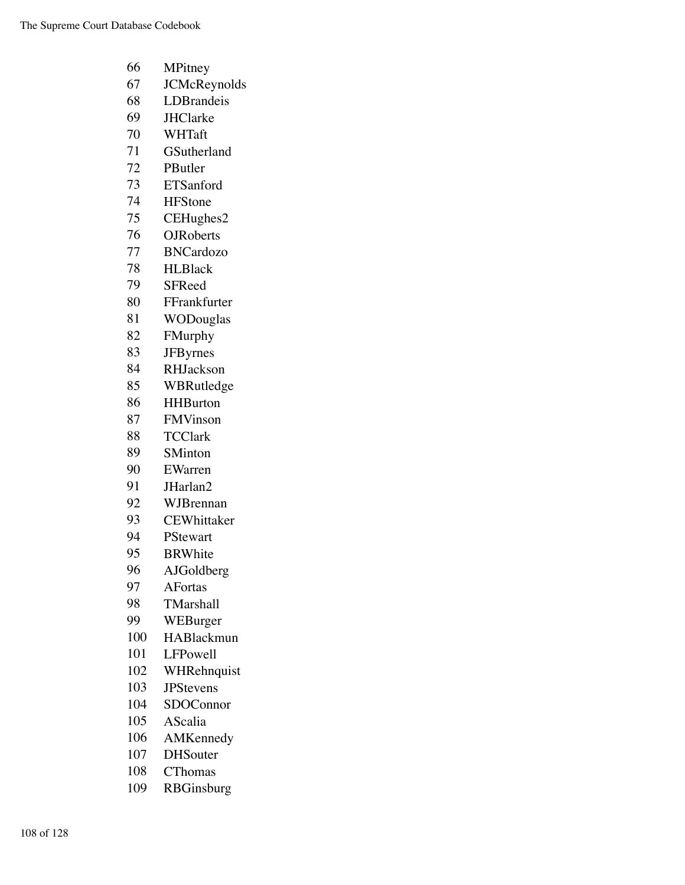- MPitney JCMcReynolds LDBrandeis JHClarke WHTaft GSutherland PButler ETSanford HFStone CEHughes2 OJRoberts BNCardozo HLBlack SFReed FFrankfurter WODouglas FMurphy JFByrnes RHJackson WBRutledge HHBurton FMVinson TCClark SMinton EWarren JHarlan2 WJBrennan CEWhittaker PStewart BRWhite AJGoldberg AFortas TMarshall WEBurger HABlackmun LFPowell WHRehnquist JPStevens SDOConnor AScalia
	- AMKennedy
	- DHSouter
	- CThomas
	- RBGinsburg
- 108 of 128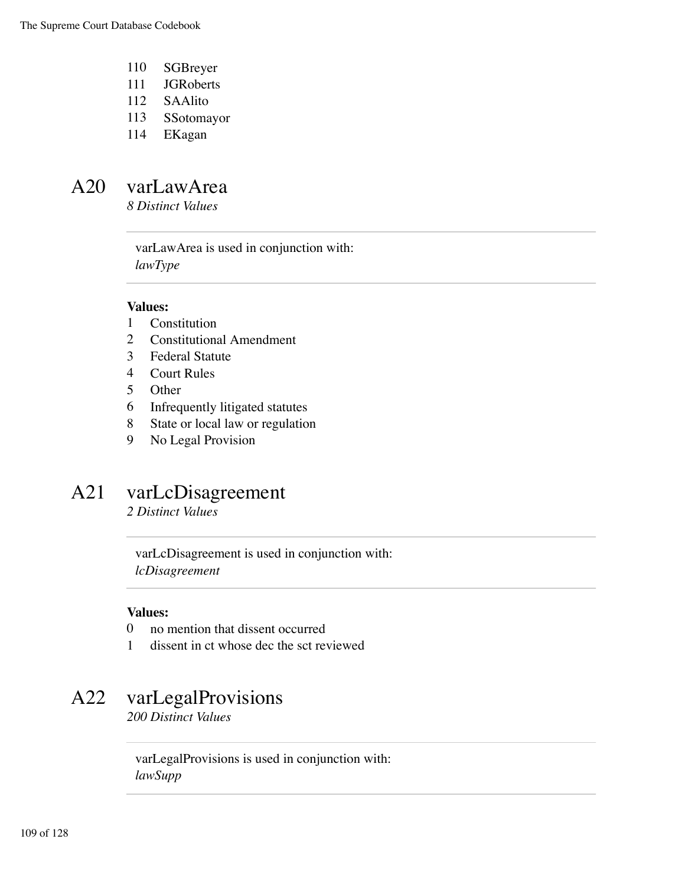- 110 SGBreyer
- 111 JGRoberts
- 112 SAAlito
- 113 SSotomayor
- 114 EKagan

### A20 varLawArea

*8 Distinct Values*

varLawArea is used in conjunction with: *lawType*

#### **Values:**

- 1 Constitution
- 2 Constitutional Amendment
- 3 Federal Statute
- 4 Court Rules
- 5 Other
- 6 Infrequently litigated statutes
- 8 State or local law or regulation
- 9 No Legal Provision

### A21 varLcDisagreement

*2 Distinct Values*

varLcDisagreement is used in conjunction with: *lcDisagreement*

#### **Values:**

- 0 no mention that dissent occurred
- 1 dissent in ct whose dec the sct reviewed

### A22 varLegalProvisions

*200 Distinct Values*

varLegalProvisions is used in conjunction with: *lawSupp*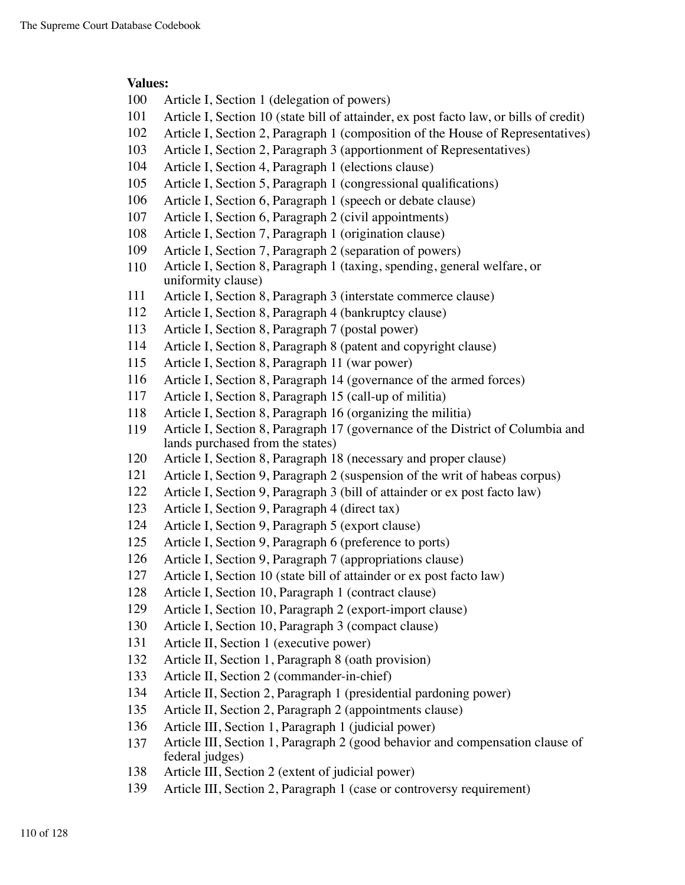- Article I, Section 1 (delegation of powers)
- Article I, Section 10 (state bill of attainder, ex post facto law, or bills of credit)
- Article I, Section 2, Paragraph 1 (composition of the House of Representatives)
- Article I, Section 2, Paragraph 3 (apportionment of Representatives)
- Article I, Section 4, Paragraph 1 (elections clause)
- Article I, Section 5, Paragraph 1 (congressional qualifications)
- Article I, Section 6, Paragraph 1 (speech or debate clause)
- Article I, Section 6, Paragraph 2 (civil appointments)
- Article I, Section 7, Paragraph 1 (origination clause)
- Article I, Section 7, Paragraph 2 (separation of powers)
- Article I, Section 8, Paragraph 1 (taxing, spending, general welfare, or uniformity clause)
- Article I, Section 8, Paragraph 3 (interstate commerce clause)
- Article I, Section 8, Paragraph 4 (bankruptcy clause)
- Article I, Section 8, Paragraph 7 (postal power)
- Article I, Section 8, Paragraph 8 (patent and copyright clause)
- Article I, Section 8, Paragraph 11 (war power)
- Article I, Section 8, Paragraph 14 (governance of the armed forces)
- Article I, Section 8, Paragraph 15 (call-up of militia)
- Article I, Section 8, Paragraph 16 (organizing the militia)
- Article I, Section 8, Paragraph 17 (governance of the District of Columbia and lands purchased from the states)
- Article I, Section 8, Paragraph 18 (necessary and proper clause)
- Article I, Section 9, Paragraph 2 (suspension of the writ of habeas corpus)
- Article I, Section 9, Paragraph 3 (bill of attainder or ex post facto law)
- Article I, Section 9, Paragraph 4 (direct tax)
- Article I, Section 9, Paragraph 5 (export clause)
- Article I, Section 9, Paragraph 6 (preference to ports)
- Article I, Section 9, Paragraph 7 (appropriations clause)
- Article I, Section 10 (state bill of attainder or ex post facto law)
- Article I, Section 10, Paragraph 1 (contract clause)
- Article I, Section 10, Paragraph 2 (export-import clause)
- Article I, Section 10, Paragraph 3 (compact clause)
- Article II, Section 1 (executive power)
- Article II, Section 1, Paragraph 8 (oath provision)
- Article II, Section 2 (commander-in-chief)
- Article II, Section 2, Paragraph 1 (presidential pardoning power)
- Article II, Section 2, Paragraph 2 (appointments clause)
- Article III, Section 1, Paragraph 1 (judicial power)
- Article III, Section 1, Paragraph 2 (good behavior and compensation clause of federal judges)
- Article III, Section 2 (extent of judicial power)
- Article III, Section 2, Paragraph 1 (case or controversy requirement)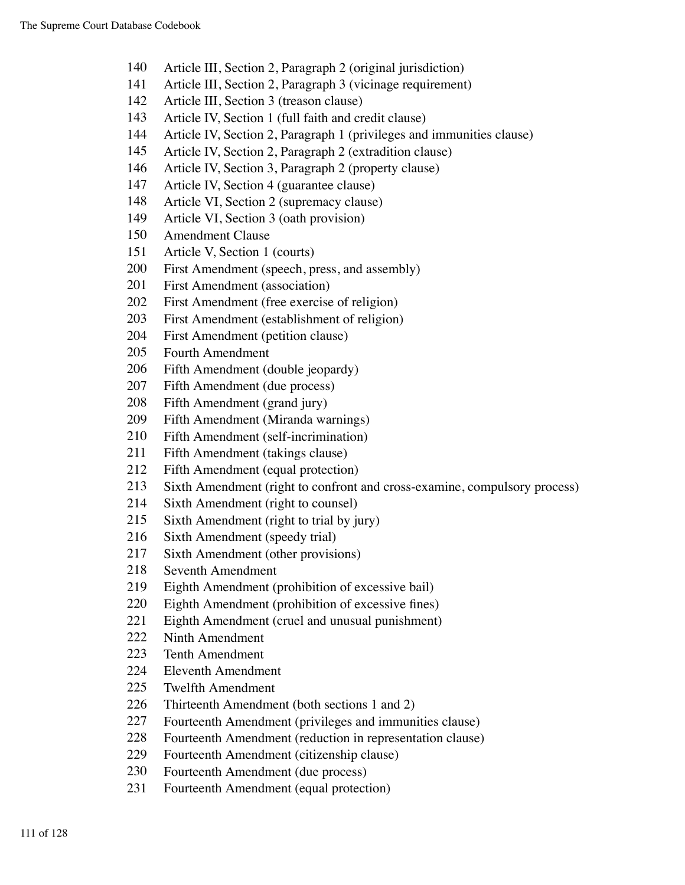- Article III, Section 2, Paragraph 2 (original jurisdiction)
- Article III, Section 2, Paragraph 3 (vicinage requirement)
- Article III, Section 3 (treason clause)
- Article IV, Section 1 (full faith and credit clause)
- Article IV, Section 2, Paragraph 1 (privileges and immunities clause)
- Article IV, Section 2, Paragraph 2 (extradition clause)
- Article IV, Section 3, Paragraph 2 (property clause)
- Article IV, Section 4 (guarantee clause)
- Article VI, Section 2 (supremacy clause)
- Article VI, Section 3 (oath provision)
- Amendment Clause
- Article V, Section 1 (courts)
- First Amendment (speech, press, and assembly)
- First Amendment (association)
- First Amendment (free exercise of religion)
- First Amendment (establishment of religion)
- First Amendment (petition clause)
- Fourth Amendment
- Fifth Amendment (double jeopardy)
- Fifth Amendment (due process)
- Fifth Amendment (grand jury)
- Fifth Amendment (Miranda warnings)
- Fifth Amendment (self-incrimination)
- Fifth Amendment (takings clause)
- Fifth Amendment (equal protection)
- Sixth Amendment (right to confront and cross-examine, compulsory process)
- Sixth Amendment (right to counsel)
- Sixth Amendment (right to trial by jury)
- Sixth Amendment (speedy trial)
- Sixth Amendment (other provisions)
- Seventh Amendment
- Eighth Amendment (prohibition of excessive bail)
- Eighth Amendment (prohibition of excessive fines)
- Eighth Amendment (cruel and unusual punishment)
- Ninth Amendment
- Tenth Amendment
- Eleventh Amendment
- Twelfth Amendment
- Thirteenth Amendment (both sections 1 and 2)
- Fourteenth Amendment (privileges and immunities clause)
- Fourteenth Amendment (reduction in representation clause)
- Fourteenth Amendment (citizenship clause)
- Fourteenth Amendment (due process)
- Fourteenth Amendment (equal protection)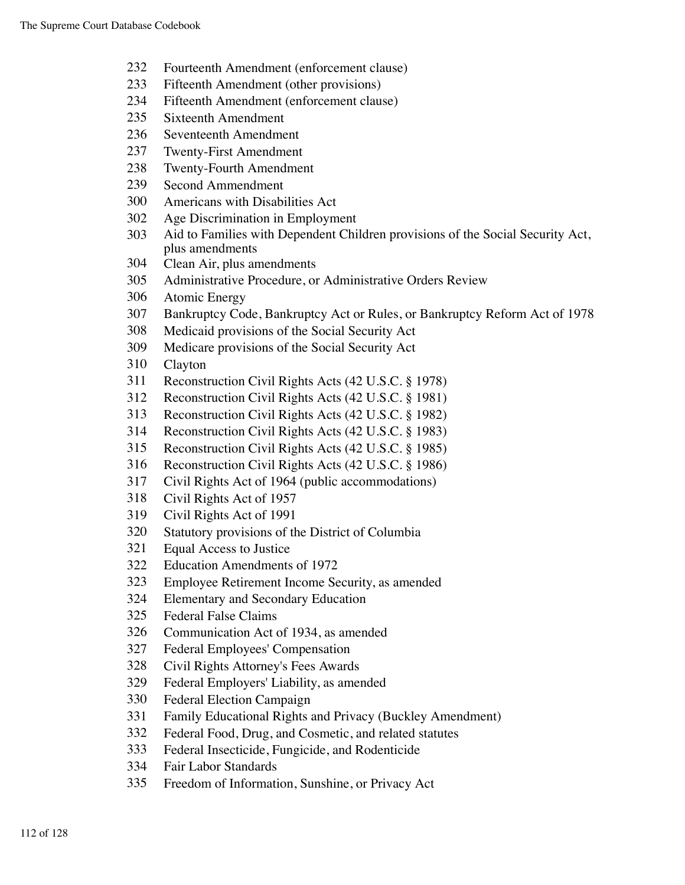- Fourteenth Amendment (enforcement clause)
- Fifteenth Amendment (other provisions)
- Fifteenth Amendment (enforcement clause)
- Sixteenth Amendment
- Seventeenth Amendment
- Twenty-First Amendment
- Twenty-Fourth Amendment
- Second Ammendment
- Americans with Disabilities Act
- Age Discrimination in Employment
- Aid to Families with Dependent Children provisions of the Social Security Act, plus amendments
- Clean Air, plus amendments
- Administrative Procedure, or Administrative Orders Review
- Atomic Energy
- Bankruptcy Code, Bankruptcy Act or Rules, or Bankruptcy Reform Act of 1978
- Medicaid provisions of the Social Security Act
- Medicare provisions of the Social Security Act
- Clayton
- Reconstruction Civil Rights Acts (42 U.S.C. § 1978)
- Reconstruction Civil Rights Acts (42 U.S.C. § 1981)
- Reconstruction Civil Rights Acts (42 U.S.C. § 1982)
- Reconstruction Civil Rights Acts (42 U.S.C. § 1983)
- Reconstruction Civil Rights Acts (42 U.S.C. § 1985)
- Reconstruction Civil Rights Acts (42 U.S.C. § 1986)
- Civil Rights Act of 1964 (public accommodations)
- Civil Rights Act of 1957
- Civil Rights Act of 1991
- Statutory provisions of the District of Columbia
- Equal Access to Justice
- Education Amendments of 1972
- Employee Retirement Income Security, as amended
- Elementary and Secondary Education
- Federal False Claims
- Communication Act of 1934, as amended
- Federal Employees' Compensation
- Civil Rights Attorney's Fees Awards
- Federal Employers' Liability, as amended
- Federal Election Campaign
- Family Educational Rights and Privacy (Buckley Amendment)
- Federal Food, Drug, and Cosmetic, and related statutes
- Federal Insecticide, Fungicide, and Rodenticide
- Fair Labor Standards
- Freedom of Information, Sunshine, or Privacy Act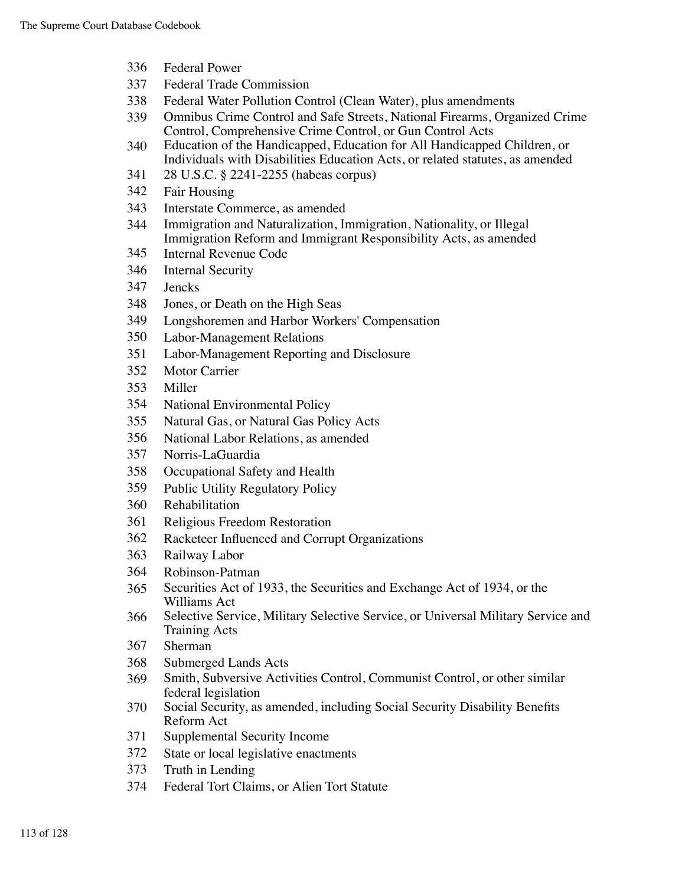- Federal Power
- Federal Trade Commission
- Federal Water Pollution Control (Clean Water), plus amendments
- Omnibus Crime Control and Safe Streets, National Firearms, Organized Crime Control, Comprehensive Crime Control, or Gun Control Acts
- Education of the Handicapped, Education for All Handicapped Children, or Individuals with Disabilities Education Acts, or related statutes, as amended
- 28 U.S.C. § 2241-2255 (habeas corpus)
- Fair Housing
- Interstate Commerce, as amended
- Immigration and Naturalization, Immigration, Nationality, or Illegal Immigration Reform and Immigrant Responsibility Acts, as amended
- Internal Revenue Code
- Internal Security
- Jencks
- Jones, or Death on the High Seas
- Longshoremen and Harbor Workers' Compensation
- Labor-Management Relations
- Labor-Management Reporting and Disclosure
- Motor Carrier
- Miller
- National Environmental Policy
- Natural Gas, or Natural Gas Policy Acts
- National Labor Relations, as amended
- Norris-LaGuardia
- Occupational Safety and Health
- Public Utility Regulatory Policy
- Rehabilitation
- Religious Freedom Restoration
- Racketeer Influenced and Corrupt Organizations
- Railway Labor
- Robinson-Patman
- Securities Act of 1933, the Securities and Exchange Act of 1934, or the Williams Act
- Selective Service, Military Selective Service, or Universal Military Service and Training Acts
- Sherman
- Submerged Lands Acts
- Smith, Subversive Activities Control, Communist Control, or other similar federal legislation
- Social Security, as amended, including Social Security Disability Benefits Reform Act
- Supplemental Security Income
- State or local legislative enactments
- Truth in Lending
- Federal Tort Claims, or Alien Tort Statute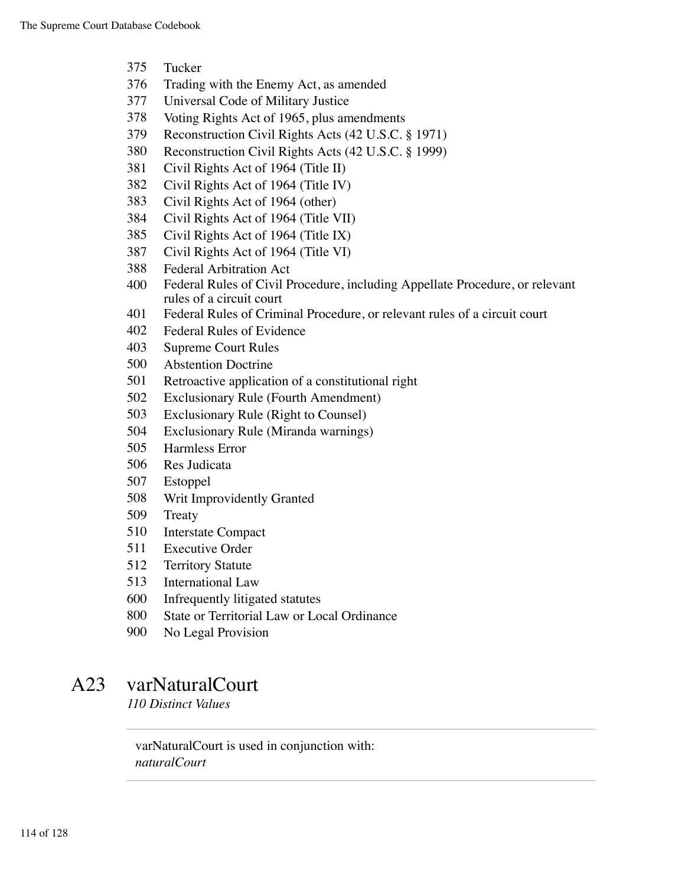- Tucker
- Trading with the Enemy Act, as amended
- Universal Code of Military Justice
- Voting Rights Act of 1965, plus amendments
- Reconstruction Civil Rights Acts (42 U.S.C. § 1971)
- Reconstruction Civil Rights Acts (42 U.S.C. § 1999)
- Civil Rights Act of 1964 (Title II)
- Civil Rights Act of 1964 (Title IV)
- Civil Rights Act of 1964 (other)
- Civil Rights Act of 1964 (Title VII)
- Civil Rights Act of 1964 (Title IX)
- Civil Rights Act of 1964 (Title VI)
- Federal Arbitration Act
- Federal Rules of Civil Procedure, including Appellate Procedure, or relevant rules of a circuit court
- Federal Rules of Criminal Procedure, or relevant rules of a circuit court
- Federal Rules of Evidence
- Supreme Court Rules
- Abstention Doctrine
- Retroactive application of a constitutional right
- Exclusionary Rule (Fourth Amendment)
- Exclusionary Rule (Right to Counsel)
- Exclusionary Rule (Miranda warnings)
- Harmless Error
- Res Judicata
- Estoppel
- Writ Improvidently Granted
- Treaty
- Interstate Compact
- Executive Order
- Territory Statute
- International Law
- Infrequently litigated statutes
- State or Territorial Law or Local Ordinance
- No Legal Provision

### A23 varNaturalCourt

*110 Distinct Values*

varNaturalCourt is used in conjunction with: *naturalCourt*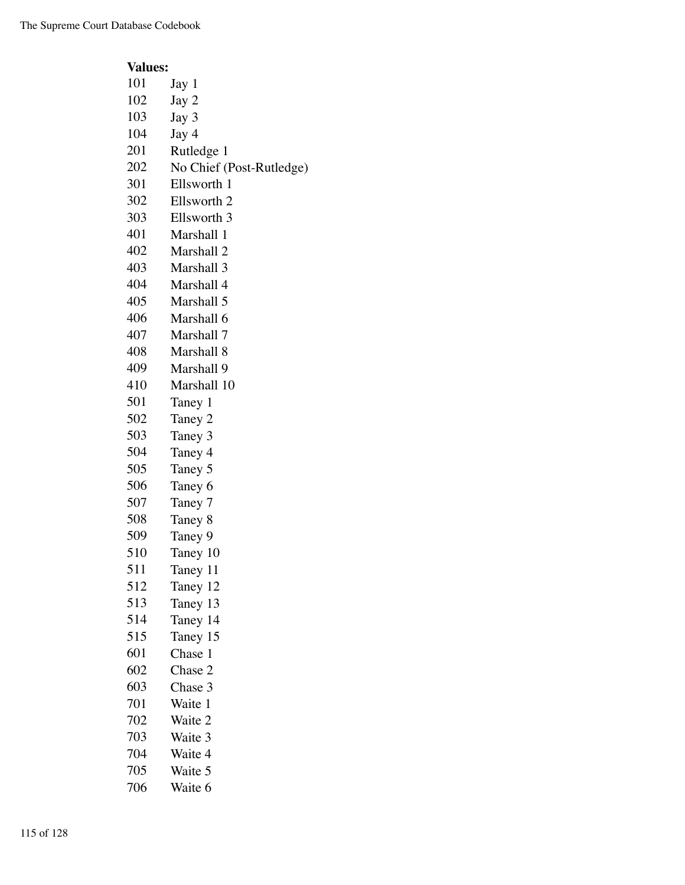| <b>Values:</b>           |
|--------------------------|
| Jay 1                    |
| Jay 2                    |
| Jay 3                    |
| Jay 4                    |
| Rutledge 1               |
| No Chief (Post-Rutledge) |
| Ellsworth 1              |
| Ellsworth 2              |
| Ellsworth 3              |
| Marshall 1               |
| Marshall 2               |
| Marshall 3               |
| Marshall 4               |
| Marshall 5               |
| Marshall 6               |
| Marshall 7               |
| Marshall 8               |
| Marshall 9               |
| Marshall 10              |
| Taney 1                  |
| Taney 2                  |
| Taney 3                  |
| Taney 4                  |
| Taney 5                  |
| Taney 6                  |
| Taney 7                  |
| Taney 8                  |
| Taney 9                  |
| Taney 10                 |
| Taney 11                 |
| Taney 12                 |
| Taney 13                 |
| Taney 14                 |
| Taney 15                 |
| Chase 1                  |
| Chase 2                  |
| Chase 3                  |
| Waite 1                  |
| Waite 2                  |
| Waite 3                  |
| Waite 4                  |
| Waite 5                  |
| Waite 6                  |
|                          |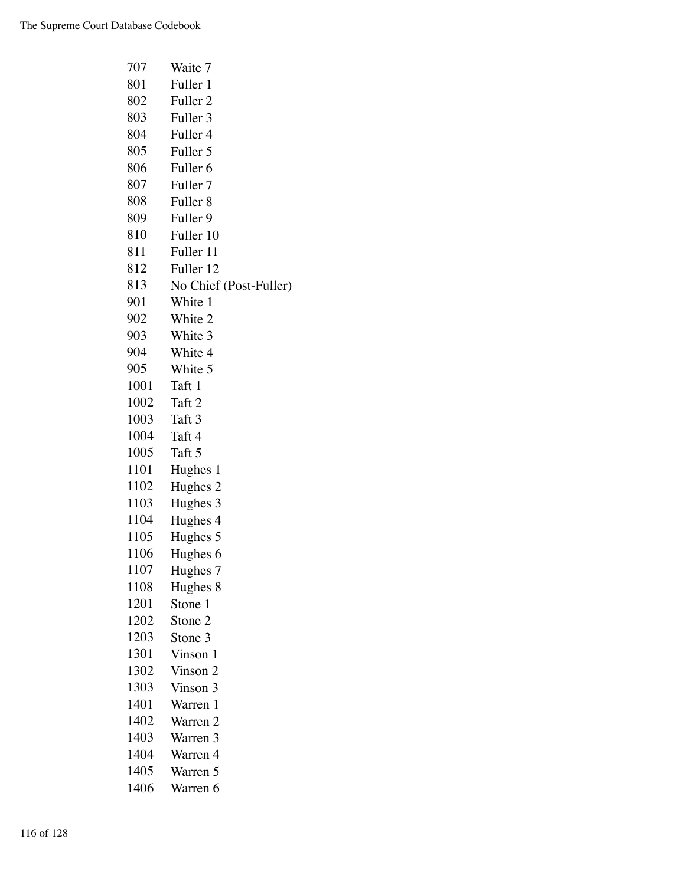| 707  | Waite 7                |
|------|------------------------|
| 801  | Fuller 1               |
| 802  | Fuller <sub>2</sub>    |
| 803  | Fuller 3               |
| 804  | Fuller 4               |
| 805  | Fuller 5               |
| 806  | Fuller <sub>6</sub>    |
| 807  | Fuller 7               |
| 808  | Fuller <sub>8</sub>    |
| 809  | Fuller 9               |
| 810  | Fuller 10              |
| 811  | Fuller 11              |
| 812  | Fuller 12              |
| 813  | No Chief (Post-Fuller) |
| 901  | White 1                |
| 902  | White 2                |
| 903  | White 3                |
| 904  | White 4                |
| 905  | White 5                |
| 1001 | Taft 1                 |
| 1002 | Taft 2                 |
| 1003 | Taft 3                 |
| 1004 | Taft 4                 |
| 1005 | Taft 5                 |
| 1101 | Hughes 1               |
| 1102 | Hughes 2               |
| 1103 | Hughes 3               |
| 1104 | Hughes 4               |
| 1105 | Hughes 5               |
| 1106 | Hughes 6               |
| 1107 | Hughes 7               |
| 1108 | Hughes 8               |
| 1201 | Stone 1                |
| 1202 | Stone 2                |
| 1203 | Stone 3                |
| 1301 | Vinson 1               |
| 1302 | Vinson 2               |
| 1303 | Vinson 3               |
| 1401 | Warren 1               |
| 1402 | Warren 2               |
| 1403 | Warren 3               |
| 1404 | Warren 4               |
| 1405 | Warren 5               |
| 1406 | Warren 6               |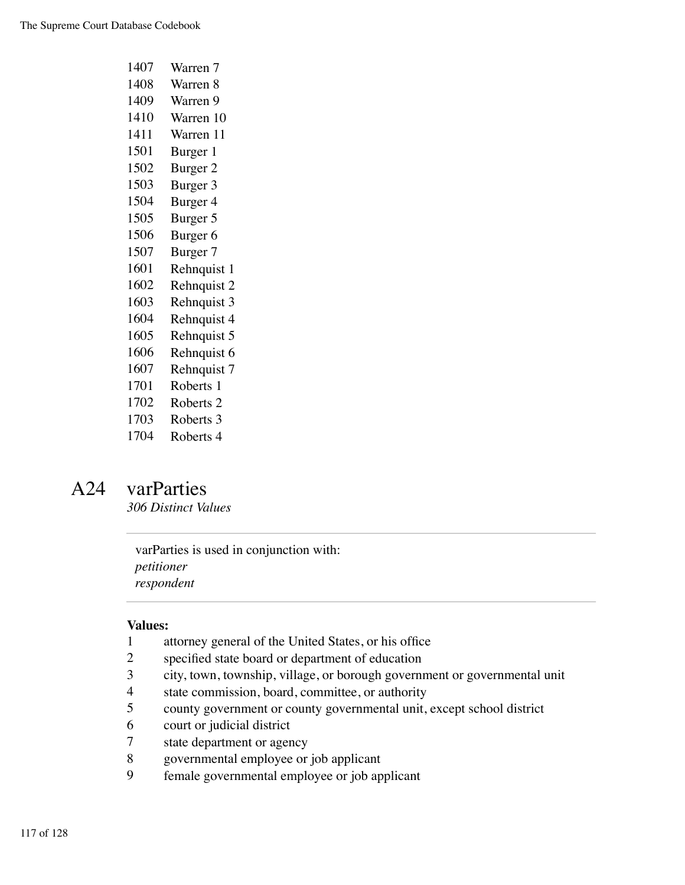| 1407 | Warren 7             |
|------|----------------------|
| 1408 | Warren 8             |
| 1409 | Warren 9             |
| 1410 | Warren 10            |
| 1411 | Warren 11            |
| 1501 | Burger 1             |
| 1502 | Burger 2             |
| 1503 | Burger 3             |
| 1504 | Burger 4             |
| 1505 | Burger 5             |
| 1506 | Burger <sub>6</sub>  |
| 1507 | Burger 7             |
| 1601 | Rehnquist 1          |
| 1602 | Rehnquist 2          |
| 1603 | Rehnquist 3          |
| 1604 | Rehnquist 4          |
| 1605 | Rehnquist 5          |
| 1606 | Rehnquist 6          |
| 1607 | Rehnquist 7          |
| 1701 | Roberts 1            |
| 1702 | Roberts <sub>2</sub> |
| 1703 | Roberts 3            |
| 1704 | Roberts 4            |

# A24 varParties

*306 Distinct Values*

varParties is used in conjunction with: *petitioner respondent*

- attorney general of the United States, or his office
- specified state board or department of education
- city, town, township, village, or borough government or governmental unit
- state commission, board, committee, or authority
- county government or county governmental unit, except school district
- court or judicial district
- state department or agency
- governmental employee or job applicant
- female governmental employee or job applicant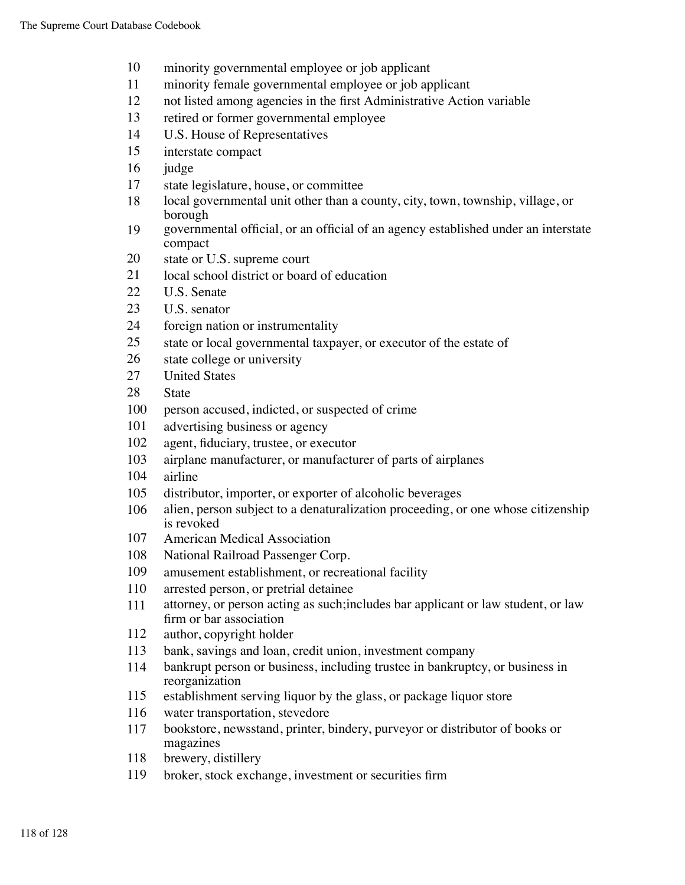- minority governmental employee or job applicant
- minority female governmental employee or job applicant
- not listed among agencies in the first Administrative Action variable
- retired or former governmental employee
- U.S. House of Representatives
- interstate compact
- judge
- state legislature, house, or committee
- local governmental unit other than a county, city, town, township, village, or borough
- governmental official, or an official of an agency established under an interstate compact
- state or U.S. supreme court
- local school district or board of education
- U.S. Senate
- U.S. senator
- foreign nation or instrumentality
- state or local governmental taxpayer, or executor of the estate of
- state college or university
- United States
- State
- person accused, indicted, or suspected of crime
- advertising business or agency
- agent, fiduciary, trustee, or executor
- airplane manufacturer, or manufacturer of parts of airplanes
- airline
- distributor, importer, or exporter of alcoholic beverages
- alien, person subject to a denaturalization proceeding, or one whose citizenship is revoked
- American Medical Association
- National Railroad Passenger Corp.
- amusement establishment, or recreational facility
- arrested person, or pretrial detainee
- attorney, or person acting as such;includes bar applicant or law student, or law firm or bar association
- author, copyright holder
- bank, savings and loan, credit union, investment company
- bankrupt person or business, including trustee in bankruptcy, or business in reorganization
- establishment serving liquor by the glass, or package liquor store
- water transportation, stevedore
- bookstore, newsstand, printer, bindery, purveyor or distributor of books or magazines
- brewery, distillery
- broker, stock exchange, investment or securities firm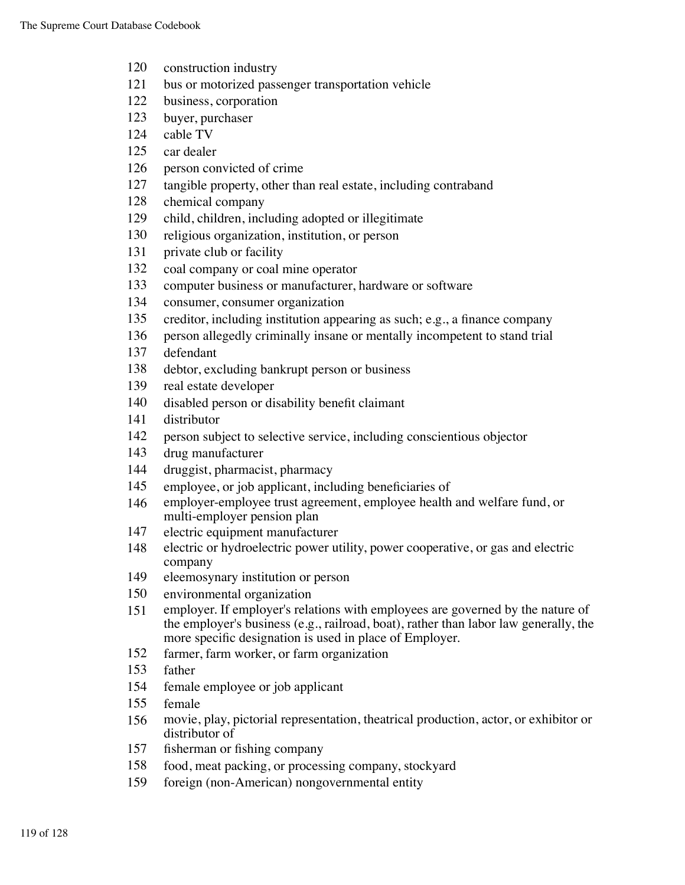- construction industry
- bus or motorized passenger transportation vehicle
- business, corporation
- buyer, purchaser
- cable TV
- car dealer
- person convicted of crime
- tangible property, other than real estate, including contraband
- chemical company
- child, children, including adopted or illegitimate
- religious organization, institution, or person
- private club or facility
- coal company or coal mine operator
- computer business or manufacturer, hardware or software
- consumer, consumer organization
- creditor, including institution appearing as such; e.g., a finance company
- person allegedly criminally insane or mentally incompetent to stand trial
- defendant
- debtor, excluding bankrupt person or business
- real estate developer
- disabled person or disability benefit claimant
- distributor
- person subject to selective service, including conscientious objector
- drug manufacturer
- druggist, pharmacist, pharmacy
- employee, or job applicant, including beneficiaries of
- employer-employee trust agreement, employee health and welfare fund, or multi-employer pension plan
- electric equipment manufacturer
- electric or hydroelectric power utility, power cooperative, or gas and electric company
- eleemosynary institution or person
- environmental organization
- employer. If employer's relations with employees are governed by the nature of the employer's business (e.g., railroad, boat), rather than labor law generally, the more specific designation is used in place of Employer.
- farmer, farm worker, or farm organization
- father
- female employee or job applicant
- female
- movie, play, pictorial representation, theatrical production, actor, or exhibitor or distributor of
- fisherman or fishing company
- food, meat packing, or processing company, stockyard
- foreign (non-American) nongovernmental entity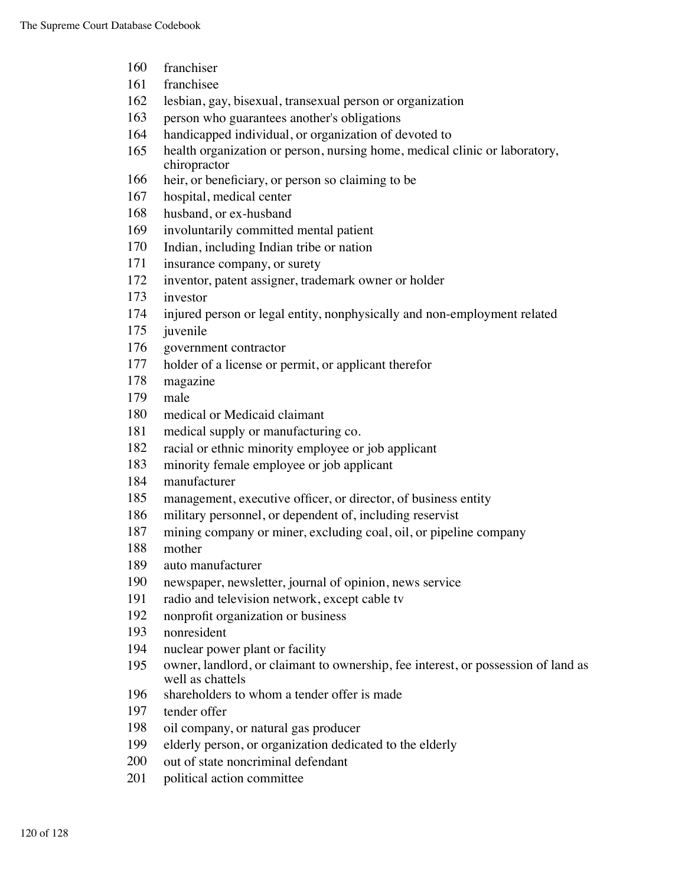- franchiser
- franchisee
- lesbian, gay, bisexual, transexual person or organization
- person who guarantees another's obligations
- handicapped individual, or organization of devoted to
- health organization or person, nursing home, medical clinic or laboratory, chiropractor
- heir, or beneficiary, or person so claiming to be
- hospital, medical center
- husband, or ex-husband
- involuntarily committed mental patient
- Indian, including Indian tribe or nation
- insurance company, or surety
- inventor, patent assigner, trademark owner or holder
- investor
- injured person or legal entity, nonphysically and non-employment related
- juvenile
- government contractor
- holder of a license or permit, or applicant therefor
- magazine
- male
- medical or Medicaid claimant
- medical supply or manufacturing co.
- racial or ethnic minority employee or job applicant
- minority female employee or job applicant
- manufacturer
- management, executive officer, or director, of business entity
- military personnel, or dependent of, including reservist
- mining company or miner, excluding coal, oil, or pipeline company
- mother
- auto manufacturer
- newspaper, newsletter, journal of opinion, news service
- radio and television network, except cable tv
- nonprofit organization or business
- nonresident
- nuclear power plant or facility
- owner, landlord, or claimant to ownership, fee interest, or possession of land as well as chattels
- shareholders to whom a tender offer is made
- tender offer
- oil company, or natural gas producer
- elderly person, or organization dedicated to the elderly
- out of state noncriminal defendant
- political action committee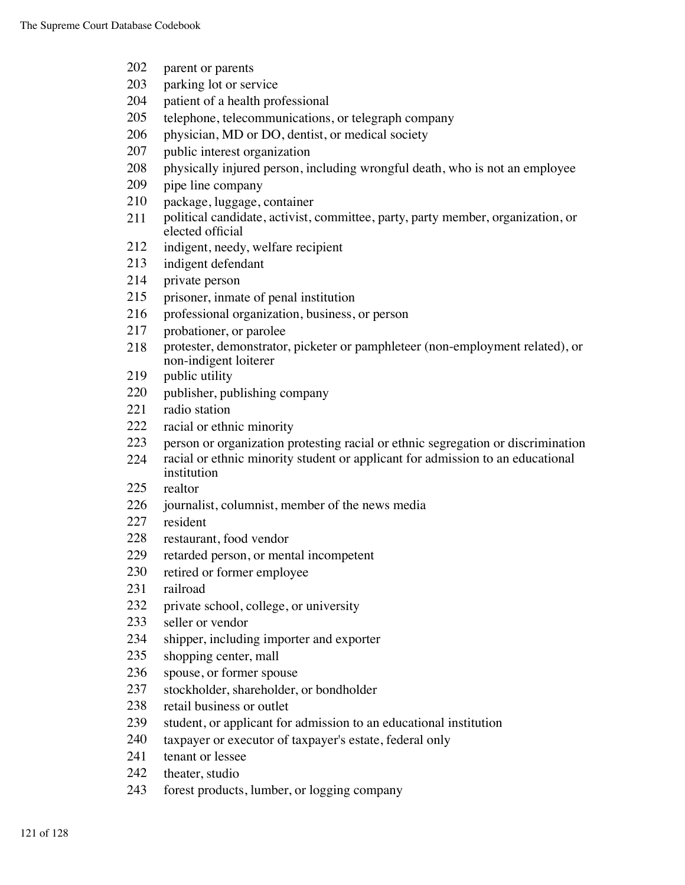- parent or parents
- parking lot or service
- patient of a health professional
- telephone, telecommunications, or telegraph company
- physician, MD or DO, dentist, or medical society
- public interest organization
- physically injured person, including wrongful death, who is not an employee
- pipe line company
- package, luggage, container
- political candidate, activist, committee, party, party member, organization, or elected official
- indigent, needy, welfare recipient
- indigent defendant
- private person
- prisoner, inmate of penal institution
- professional organization, business, or person
- probationer, or parolee
- protester, demonstrator, picketer or pamphleteer (non-employment related), or non-indigent loiterer
- 219 public utility
- publisher, publishing company
- radio station
- racial or ethnic minority
- person or organization protesting racial or ethnic segregation or discrimination
- racial or ethnic minority student or applicant for admission to an educational institution
- realtor
- journalist, columnist, member of the news media
- resident
- restaurant, food vendor
- retarded person, or mental incompetent
- retired or former employee
- railroad
- private school, college, or university
- seller or vendor
- shipper, including importer and exporter
- shopping center, mall
- spouse, or former spouse
- stockholder, shareholder, or bondholder
- retail business or outlet
- student, or applicant for admission to an educational institution
- taxpayer or executor of taxpayer's estate, federal only
- tenant or lessee
- theater, studio
- forest products, lumber, or logging company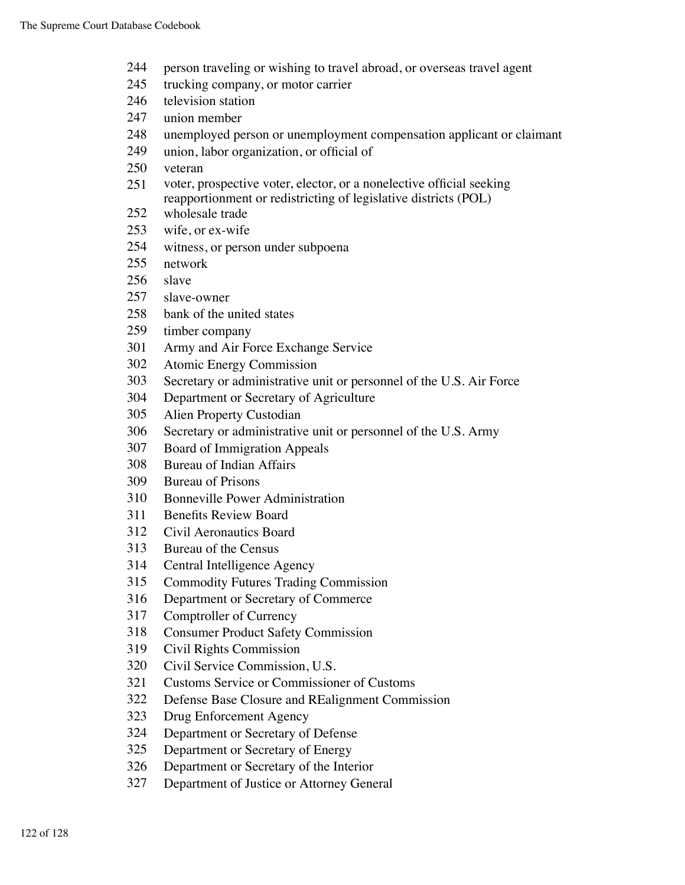- person traveling or wishing to travel abroad, or overseas travel agent
- trucking company, or motor carrier
- 246 television station
- union member
- unemployed person or unemployment compensation applicant or claimant
- union, labor organization, or official of
- veteran
- voter, prospective voter, elector, or a nonelective official seeking reapportionment or redistricting of legislative districts (POL)
- wholesale trade
- wife, or ex-wife
- witness, or person under subpoena
- network
- slave
- slave-owner
- bank of the united states
- timber company
- Army and Air Force Exchange Service
- Atomic Energy Commission
- Secretary or administrative unit or personnel of the U.S. Air Force
- Department or Secretary of Agriculture
- Alien Property Custodian
- Secretary or administrative unit or personnel of the U.S. Army
- Board of Immigration Appeals
- Bureau of Indian Affairs
- Bureau of Prisons
- Bonneville Power Administration
- Benefits Review Board
- Civil Aeronautics Board
- Bureau of the Census
- Central Intelligence Agency
- Commodity Futures Trading Commission
- Department or Secretary of Commerce
- Comptroller of Currency
- Consumer Product Safety Commission
- Civil Rights Commission
- Civil Service Commission, U.S.
- Customs Service or Commissioner of Customs
- Defense Base Closure and REalignment Commission
- Drug Enforcement Agency
- Department or Secretary of Defense
- Department or Secretary of Energy
- Department or Secretary of the Interior
- Department of Justice or Attorney General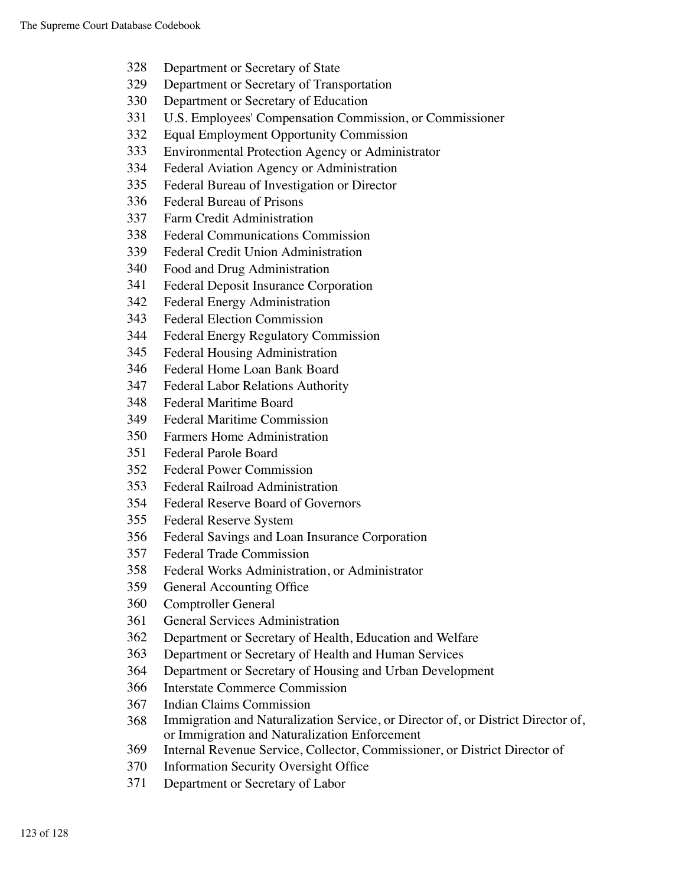- Department or Secretary of State
- Department or Secretary of Transportation
- Department or Secretary of Education
- U.S. Employees' Compensation Commission, or Commissioner
- Equal Employment Opportunity Commission
- Environmental Protection Agency or Administrator
- Federal Aviation Agency or Administration
- Federal Bureau of Investigation or Director
- Federal Bureau of Prisons
- Farm Credit Administration
- Federal Communications Commission
- Federal Credit Union Administration
- Food and Drug Administration
- Federal Deposit Insurance Corporation
- Federal Energy Administration
- Federal Election Commission
- Federal Energy Regulatory Commission
- Federal Housing Administration
- Federal Home Loan Bank Board
- Federal Labor Relations Authority
- Federal Maritime Board
- Federal Maritime Commission
- Farmers Home Administration
- Federal Parole Board
- Federal Power Commission
- Federal Railroad Administration
- Federal Reserve Board of Governors
- Federal Reserve System
- Federal Savings and Loan Insurance Corporation
- Federal Trade Commission
- Federal Works Administration, or Administrator
- General Accounting Office
- Comptroller General
- General Services Administration
- Department or Secretary of Health, Education and Welfare
- Department or Secretary of Health and Human Services
- Department or Secretary of Housing and Urban Development
- Interstate Commerce Commission
- Indian Claims Commission
- Immigration and Naturalization Service, or Director of, or District Director of, or Immigration and Naturalization Enforcement
- Internal Revenue Service, Collector, Commissioner, or District Director of
- Information Security Oversight Office
- Department or Secretary of Labor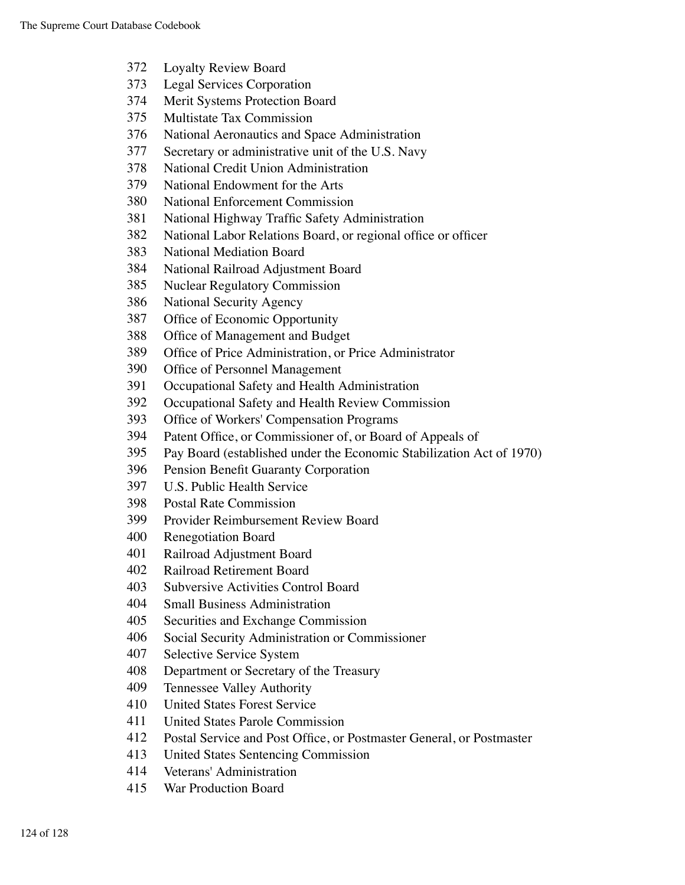- Loyalty Review Board
- Legal Services Corporation
- Merit Systems Protection Board
- Multistate Tax Commission
- National Aeronautics and Space Administration
- Secretary or administrative unit of the U.S. Navy
- National Credit Union Administration
- National Endowment for the Arts
- National Enforcement Commission
- National Highway Traffic Safety Administration
- National Labor Relations Board, or regional office or officer
- National Mediation Board
- National Railroad Adjustment Board
- Nuclear Regulatory Commission
- National Security Agency
- Office of Economic Opportunity
- Office of Management and Budget
- Office of Price Administration, or Price Administrator
- Office of Personnel Management
- Occupational Safety and Health Administration
- Occupational Safety and Health Review Commission
- Office of Workers' Compensation Programs
- Patent Office, or Commissioner of, or Board of Appeals of
- Pay Board (established under the Economic Stabilization Act of 1970)
- Pension Benefit Guaranty Corporation
- U.S. Public Health Service
- Postal Rate Commission
- Provider Reimbursement Review Board
- Renegotiation Board
- Railroad Adjustment Board
- Railroad Retirement Board
- Subversive Activities Control Board
- Small Business Administration
- Securities and Exchange Commission
- Social Security Administration or Commissioner
- Selective Service System
- Department or Secretary of the Treasury
- Tennessee Valley Authority
- United States Forest Service
- United States Parole Commission
- Postal Service and Post Office, or Postmaster General, or Postmaster
- United States Sentencing Commission
- Veterans' Administration
- War Production Board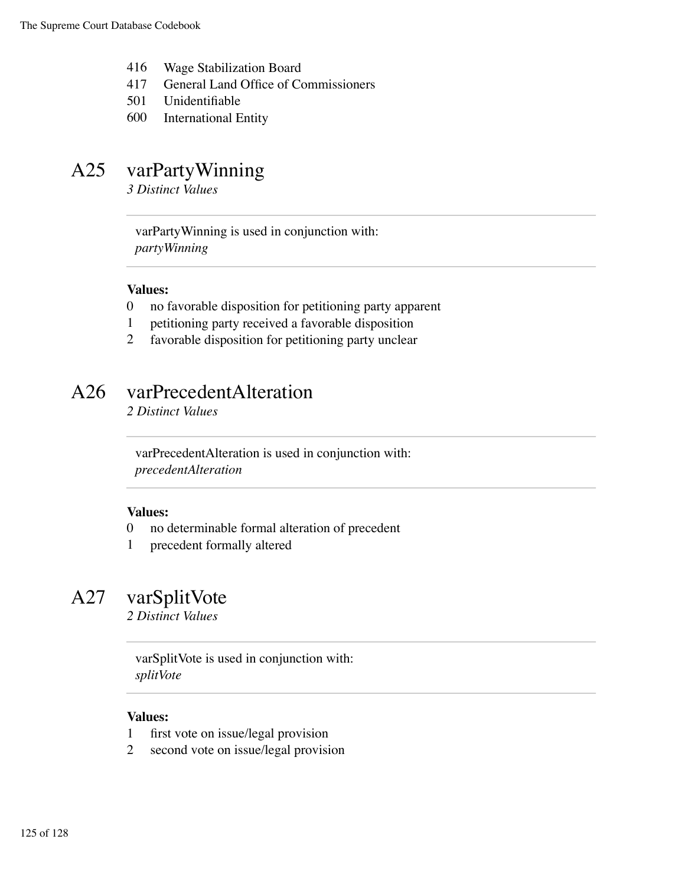- 416 Wage Stabilization Board
- 417 General Land Office of Commissioners
- 501 Unidentifiable
- 600 International Entity

# A25 varPartyWinning

*3 Distinct Values*

varPartyWinning is used in conjunction with: *partyWinning*

#### **Values:**

- 0 no favorable disposition for petitioning party apparent
- 1 petitioning party received a favorable disposition
- 2 favorable disposition for petitioning party unclear

# A26 varPrecedentAlteration

*2 Distinct Values*

varPrecedentAlteration is used in conjunction with: *precedentAlteration*

#### **Values:**

- 0 no determinable formal alteration of precedent
- 1 precedent formally altered

### A27 varSplitVote

*2 Distinct Values*

varSplitVote is used in conjunction with: *splitVote*

- 1 first vote on issue/legal provision
- 2 second vote on issue/legal provision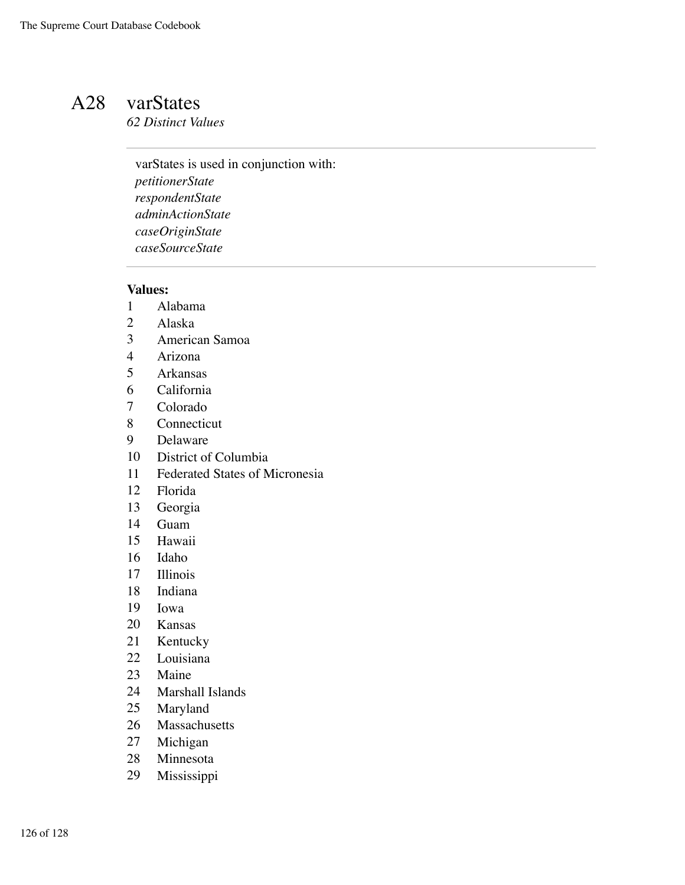### A28 varStates

*62 Distinct Values*

varStates is used in conjunction with: *petitionerState respondentState adminActionState caseOriginState caseSourceState*

- Alabama
- Alaska
- American Samoa
- Arizona
- Arkansas
- California
- Colorado
- Connecticut
- Delaware
- District of Columbia
- Federated States of Micronesia
- Florida
- Georgia
- Guam
- Hawaii
- Idaho
- Illinois
- Indiana
- Iowa
- Kansas
- Kentucky
- Louisiana
- Maine
- Marshall Islands
- Maryland
- Massachusetts
- Michigan
- Minnesota
- Mississippi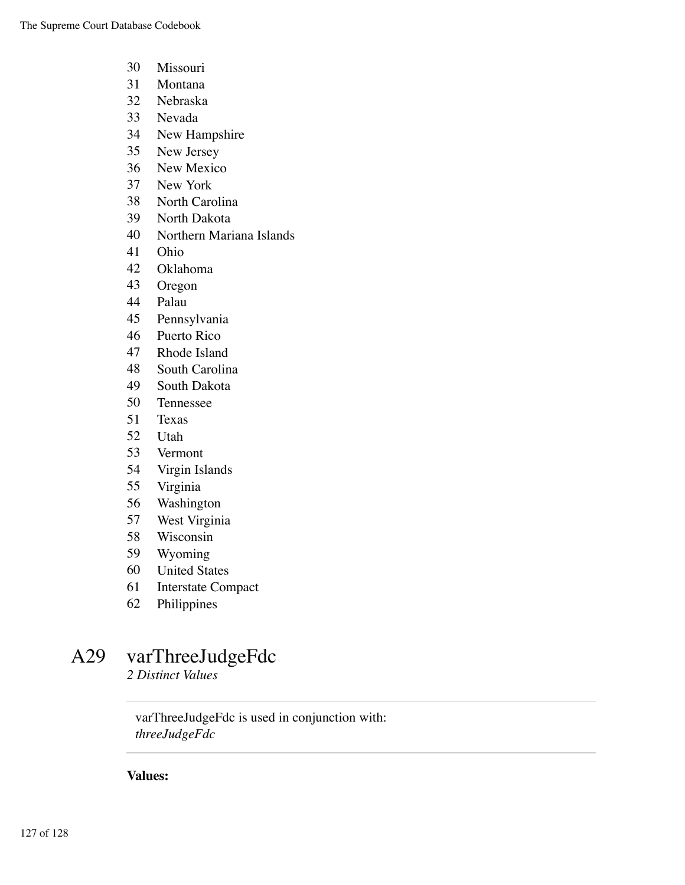- Missouri
- Montana
- Nebraska
- Nevada
- New Hampshire
- New Jersey
- New Mexico
- New York
- North Carolina
- North Dakota
- Northern Mariana Islands
- Ohio
- Oklahoma
- Oregon
- Palau
- Pennsylvania
- Puerto Rico
- Rhode Island
- South Carolina
- South Dakota
- Tennessee
- Texas
- Utah
- Vermont
- Virgin Islands
- Virginia
- Washington
- West Virginia
- Wisconsin
- Wyoming
- United States
- Interstate Compact
- Philippines

# A29 varThreeJudgeFdc

*2 Distinct Values*

varThreeJudgeFdc is used in conjunction with: *threeJudgeFdc*